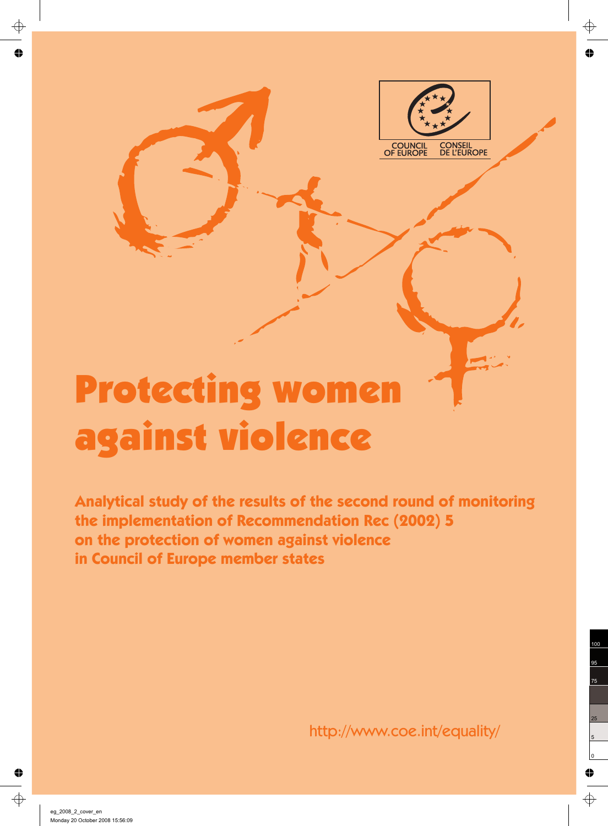

# Protecting women against violence

**Analytical study of the results of the second round of monitoring the implementation of Recommendation Rec (2002) 5 on the protection of women against violence in Council of Europe member states**

http://www.coe.int/equality/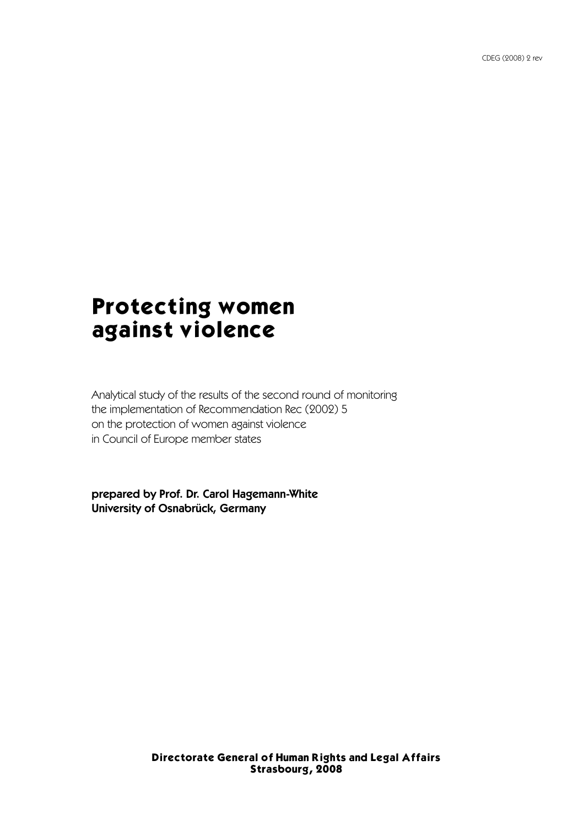## Protecting women against violence

Analytical study of the results of the second round of monitoring the implementation of Recommendation Rec (2002) 5 on the protection of women against violence in Council of Europe member states

prepared by Prof. Dr. Carol Hagemann-White University of Osnabrück, Germany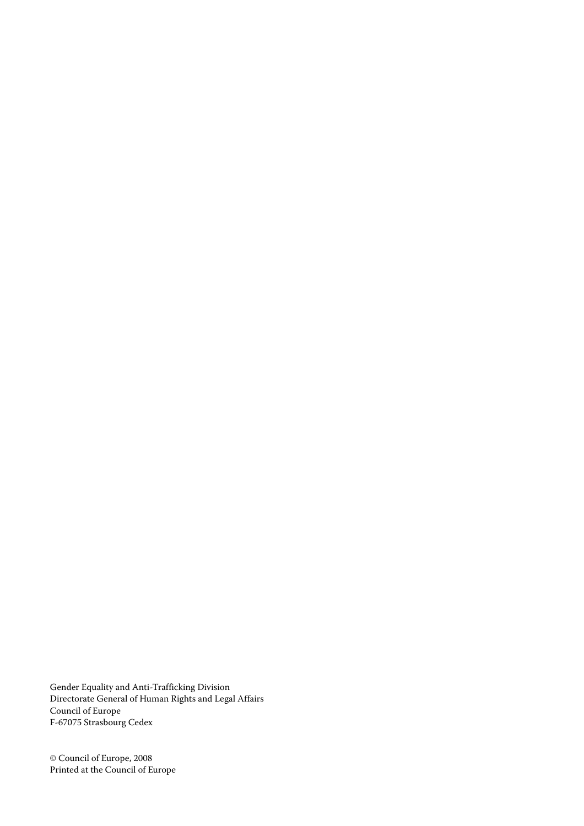Gender Equality and Anti-Trafficking Division Directorate General of Human Rights and Legal Affairs Council of Europe F-67075 Strasbourg Cedex

© Council of Europe, 2008 Printed at the Council of Europe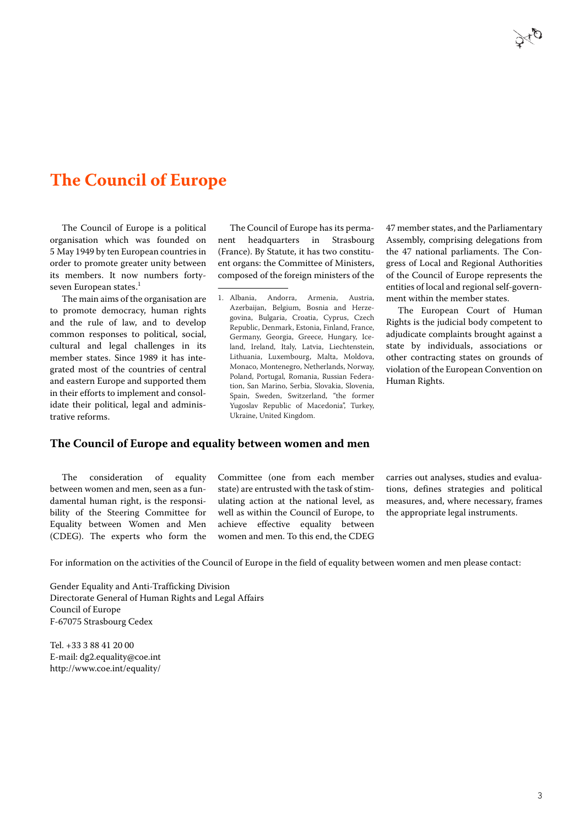### **The Council of Europe**

The Council of Europe is a political organisation which was founded on 5 May 1949 by ten European countries in order to promote greater unity between its members. It now numbers fortyseven European states.<sup>1</sup>

The main aims of the organisation are to promote democracy, human rights and the rule of law, and to develop common responses to political, social, cultural and legal challenges in its member states. Since 1989 it has integrated most of the countries of central and eastern Europe and supported them in their efforts to implement and consolidate their political, legal and administrative reforms.

The Council of Europe has its permanent headquarters in Strasbourg (France). By Statute, it has two constituent organs: the Committee of Ministers, composed of the foreign ministers of the

1. Albania, Andorra, Armenia, Austria, Azerbaijan, Belgium, Bosnia and Herzegovina, Bulgaria, Croatia, Cyprus, Czech Republic, Denmark, Estonia, Finland, France, Germany, Georgia, Greece, Hungary, Iceland, Ireland, Italy, Latvia, Liechtenstein, Lithuania, Luxembourg, Malta, Moldova, Monaco, Montenegro, Netherlands, Norway, Poland, Portugal, Romania, Russian Federation, San Marino, Serbia, Slovakia, Slovenia, Spain, Sweden, Switzerland, "the former Yugoslav Republic of Macedonia", Turkey, Ukraine, United Kingdom.

47 member states, and the Parliamentary Assembly, comprising delegations from the 47 national parliaments. The Congress of Local and Regional Authorities of the Council of Europe represents the entities of local and regional self-government within the member states.

The European Court of Human Rights is the judicial body competent to adjudicate complaints brought against a state by individuals, associations or other contracting states on grounds of violation of the European Convention on Human Rights.

#### **The Council of Europe and equality between women and men**

The consideration of equality between women and men, seen as a fundamental human right, is the responsibility of the Steering Committee for Equality between Women and Men (CDEG). The experts who form the Committee (one from each member state) are entrusted with the task of stimulating action at the national level, as well as within the Council of Europe, to achieve effective equality between women and men. To this end, the CDEG

carries out analyses, studies and evaluations, defines strategies and political measures, and, where necessary, frames the appropriate legal instruments.

For information on the activities of the Council of Europe in the field of equality between women and men please contact:

Gender Equality and Anti-Trafficking Division Directorate General of Human Rights and Legal Affairs Council of Europe F-67075 Strasbourg Cedex

Tel. +33 3 88 41 20 00 E-mail: dg2.equality@coe.int http://www.coe.int/equality/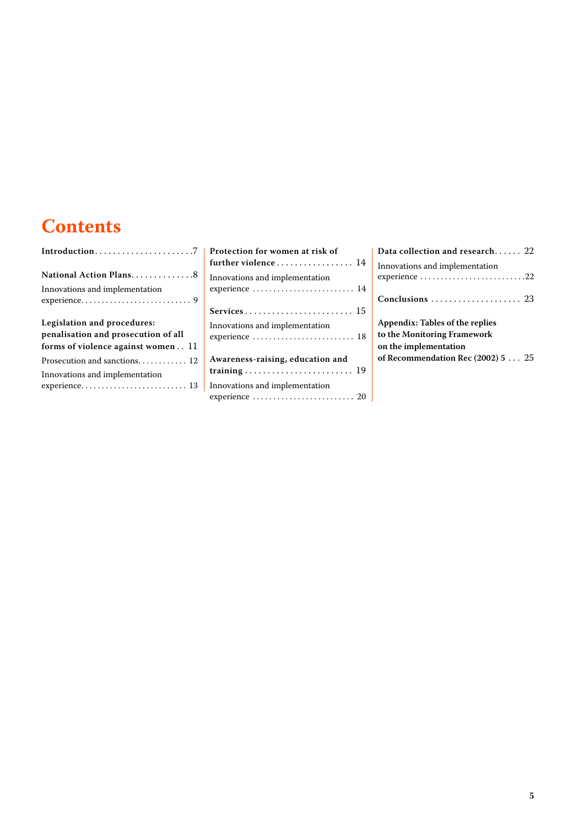## **Contents**

| National Action Plans8                                                                                   |
|----------------------------------------------------------------------------------------------------------|
| Innovations and implementation                                                                           |
|                                                                                                          |
| Legislation and procedures:<br>penalisation and prosecution of all<br>forms of violence against women 11 |
|                                                                                                          |
| Innovations and implementation                                                                           |
|                                                                                                          |

| Protection for women at risk of<br>further violence  14 |
|---------------------------------------------------------|
| Innovations and implementation<br>experience  14        |
|                                                         |
| Innovations and implementation<br>experience  18        |
| Awareness-raising, education and                        |
| Innovations and implementation                          |

| Data collection and research $22$               |
|-------------------------------------------------|
| Innovations and implementation<br>experience 22 |
|                                                 |
| Appendix: Tables of the replies                 |
| to the Monitoring Framework                     |
| on the implementation                           |
| of Recommendation Rec (2002) $525$              |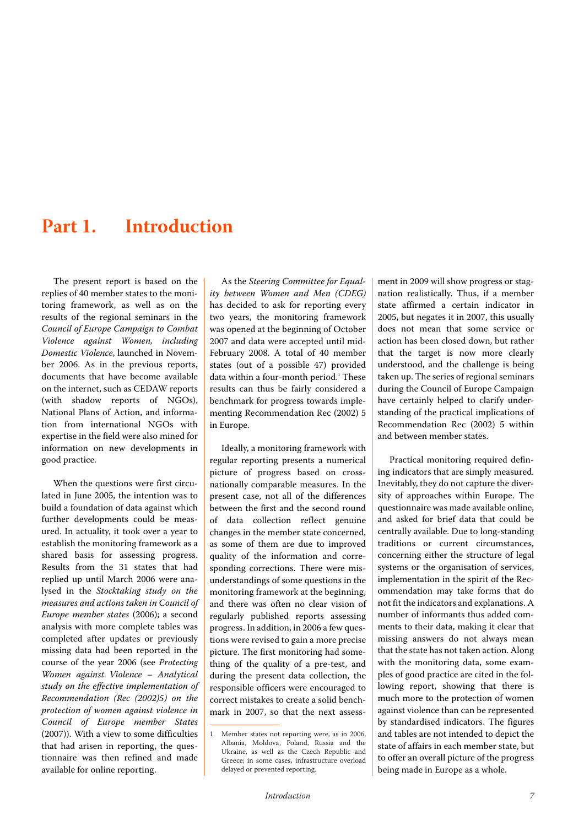## <span id="page-8-0"></span>**Part 1. Introduction**

The present report is based on the replies of 40 member states to the monitoring framework, as well as on the results of the regional seminars in the Council of Europe Campaign to Combat Violence against Women, including Domestic Violence, launched in November 2006. As in the previous reports, documents that have become available on the internet, such as CEDAW reports (with shadow reports of NGOs), National Plans of Action, and information from international NGOs with expertise in the field were also mined for information on new developments in good practice.

When the questions were first circulated in June 2005, the intention was to build a foundation of data against which further developments could be measured. In actuality, it took over a year to establish the monitoring framework as a shared basis for assessing progress. Results from the 31 states that had replied up until March 2006 were analysed in the Stocktaking study on the measures and actions taken in Council of Europe member states (2006); a second analysis with more complete tables was completed after updates or previously missing data had been reported in the course of the year 2006 (see Protecting Women against Violence – Analytical study on the effective implementation of Recommendation (Rec (2002)5) on the protection of women against violence in Council of Europe member States (2007)). With a view to some difficulties that had arisen in reporting, the questionnaire was then refined and made available for online reporting.

As the Steering Committee for Equality between Women and Men (CDEG) has decided to ask for reporting every two years, the monitoring framework was opened at the beginning of October 2007 and data were accepted until mid-February 2008. A total of 40 member states (out of a possible 47) provided data within a four-month period.<sup>1</sup> These results can thus be fairly considered a benchmark for progress towards implementing Recommendation Rec (2002) 5 in Europe.

Ideally, a monitoring framework with regular reporting presents a numerical picture of progress based on crossnationally comparable measures. In the present case, not all of the differences between the first and the second round of data collection reflect genuine changes in the member state concerned, as some of them are due to improved quality of the information and corresponding corrections. There were misunderstandings of some questions in the monitoring framework at the beginning, and there was often no clear vision of regularly published reports assessing progress. In addition, in 2006 a few questions were revised to gain a more precise picture. The first monitoring had something of the quality of a pre-test, and during the present data collection, the responsible officers were encouraged to correct mistakes to create a solid benchmark in 2007, so that the next assessment in 2009 will show progress or stagnation realistically. Thus, if a member state affirmed a certain indicator in 2005, but negates it in 2007, this usually does not mean that some service or action has been closed down, but rather that the target is now more clearly understood, and the challenge is being taken up. The series of regional seminars during the Council of Europe Campaign have certainly helped to clarify understanding of the practical implications of Recommendation Rec (2002) 5 within and between member states.

Practical monitoring required defining indicators that are simply measured. Inevitably, they do not capture the diversity of approaches within Europe. The questionnaire was made available online, and asked for brief data that could be centrally available. Due to long-standing traditions or current circumstances, concerning either the structure of legal systems or the organisation of services, implementation in the spirit of the Recommendation may take forms that do not fit the indicators and explanations. A number of informants thus added comments to their data, making it clear that missing answers do not always mean that the state has not taken action. Along with the monitoring data, some examples of good practice are cited in the following report, showing that there is much more to the protection of women against violence than can be represented by standardised indicators. The figures and tables are not intended to depict the state of affairs in each member state, but to offer an overall picture of the progress being made in Europe as a whole.

<sup>1.</sup> Member states not reporting were, as in 2006, Albania, Moldova, Poland, Russia and the Ukraine, as well as the Czech Republic and Greece; in some cases, infrastructure overload delayed or prevented reporting.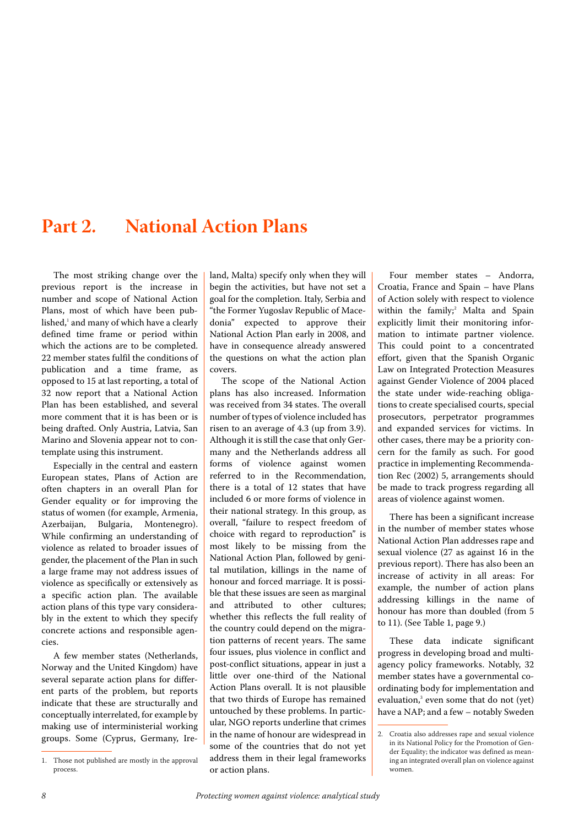## <span id="page-9-0"></span>**Part 2. National Action Plans**

The most striking change over the previous report is the increase in number and scope of National Action Plans, most of which have been published, $^1$  and many of which have a clearly defined time frame or period within which the actions are to be completed. 22 member states fulfil the conditions of publication and a time frame, as opposed to 15 at last reporting, a total of 32 now report that a National Action Plan has been established, and several more comment that it is has been or is being drafted. Only Austria, Latvia, San Marino and Slovenia appear not to contemplate using this instrument.

Especially in the central and eastern European states, Plans of Action are often chapters in an overall Plan for Gender equality or for improving the status of women (for example, Armenia, Azerbaijan, Bulgaria, Montenegro). While confirming an understanding of violence as related to broader issues of gender, the placement of the Plan in such a large frame may not address issues of violence as specifically or extensively as a specific action plan. The available action plans of this type vary considerably in the extent to which they specify concrete actions and responsible agencies.

A few member states (Netherlands, Norway and the United Kingdom) have several separate action plans for different parts of the problem, but reports indicate that these are structurally and conceptually interrelated, for example by making use of interministerial working groups. Some (Cyprus, Germany, Ireland, Malta) specify only when they will begin the activities, but have not set a goal for the completion. Italy, Serbia and "the Former Yugoslav Republic of Macedonia" expected to approve their National Action Plan early in 2008, and have in consequence already answered the questions on what the action plan covers.

The scope of the National Action plans has also increased. Information was received from 34 states. The overall number of types of violence included has risen to an average of 4.3 (up from 3.9). Although it is still the case that only Germany and the Netherlands address all forms of violence against women referred to in the Recommendation, there is a total of 12 states that have included 6 or more forms of violence in their national strategy. In this group, as overall, "failure to respect freedom of choice with regard to reproduction" is most likely to be missing from the National Action Plan, followed by genital mutilation, killings in the name of honour and forced marriage. It is possible that these issues are seen as marginal and attributed to other cultures; whether this reflects the full reality of the country could depend on the migration patterns of recent years. The same four issues, plus violence in conflict and post-conflict situations, appear in just a little over one-third of the National Action Plans overall. It is not plausible that two thirds of Europe has remained untouched by these problems. In particular, NGO reports underline that crimes in the name of honour are widespread in some of the countries that do not yet address them in their legal frameworks or action plans.

Four member states – Andorra, Croatia, France and Spain – have Plans of Action solely with respect to violence within the family;<sup>2</sup> Malta and Spain explicitly limit their monitoring information to intimate partner violence. This could point to a concentrated effort, given that the Spanish Organic Law on Integrated Protection Measures against Gender Violence of 2004 placed the state under wide-reaching obligations to create specialised courts, special prosecutors, perpetrator programmes and expanded services for victims. In other cases, there may be a priority concern for the family as such. For good practice in implementing Recommendation Rec (2002) 5, arrangements should be made to track progress regarding all areas of violence against women.

There has been a significant increase in the number of member states whose National Action Plan addresses rape and sexual violence (27 as against 16 in the previous report). There has also been an increase of activity in all areas: For example, the number of action plans addressing killings in the name of honour has more than doubled (from 5 to 11). (See [Table 1, page 9](#page-10-1).)

These data indicate significant progress in developing broad and multiagency policy frameworks. Notably, 32 member states have a governmental coordinating body for implementation and evaluation,<sup>3</sup> even some that do not (yet) have a NAP; and a few – notably Sweden

<sup>1.</sup> Those not published are mostly in the approval process.

<sup>2.</sup> Croatia also addresses rape and sexual violence in its National Policy for the Promotion of Gender Equality; the indicator was defined as meaning an integrated overall plan on violence against women.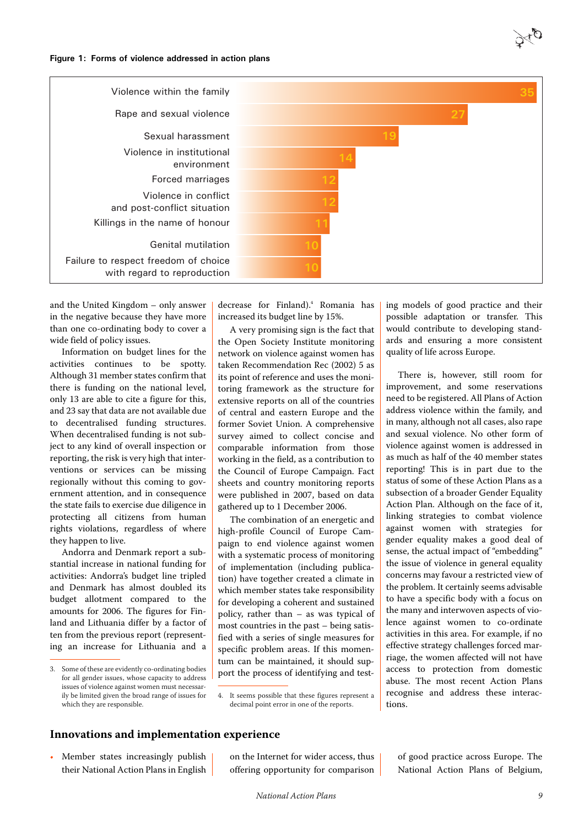<span id="page-10-1"></span>**Figure 1: Forms of violence addressed in action plans**



and the United Kingdom – only answer in the negative because they have more than one co-ordinating body to cover a wide field of policy issues.

Information on budget lines for the activities continues to be spotty. Although 31 member states confirm that there is funding on the national level, only 13 are able to cite a figure for this, and 23 say that data are not available due to decentralised funding structures. When decentralised funding is not subject to any kind of overall inspection or reporting, the risk is very high that interventions or services can be missing regionally without this coming to government attention, and in consequence the state fails to exercise due diligence in protecting all citizens from human rights violations, regardless of where they happen to live.

Andorra and Denmark report a substantial increase in national funding for activities: Andorra's budget line tripled and Denmark has almost doubled its budget allotment compared to the amounts for 2006. The figures for Finland and Lithuania differ by a factor of ten from the previous report (representing an increase for Lithuania and a

decrease for Finland).<sup>4</sup> Romania has increased its budget line by 15%.

A very promising sign is the fact that the Open Society Institute monitoring network on violence against women has taken Recommendation Rec (2002) 5 as its point of reference and uses the monitoring framework as the structure for extensive reports on all of the countries of central and eastern Europe and the former Soviet Union. A comprehensive survey aimed to collect concise and comparable information from those working in the field, as a contribution to the Council of Europe Campaign. Fact sheets and country monitoring reports were published in 2007, based on data gathered up to 1 December 2006.

The combination of an energetic and high-profile Council of Europe Campaign to end violence against women with a systematic process of monitoring of implementation (including publication) have together created a climate in which member states take responsibility for developing a coherent and sustained policy, rather than – as was typical of most countries in the past – being satisfied with a series of single measures for specific problem areas. If this momentum can be maintained, it should support the process of identifying and test-

4. It seems possible that these figures represent a decimal point error in one of the reports.

ing models of good practice and their possible adaptation or transfer. This would contribute to developing standards and ensuring a more consistent quality of life across Europe.

There is, however, still room for improvement, and some reservations need to be registered. All Plans of Action address violence within the family, and in many, although not all cases, also rape and sexual violence. No other form of violence against women is addressed in as much as half of the 40 member states reporting! This is in part due to the status of some of these Action Plans as a subsection of a broader Gender Equality Action Plan. Although on the face of it, linking strategies to combat violence against women with strategies for gender equality makes a good deal of sense, the actual impact of "embedding" the issue of violence in general equality concerns may favour a restricted view of the problem. It certainly seems advisable to have a specific body with a focus on the many and interwoven aspects of violence against women to co-ordinate activities in this area. For example, if no effective strategy challenges forced marriage, the women affected will not have access to protection from domestic abuse. The most recent Action Plans recognise and address these interactions.

#### <span id="page-10-0"></span>**Innovations and implementation experience**

• Member states increasingly publish their National Action Plans in English on the Internet for wider access, thus offering opportunity for comparison of good practice across Europe. The National Action Plans of Belgium,

<sup>3.</sup> Some of these are evidently co-ordinating bodies for all gender issues, whose capacity to address issues of violence against women must necessarily be limited given the broad range of issues for which they are responsible.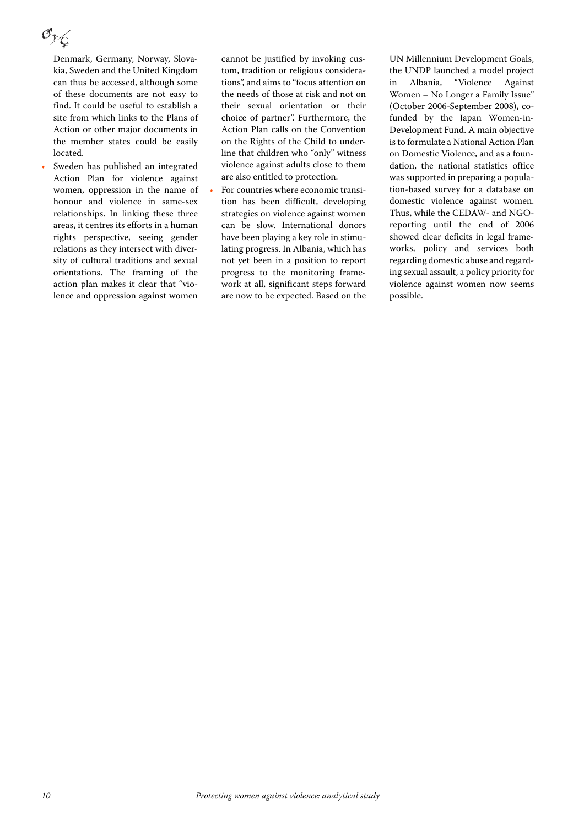Denmark, Germany, Norway, Slovakia, Sweden and the United Kingdom can thus be accessed, although some of these documents are not easy to find. It could be useful to establish a site from which links to the Plans of Action or other major documents in the member states could be easily located.

Sweden has published an integrated Action Plan for violence against women, oppression in the name of honour and violence in same-sex relationships. In linking these three areas, it centres its efforts in a human rights perspective, seeing gender relations as they intersect with diversity of cultural traditions and sexual orientations. The framing of the action plan makes it clear that "violence and oppression against women cannot be justified by invoking custom, tradition or religious considerations", and aims to "focus attention on the needs of those at risk and not on their sexual orientation or their choice of partner". Furthermore, the Action Plan calls on the Convention on the Rights of the Child to underline that children who "only" witness violence against adults close to them are also entitled to protection.

• For countries where economic transition has been difficult, developing strategies on violence against women can be slow. International donors have been playing a key role in stimulating progress. In Albania, which has not yet been in a position to report progress to the monitoring framework at all, significant steps forward are now to be expected. Based on the UN Millennium Development Goals, the UNDP launched a model project in Albania, "Violence Against Women – No Longer a Family Issue" (October 2006-September 2008), cofunded by the Japan Women-in-Development Fund. A main objective is to formulate a National Action Plan on Domestic Violence, and as a foundation, the national statistics office was supported in preparing a population-based survey for a database on domestic violence against women. Thus, while the CEDAW- and NGOreporting until the end of 2006 showed clear deficits in legal frameworks, policy and services both regarding domestic abuse and regarding sexual assault, a policy priority for violence against women now seems possible.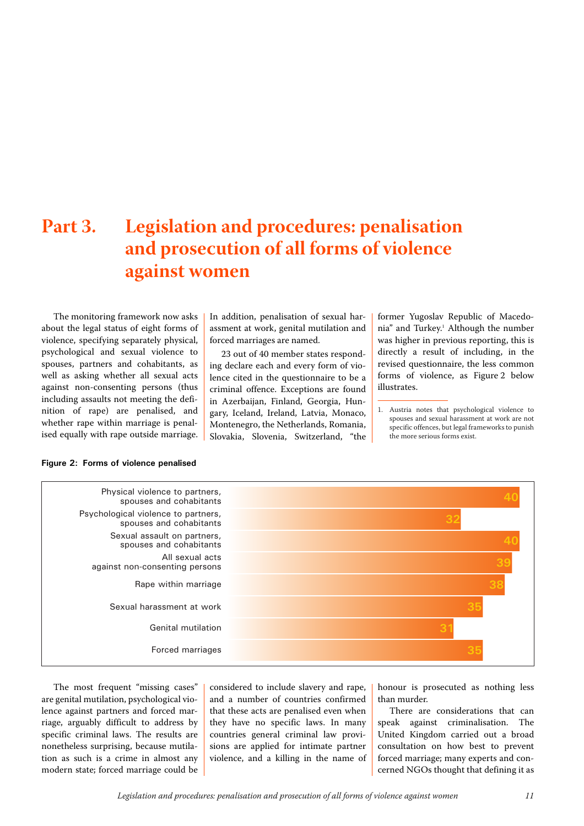## <span id="page-12-0"></span>**Part 3. Legislation and procedures: penalisation and prosecution of all forms of violence against women**

The monitoring framework now asks about the legal status of eight forms of violence, specifying separately physical, psychological and sexual violence to spouses, partners and cohabitants, as well as asking whether all sexual acts against non-consenting persons (thus including assaults not meeting the definition of rape) are penalised, and whether rape within marriage is penalised equally with rape outside marriage. In addition, penalisation of sexual harassment at work, genital mutilation and forced marriages are named.

23 out of 40 member states responding declare each and every form of violence cited in the questionnaire to be a criminal offence. Exceptions are found in Azerbaijan, Finland, Georgia, Hungary, Iceland, Ireland, Latvia, Monaco, Montenegro, the Netherlands, Romania, Slovakia, Slovenia, Switzerland, "the former Yugoslav Republic of Macedonia" and Turkey.<sup>1</sup> Although the number was higher in previous reporting, this is directly a result of including, in the revised questionnaire, the less common forms of violence, as Figure 2 below illustrates.

1. Austria notes that psychological violence to spouses and sexual harassment at work are not specific offences, but legal frameworks to punish the more serious forms exist.



The most frequent "missing cases" are genital mutilation, psychological violence against partners and forced marriage, arguably difficult to address by specific criminal laws. The results are nonetheless surprising, because mutilation as such is a crime in almost any modern state; forced marriage could be considered to include slavery and rape, and a number of countries confirmed that these acts are penalised even when they have no specific laws. In many countries general criminal law provisions are applied for intimate partner violence, and a killing in the name of honour is prosecuted as nothing less than murder.

There are considerations that can speak against criminalisation. The United Kingdom carried out a broad consultation on how best to prevent forced marriage; many experts and concerned NGOs thought that defining it as

#### **Figure 2: Forms of violence penalised**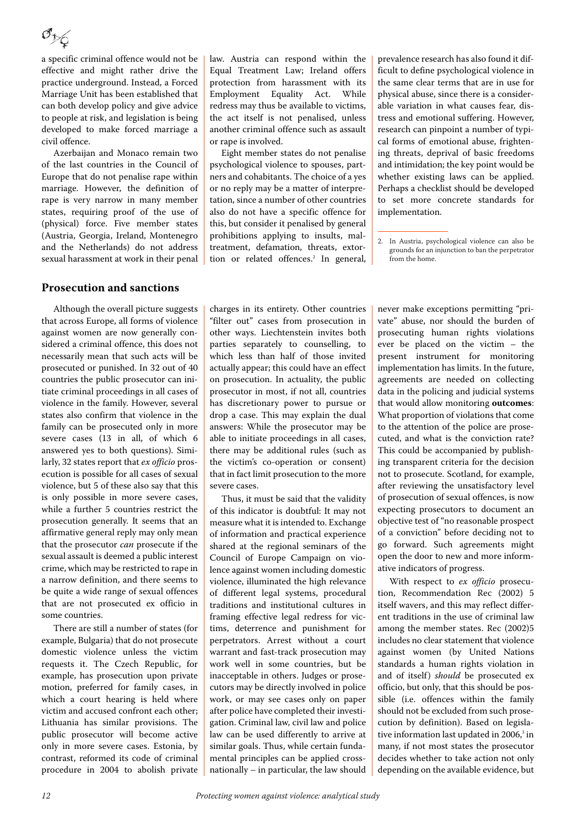a specific criminal offence would not be effective and might rather drive the practice underground. Instead, a Forced Marriage Unit has been established that can both develop policy and give advice to people at risk, and legislation is being developed to make forced marriage a civil offence.

Azerbaijan and Monaco remain two of the last countries in the Council of Europe that do not penalise rape within marriage. However, the definition of rape is very narrow in many member states, requiring proof of the use of (physical) force. Five member states (Austria, Georgia, Ireland, Montenegro and the Netherlands) do not address sexual harassment at work in their penal

#### <span id="page-13-0"></span>**Prosecution and sanctions**

Although the overall picture suggests that across Europe, all forms of violence against women are now generally considered a criminal offence, this does not necessarily mean that such acts will be prosecuted or punished. In 32 out of 40 countries the public prosecutor can initiate criminal proceedings in all cases of violence in the family. However, several states also confirm that violence in the family can be prosecuted only in more severe cases (13 in all, of which 6 answered yes to both questions). Similarly, 32 states report that ex officio prosecution is possible for all cases of sexual violence, but 5 of these also say that this is only possible in more severe cases, while a further 5 countries restrict the prosecution generally. It seems that an affirmative general reply may only mean that the prosecutor can prosecute if the sexual assault is deemed a public interest crime, which may be restricted to rape in a narrow definition, and there seems to be quite a wide range of sexual offences that are not prosecuted ex officio in some countries.

There are still a number of states (for example, Bulgaria) that do not prosecute domestic violence unless the victim requests it. The Czech Republic, for example, has prosecution upon private motion, preferred for family cases, in which a court hearing is held where victim and accused confront each other; Lithuania has similar provisions. The public prosecutor will become active only in more severe cases. Estonia, by contrast, reformed its code of criminal procedure in 2004 to abolish private

law. Austria can respond within the Equal Treatment Law; Ireland offers protection from harassment with its Employment Equality Act. While redress may thus be available to victims, the act itself is not penalised, unless another criminal offence such as assault or rape is involved.

Eight member states do not penalise psychological violence to spouses, partners and cohabitants. The choice of a yes or no reply may be a matter of interpretation, since a number of other countries also do not have a specific offence for this, but consider it penalised by general prohibitions applying to insults, maltreatment, defamation, threats, extortion or related offences.<sup>2</sup> In general,

prevalence research has also found it difficult to define psychological violence in the same clear terms that are in use for physical abuse, since there is a considerable variation in what causes fear, distress and emotional suffering. However, research can pinpoint a number of typical forms of emotional abuse, frightening threats, deprival of basic freedoms and intimidation; the key point would be whether existing laws can be applied. Perhaps a checklist should be developed to set more concrete standards for implementation.

charges in its entirety. Other countries "filter out" cases from prosecution in other ways. Liechtenstein invites both parties separately to counselling, to which less than half of those invited actually appear; this could have an effect on prosecution. In actuality, the public prosecutor in most, if not all, countries has discretionary power to pursue or drop a case. This may explain the dual answers: While the prosecutor may be able to initiate proceedings in all cases, there may be additional rules (such as the victim's co-operation or consent) that in fact limit prosecution to the more severe cases.

Thus, it must be said that the validity of this indicator is doubtful: It may not measure what it is intended to. Exchange of information and practical experience shared at the regional seminars of the Council of Europe Campaign on violence against women including domestic violence, illuminated the high relevance of different legal systems, procedural traditions and institutional cultures in framing effective legal redress for victims, deterrence and punishment for perpetrators. Arrest without a court warrant and fast-track prosecution may work well in some countries, but be inacceptable in others. Judges or prosecutors may be directly involved in police work, or may see cases only on paper after police have completed their investigation. Criminal law, civil law and police law can be used differently to arrive at similar goals. Thus, while certain fundamental principles can be applied crossnationally – in particular, the law should

never make exceptions permitting "private" abuse, nor should the burden of prosecuting human rights violations ever be placed on the victim – the present instrument for monitoring implementation has limits. In the future, agreements are needed on collecting data in the policing and judicial systems that would allow monitoring **outcomes**: What proportion of violations that come to the attention of the police are prosecuted, and what is the conviction rate? This could be accompanied by publishing transparent criteria for the decision not to prosecute. Scotland, for example, after reviewing the unsatisfactory level of prosecution of sexual offences, is now expecting prosecutors to document an objective test of "no reasonable prospect of a conviction" before deciding not to go forward. Such agreements might open the door to new and more informative indicators of progress.

With respect to ex officio prosecution, Recommendation Rec (2002) 5 itself wavers, and this may reflect different traditions in the use of criminal law among the member states. Rec (2002)5 includes no clear statement that violence against women (by United Nations standards a human rights violation in and of itself) should be prosecuted ex officio, but only, that this should be possible (i.e. offences within the family should not be excluded from such prosecution by definition). Based on legislative information last updated in 2006, $^3$  in many, if not most states the prosecutor decides whether to take action not only depending on the available evidence, but

<sup>2.</sup> In Austria, psychological violence can also be grounds for an injunction to ban the perpetrator from the home.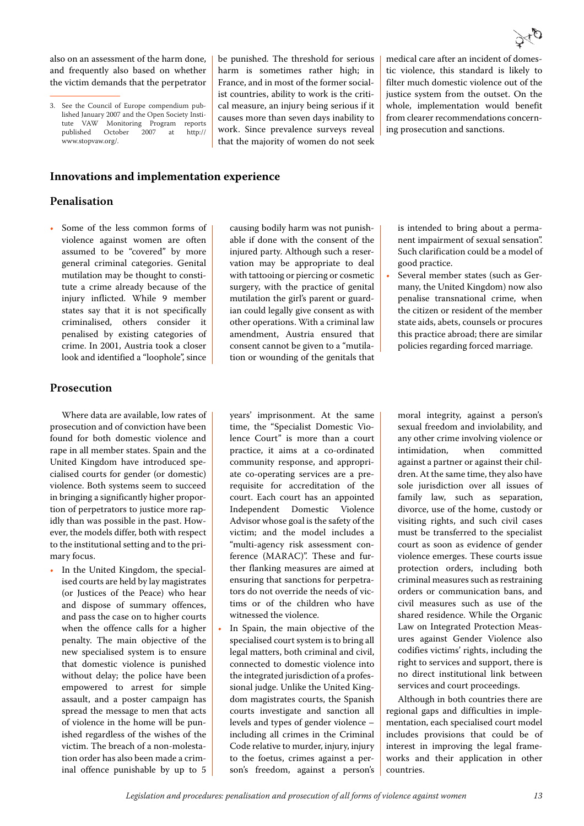also on an assessment of the harm done, and frequently also based on whether the victim demands that the perpetrator

#### <span id="page-14-0"></span>**Innovations and implementation experience**

#### **Penalisation**

Some of the less common forms of violence against women are often assumed to be "covered" by more general criminal categories. Genital mutilation may be thought to constitute a crime already because of the injury inflicted. While 9 member states say that it is not specifically criminalised, others consider it penalised by existing categories of crime. In 2001, Austria took a closer look and identified a "loophole", since

#### **Prosecution**

Where data are available, low rates of prosecution and of conviction have been found for both domestic violence and rape in all member states. Spain and the United Kingdom have introduced specialised courts for gender (or domestic) violence. Both systems seem to succeed in bringing a significantly higher proportion of perpetrators to justice more rapidly than was possible in the past. However, the models differ, both with respect to the institutional setting and to the primary focus.

In the United Kingdom, the specialised courts are held by lay magistrates (or Justices of the Peace) who hear and dispose of summary offences, and pass the case on to higher courts when the offence calls for a higher penalty. The main objective of the new specialised system is to ensure that domestic violence is punished without delay; the police have been empowered to arrest for simple assault, and a poster campaign has spread the message to men that acts of violence in the home will be punished regardless of the wishes of the victim. The breach of a non-molestation order has also been made a criminal offence punishable by up to 5 injured party. Although such a reservation may be appropriate to deal with tattooing or piercing or cosmetic surgery, with the practice of genital mutilation the girl's parent or guardian could legally give consent as with other operations. With a criminal law amendment, Austria ensured that consent cannot be given to a "mutilation or wounding of the genitals that

causing bodily harm was not punishable if done with the consent of the

be punished. The threshold for serious harm is sometimes rather high; in France, and in most of the former socialist countries, ability to work is the critical measure, an injury being serious if it causes more than seven days inability to work. Since prevalence surveys reveal that the majority of women do not seek

filter much domestic violence out of the justice system from the outset. On the whole, implementation would benefit from clearer recommendations concerning prosecution and sanctions.

medical care after an incident of domestic violence, this standard is likely to

is intended to bring about a permanent impairment of sexual sensation". Such clarification could be a model of good practice.

• Several member states (such as Germany, the United Kingdom) now also penalise transnational crime, when the citizen or resident of the member state aids, abets, counsels or procures this practice abroad; there are similar policies regarding forced marriage.

years' imprisonment. At the same time, the "Specialist Domestic Violence Court" is more than a court practice, it aims at a co-ordinated community response, and appropriate co-operating services are a prerequisite for accreditation of the court. Each court has an appointed Independent Domestic Violence Advisor whose goal is the safety of the victim; and the model includes a "multi-agency risk assessment conference (MARAC)". These and further flanking measures are aimed at ensuring that sanctions for perpetrators do not override the needs of victims or of the children who have witnessed the violence.

In Spain, the main objective of the specialised court system is to bring all legal matters, both criminal and civil, connected to domestic violence into the integrated jurisdiction of a professional judge. Unlike the United Kingdom magistrates courts, the Spanish courts investigate and sanction all levels and types of gender violence – including all crimes in the Criminal Code relative to murder, injury, injury to the foetus, crimes against a person's freedom, against a person's moral integrity, against a person's sexual freedom and inviolability, and any other crime involving violence or intimidation, when committed against a partner or against their children. At the same time, they also have sole jurisdiction over all issues of family law, such as separation, divorce, use of the home, custody or visiting rights, and such civil cases must be transferred to the specialist court as soon as evidence of gender violence emerges. These courts issue protection orders, including both criminal measures such as restraining orders or communication bans, and civil measures such as use of the shared residence. While the Organic Law on Integrated Protection Measures against Gender Violence also codifies victims' rights, including the right to services and support, there is no direct institutional link between services and court proceedings.

Although in both countries there are regional gaps and difficulties in implementation, each specialised court model includes provisions that could be of interest in improving the legal frameworks and their application in other countries.

<sup>3.</sup> See the Council of Europe compendium published January 2007 and the Open Society Institute VAW Monitoring Program reports<br>published October 2007 at http:// published October 2007 at http:// www.stopvaw.org/.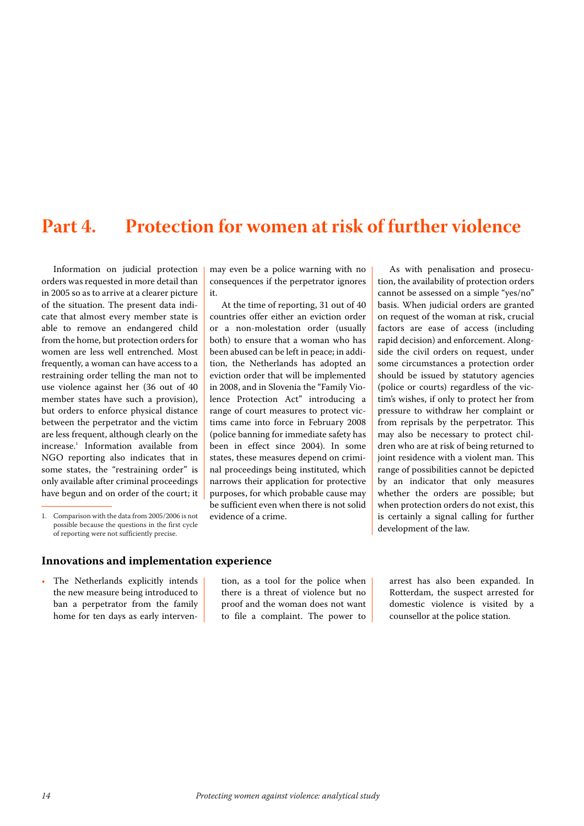## <span id="page-15-0"></span>**Part 4. Protection for women at risk of further violence**

Information on judicial protection orders was requested in more detail than in 2005 so as to arrive at a clearer picture of the situation. The present data indicate that almost every member state is able to remove an endangered child from the home, but protection orders for women are less well entrenched. Most frequently, a woman can have access to a restraining order telling the man not to use violence against her (36 out of 40 member states have such a provision), but orders to enforce physical distance between the perpetrator and the victim are less frequent, although clearly on the increase.<sup>1</sup> Information available from NGO reporting also indicates that in some states, the "restraining order" is only available after criminal proceedings have begun and on order of the court; it

may even be a police warning with no consequences if the perpetrator ignores it.

At the time of reporting, 31 out of 40 countries offer either an eviction order or a non-molestation order (usually both) to ensure that a woman who has been abused can be left in peace; in addition, the Netherlands has adopted an eviction order that will be implemented in 2008, and in Slovenia the "Family Violence Protection Act" introducing a range of court measures to protect victims came into force in February 2008 (police banning for immediate safety has been in effect since 2004). In some states, these measures depend on criminal proceedings being instituted, which narrows their application for protective purposes, for which probable cause may be sufficient even when there is not solid evidence of a crime.

As with penalisation and prosecution, the availability of protection orders cannot be assessed on a simple "yes/no" basis. When judicial orders are granted on request of the woman at risk, crucial factors are ease of access (including rapid decision) and enforcement. Alongside the civil orders on request, under some circumstances a protection order should be issued by statutory agencies (police or courts) regardless of the victim's wishes, if only to protect her from pressure to withdraw her complaint or from reprisals by the perpetrator. This may also be necessary to protect children who are at risk of being returned to joint residence with a violent man. This range of possibilities cannot be depicted by an indicator that only measures whether the orders are possible; but when protection orders do not exist, this is certainly a signal calling for further development of the law.

#### <span id="page-15-1"></span>**Innovations and implementation experience**

The Netherlands explicitly intends the new measure being introduced to ban a perpetrator from the family home for ten days as early interven-

tion, as a tool for the police when there is a threat of violence but no proof and the woman does not want to file a complaint. The power to arrest has also been expanded. In Rotterdam, the suspect arrested for domestic violence is visited by a counsellor at the police station.

<sup>1.</sup> Comparison with the data from 2005/2006 is not possible because the questions in the first cycle of reporting were not sufficiently precise.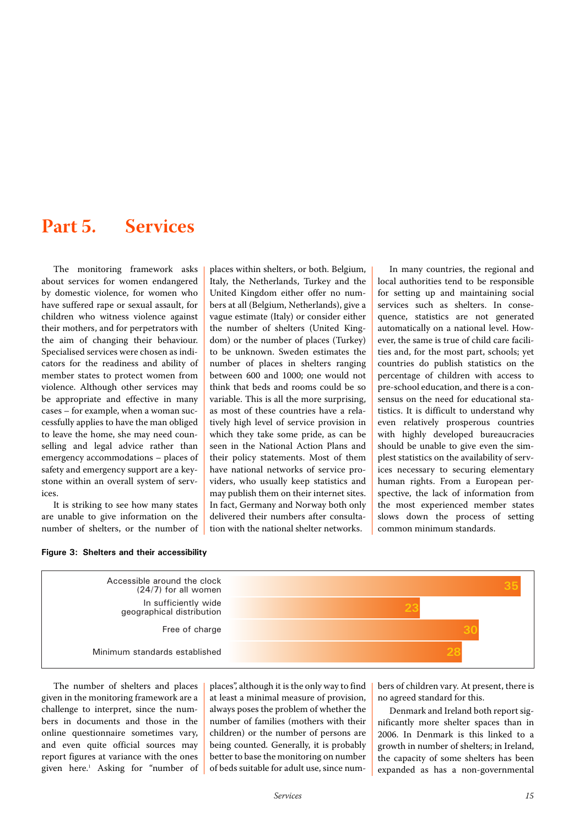## <span id="page-16-0"></span>**Part 5. Services**

The monitoring framework asks about services for women endangered by domestic violence, for women who have suffered rape or sexual assault, for children who witness violence against their mothers, and for perpetrators with the aim of changing their behaviour. Specialised services were chosen as indicators for the readiness and ability of member states to protect women from violence. Although other services may be appropriate and effective in many cases – for example, when a woman successfully applies to have the man obliged to leave the home, she may need counselling and legal advice rather than emergency accommodations – places of safety and emergency support are a keystone within an overall system of services.

It is striking to see how many states are unable to give information on the number of shelters, or the number of

**Figure 3: Shelters and their accessibility**

places within shelters, or both. Belgium, Italy, the Netherlands, Turkey and the United Kingdom either offer no numbers at all (Belgium, Netherlands), give a vague estimate (Italy) or consider either the number of shelters (United Kingdom) or the number of places (Turkey) to be unknown. Sweden estimates the number of places in shelters ranging between 600 and 1000; one would not think that beds and rooms could be so variable. This is all the more surprising, as most of these countries have a relatively high level of service provision in which they take some pride, as can be seen in the National Action Plans and their policy statements. Most of them have national networks of service providers, who usually keep statistics and may publish them on their internet sites. In fact, Germany and Norway both only delivered their numbers after consultation with the national shelter networks.

In many countries, the regional and local authorities tend to be responsible for setting up and maintaining social services such as shelters. In consequence, statistics are not generated automatically on a national level. However, the same is true of child care facilities and, for the most part, schools; yet countries do publish statistics on the percentage of children with access to pre-school education, and there is a consensus on the need for educational statistics. It is difficult to understand why even relatively prosperous countries with highly developed bureaucracies should be unable to give even the simplest statistics on the availability of services necessary to securing elementary human rights. From a European perspective, the lack of information from the most experienced member states slows down the process of setting common minimum standards.



The number of shelters and places given in the monitoring framework are a challenge to interpret, since the numbers in documents and those in the online questionnaire sometimes vary, and even quite official sources may report figures at variance with the ones given here.<sup>1</sup> Asking for "number of

places", although it is the only way to find at least a minimal measure of provision, always poses the problem of whether the number of families (mothers with their children) or the number of persons are being counted. Generally, it is probably better to base the monitoring on number of beds suitable for adult use, since num-

bers of children vary. At present, there is no agreed standard for this.

Denmark and Ireland both report significantly more shelter spaces than in 2006. In Denmark is this linked to a growth in number of shelters; in Ireland, the capacity of some shelters has been expanded as has a non-governmental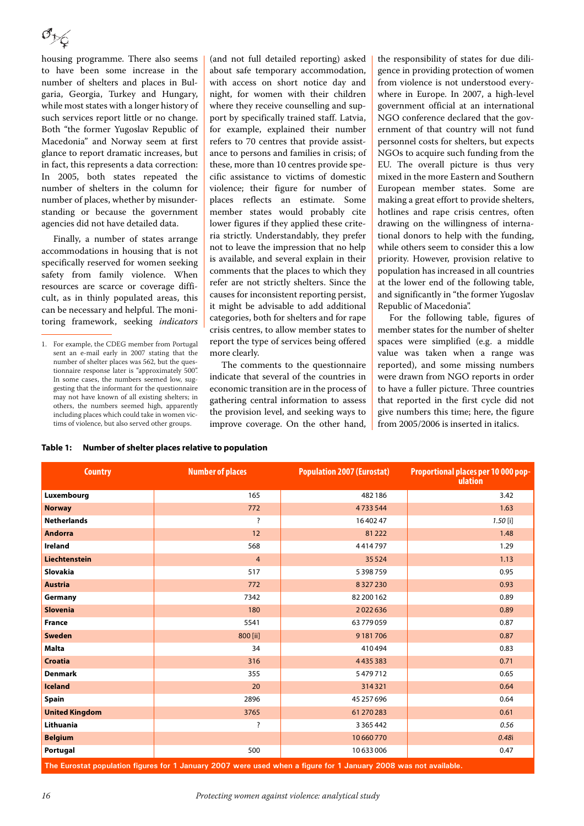housing programme. There also seems to have been some increase in the number of shelters and places in Bulgaria, Georgia, Turkey and Hungary, while most states with a longer history of such services report little or no change. Both "the former Yugoslav Republic of Macedonia" and Norway seem at first glance to report dramatic increases, but in fact, this represents a data correction: In 2005, both states repeated the number of shelters in the column for number of places, whether by misunderstanding or because the government agencies did not have detailed data.

Finally, a number of states arrange accommodations in housing that is not specifically reserved for women seeking safety from family violence. When resources are scarce or coverage difficult, as in thinly populated areas, this can be necessary and helpful. The monitoring framework, seeking indicators (and not full detailed reporting) asked about safe temporary accommodation, with access on short notice day and night, for women with their children where they receive counselling and support by specifically trained staff. Latvia, for example, explained their number refers to 70 centres that provide assistance to persons and families in crisis; of these, more than 10 centres provide specific assistance to victims of domestic violence; their figure for number of places reflects an estimate. Some member states would probably cite lower figures if they applied these criteria strictly. Understandably, they prefer not to leave the impression that no help is available, and several explain in their comments that the places to which they refer are not strictly shelters. Since the causes for inconsistent reporting persist, it might be advisable to add additional categories, both for shelters and for rape crisis centres, to allow member states to report the type of services being offered more clearly.

The comments to the questionnaire indicate that several of the countries in economic transition are in the process of gathering central information to assess the provision level, and seeking ways to improve coverage. On the other hand,

the responsibility of states for due diligence in providing protection of women from violence is not understood everywhere in Europe. In 2007, a high-level government official at an international NGO conference declared that the government of that country will not fund personnel costs for shelters, but expects NGOs to acquire such funding from the EU. The overall picture is thus very mixed in the more Eastern and Southern European member states. Some are making a great effort to provide shelters, hotlines and rape crisis centres, often drawing on the willingness of international donors to help with the funding, while others seem to consider this a low priority. However, provision relative to population has increased in all countries at the lower end of the following table, and significantly in "the former Yugoslav Republic of Macedonia".

For the following table, figures of member states for the number of shelter spaces were simplified (e.g. a middle value was taken when a range was reported), and some missing numbers were drawn from NGO reports in order to have a fuller picture. Three countries that reported in the first cycle did not give numbers this time; here, the figure from 2005/2006 is inserted in italics.

| Table 1: | Number of shelter places relative to population |
|----------|-------------------------------------------------|
|----------|-------------------------------------------------|

| <b>Country</b>        | <b>Number of places</b> | <b>Population 2007 (Eurostat)</b> | Proportional places per 10 000 pop-<br>ulation |  |
|-----------------------|-------------------------|-----------------------------------|------------------------------------------------|--|
| Luxembourg            | 165                     | 482186                            | 3.42                                           |  |
| <b>Norway</b>         | 772                     | 4733544                           | 1.63                                           |  |
| <b>Netherlands</b>    | ?                       | 1640247                           | $1.50$ [i]                                     |  |
| <b>Andorra</b>        | 12                      | 81222                             | 1.48                                           |  |
| Ireland               | 568                     | 4414797                           | 1.29                                           |  |
| Liechtenstein         | $\overline{4}$          | 35 5 24                           | 1.13                                           |  |
| Slovakia              | 517                     | 5398759                           | 0.95                                           |  |
| <b>Austria</b>        | 772                     | 8327230                           | 0.93                                           |  |
| Germany               | 7342                    | 82 200 162                        | 0.89                                           |  |
| <b>Slovenia</b>       | 180                     | 2022636                           | 0.89                                           |  |
| <b>France</b>         | 5541                    | 63779059                          | 0.87                                           |  |
| Sweden                | 800 [ii]                | 9181706                           | 0.87                                           |  |
| Malta                 | 34                      | 410494                            | 0.83                                           |  |
| <b>Croatia</b>        | 316                     | 4435383                           | 0.71                                           |  |
| <b>Denmark</b>        | 355                     | 5479712                           | 0.65                                           |  |
| <b>Iceland</b>        | 20                      | 314321                            | 0.64                                           |  |
| Spain                 | 2896                    | 45 257 696                        | 0.64                                           |  |
| <b>United Kingdom</b> | 3765                    | 61 270 283                        | 0.61                                           |  |
| Lithuania             | ?                       | 3 3 6 5 4 4 2                     | 0.56                                           |  |
| <b>Belgium</b>        |                         | 10660770                          | 0.48i                                          |  |
| Portugal              | 500                     | 10633006                          | 0.47                                           |  |

**The Eurostat population figures for 1 January 2007 were used when a figure for 1 January 2008 was not available.**

<sup>1.</sup> For example, the CDEG member from Portugal sent an e-mail early in 2007 stating that the number of shelter places was 562, but the questionnaire response later is "approximately 500". In some cases, the numbers seemed low, suggesting that the informant for the questionnaire may not have known of all existing shelters; in others, the numbers seemed high, apparently including places which could take in women victims of violence, but also served other groups.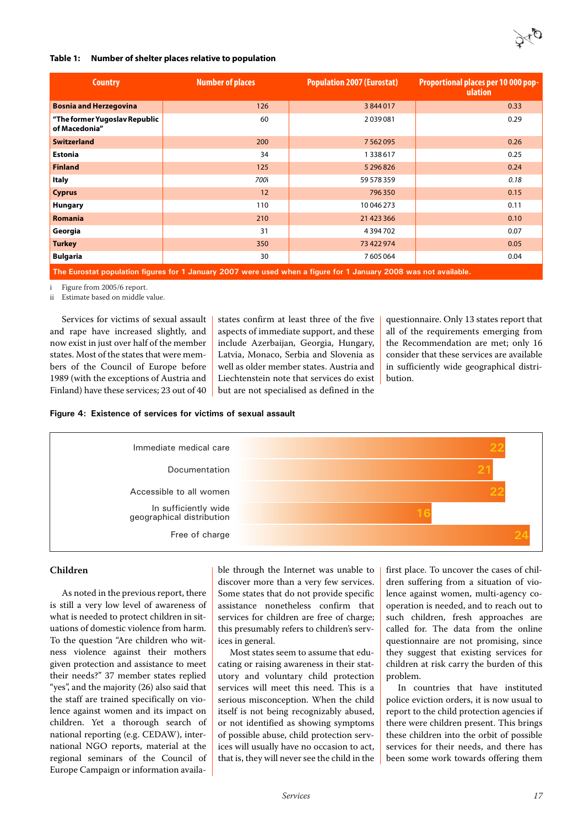

#### **Table 1: Number of shelter places relative to population**

| <b>Country</b>                                 | <b>Number of places</b>                                                                                           | <b>Population 2007 (Eurostat)</b> | <b>Proportional places per 10 000 pop-</b><br>ulation |  |  |  |  |  |  |  |
|------------------------------------------------|-------------------------------------------------------------------------------------------------------------------|-----------------------------------|-------------------------------------------------------|--|--|--|--|--|--|--|
| <b>Bosnia and Herzegovina</b>                  | 126                                                                                                               | 3844017                           | 0.33                                                  |  |  |  |  |  |  |  |
| "The former Yugoslav Republic<br>of Macedonia" | 60                                                                                                                | 2039081                           | 0.29                                                  |  |  |  |  |  |  |  |
| <b>Switzerland</b>                             | 200                                                                                                               | 7562095                           | 0.26                                                  |  |  |  |  |  |  |  |
| <b>Estonia</b>                                 | 34                                                                                                                | 1338617                           | 0.25                                                  |  |  |  |  |  |  |  |
| <b>Finland</b>                                 | 125                                                                                                               | 5 296 826                         | 0.24                                                  |  |  |  |  |  |  |  |
| Italy                                          | 700i                                                                                                              | 59 578 359                        | 0.18                                                  |  |  |  |  |  |  |  |
| <b>Cyprus</b>                                  | 12                                                                                                                | 796350                            | 0.15                                                  |  |  |  |  |  |  |  |
| <b>Hungary</b>                                 | 110                                                                                                               | 10 046 273                        | 0.11                                                  |  |  |  |  |  |  |  |
| <b>Romania</b>                                 | 210                                                                                                               | 21 423 366                        | 0.10                                                  |  |  |  |  |  |  |  |
| Georgia                                        | 31                                                                                                                | 4394702                           | 0.07                                                  |  |  |  |  |  |  |  |
| <b>Turkey</b>                                  | 350                                                                                                               | 73 422 974                        | 0.05                                                  |  |  |  |  |  |  |  |
| <b>Bulgaria</b>                                | 30                                                                                                                | 7605064                           | 0.04                                                  |  |  |  |  |  |  |  |
|                                                | The Europtat nopulation figures for 1, January 2007 were used when a figure for 1, January 2009 was not sysilable |                                   |                                                       |  |  |  |  |  |  |  |

**The Eurostat population figures for 1 January 2007 were used when a figure for 1 January 2008 was not available.**

<span id="page-18-0"></span>i Figure from 2005/6 report.

Estimate based on middle value.

Services for victims of sexual assault and rape have increased slightly, and now exist in just over half of the member states. Most of the states that were members of the Council of Europe before 1989 (with the exceptions of Austria and Finland) have these services; 23 out of 40

states confirm at least three of the five aspects of immediate support, and these include Azerbaijan, Georgia, Hungary, Latvia, Monaco, Serbia and Slovenia as well as older member states. Austria and Liechtenstein note that services do exist but are not specialised as defined in the

questionnaire. Only 13 states report that all of the requirements emerging from the Recommendation are met; only 16 consider that these services are available in sufficiently wide geographical distribution.

#### **Figure 4: Existence of services for victims of sexual assault**



#### **Children**

As noted in the previous report, there is still a very low level of awareness of what is needed to protect children in situations of domestic violence from harm. To the question "Are children who witness violence against their mothers given protection and assistance to meet their needs?" 37 member states replied "yes", and the majority (26) also said that the staff are trained specifically on violence against women and its impact on children. Yet a thorough search of national reporting (e.g. CEDAW), international NGO reports, material at the regional seminars of the Council of Europe Campaign or information available through the Internet was unable to discover more than a very few services. Some states that do not provide specific assistance nonetheless confirm that services for children are free of charge; this presumably refers to children's services in general.

Most states seem to assume that educating or raising awareness in their statutory and voluntary child protection services will meet this need. This is a serious misconception. When the child itself is not being recognizably abused, or not identified as showing symptoms of possible abuse, child protection services will usually have no occasion to act, that is, they will never see the child in the first place. To uncover the cases of children suffering from a situation of violence against women, multi-agency cooperation is needed, and to reach out to such children, fresh approaches are called for. The data from the online questionnaire are not promising, since they suggest that existing services for children at risk carry the burden of this problem.

In countries that have instituted police eviction orders, it is now usual to report to the child protection agencies if there were children present. This brings these children into the orbit of possible services for their needs, and there has been some work towards offering them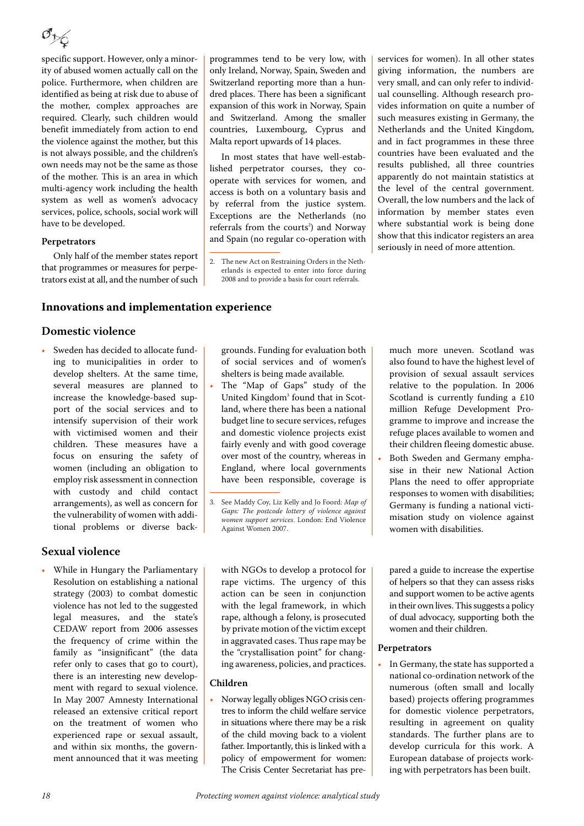specific support. However, only a minority of abused women actually call on the police. Furthermore, when children are identified as being at risk due to abuse of the mother, complex approaches are required. Clearly, such children would benefit immediately from action to end the violence against the mother, but this is not always possible, and the children's own needs may not be the same as those of the mother. This is an area in which multi-agency work including the health system as well as women's advocacy services, police, schools, social work will have to be developed.

#### **Perpetrators**

Only half of the member states report that programmes or measures for perpetrators exist at all, and the number of such

#### <span id="page-19-0"></span>**Innovations and implementation experience**

#### **Domestic violence**

• Sweden has decided to allocate funding to municipalities in order to develop shelters. At the same time, several measures are planned to increase the knowledge-based support of the social services and to intensify supervision of their work with victimised women and their children. These measures have a focus on ensuring the safety of women (including an obligation to employ risk assessment in connection with custody and child contact arrangements), as well as concern for the vulnerability of women with additional problems or diverse back-

### **Sexual violence**

• While in Hungary the Parliamentary Resolution on establishing a national strategy (2003) to combat domestic violence has not led to the suggested legal measures, and the state's CEDAW report from 2006 assesses the frequency of crime within the family as "insignificant" (the data refer only to cases that go to court), there is an interesting new development with regard to sexual violence. In May 2007 Amnesty International released an extensive critical report on the treatment of women who experienced rape or sexual assault, and within six months, the government announced that it was meeting programmes tend to be very low, with only Ireland, Norway, Spain, Sweden and Switzerland reporting more than a hundred places. There has been a significant expansion of this work in Norway, Spain and Switzerland. Among the smaller countries, Luxembourg, Cyprus and Malta report upwards of 14 places.

In most states that have well-established perpetrator courses, they cooperate with services for women, and access is both on a voluntary basis and by referral from the justice system. Exceptions are the Netherlands (no referrals from the courts<sup>2</sup>) and Norway and Spain (no regular co-operation with

services for women). In all other states giving information, the numbers are very small, and can only refer to individual counselling. Although research provides information on quite a number of such measures existing in Germany, the Netherlands and the United Kingdom, and in fact programmes in these three countries have been evaluated and the results published, all three countries apparently do not maintain statistics at the level of the central government. Overall, the low numbers and the lack of information by member states even where substantial work is being done show that this indicator registers an area seriously in need of more attention.

grounds. Funding for evaluation both of social services and of women's shelters is being made available.

The "Map of Gaps" study of the United Kingdom<sup>3</sup> found that in Scotland, where there has been a national budget line to secure services, refuges and domestic violence projects exist fairly evenly and with good coverage over most of the country, whereas in England, where local governments have been responsible, coverage is

with NGOs to develop a protocol for rape victims. The urgency of this action can be seen in conjunction with the legal framework, in which rape, although a felony, is prosecuted by private motion of the victim except in aggravated cases. Thus rape may be the "crystallisation point" for changing awareness, policies, and practices.

#### **Children**

• Norway legally obliges NGO crisis centres to inform the child welfare service in situations where there may be a risk of the child moving back to a violent father. Importantly, this is linked with a policy of empowerment for women: The Crisis Center Secretariat has premuch more uneven. Scotland was also found to have the highest level of provision of sexual assault services relative to the population. In 2006 Scotland is currently funding a £10 million Refuge Development Programme to improve and increase the refuge places available to women and their children fleeing domestic abuse.

• Both Sweden and Germany emphasise in their new National Action Plans the need to offer appropriate responses to women with disabilities; Germany is funding a national victimisation study on violence against women with disabilities.

pared a guide to increase the expertise of helpers so that they can assess risks and support women to be active agents in their own lives. This suggests a policy of dual advocacy, supporting both the women and their children.

#### **Perpetrators**

• In Germany, the state has supported a national co-ordination network of the numerous (often small and locally based) projects offering programmes for domestic violence perpetrators, resulting in agreement on quality standards. The further plans are to develop curricula for this work. A European database of projects working with perpetrators has been built.

<sup>2.</sup> The new Act on Restraining Orders in the Netherlands is expected to enter into force during 2008 and to provide a basis for court referrals.

<sup>3.</sup> See Maddy Coy, Liz Kelly and Jo Foord: Map of Gaps: The postcode lottery of violence against women support services. London: End Violence Against Women 2007.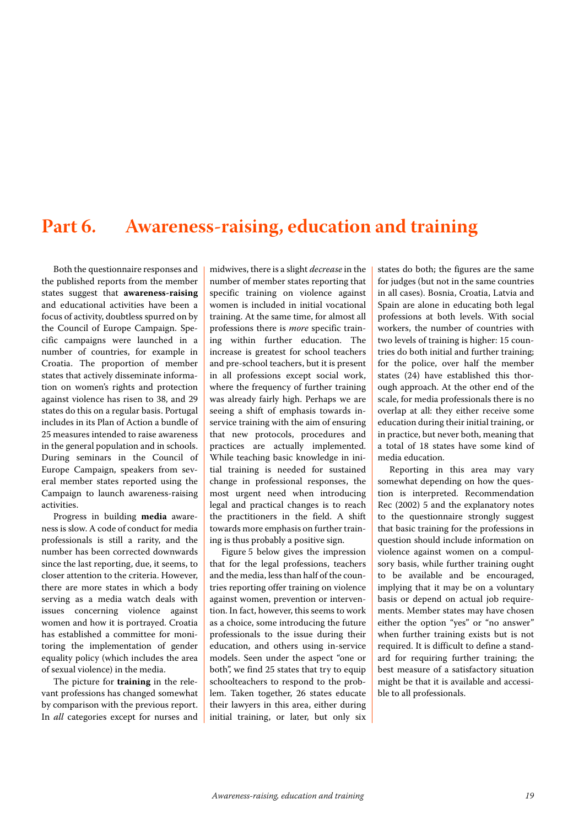### <span id="page-20-0"></span>**Part 6. Awareness-raising, education and training**

Both the questionnaire responses and the published reports from the member states suggest that **awareness-raising** and educational activities have been a focus of activity, doubtless spurred on by the Council of Europe Campaign. Specific campaigns were launched in a number of countries, for example in Croatia. The proportion of member states that actively disseminate information on women's rights and protection against violence has risen to 38, and 29 states do this on a regular basis. Portugal includes in its Plan of Action a bundle of 25 measures intended to raise awareness in the general population and in schools. During seminars in the Council of Europe Campaign, speakers from several member states reported using the Campaign to launch awareness-raising activities.

Progress in building **media** awareness is slow. A code of conduct for media professionals is still a rarity, and the number has been corrected downwards since the last reporting, due, it seems, to closer attention to the criteria. However, there are more states in which a body serving as a media watch deals with issues concerning violence against women and how it is portrayed. Croatia has established a committee for monitoring the implementation of gender equality policy (which includes the area of sexual violence) in the media.

The picture for **training** in the relevant professions has changed somewhat by comparison with the previous report. In all categories except for nurses and

midwives, there is a slight *decrease* in the number of member states reporting that specific training on violence against women is included in initial vocational training. At the same time, for almost all professions there is more specific training within further education. The increase is greatest for school teachers and pre-school teachers, but it is present in all professions except social work, where the frequency of further training was already fairly high. Perhaps we are seeing a shift of emphasis towards inservice training with the aim of ensuring that new protocols, procedures and practices are actually implemented. While teaching basic knowledge in initial training is needed for sustained change in professional responses, the most urgent need when introducing legal and practical changes is to reach the practitioners in the field. A shift towards more emphasis on further training is thus probably a positive sign.

Figure 5 below gives the impression that for the legal professions, teachers and the media, less than half of the countries reporting offer training on violence against women, prevention or intervention. In fact, however, this seems to work as a choice, some introducing the future professionals to the issue during their education, and others using in-service models. Seen under the aspect "one or both", we find 25 states that try to equip schoolteachers to respond to the problem. Taken together, 26 states educate their lawyers in this area, either during initial training, or later, but only six states do both; the figures are the same for judges (but not in the same countries in all cases). Bosnia, Croatia, Latvia and Spain are alone in educating both legal professions at both levels. With social workers, the number of countries with two levels of training is higher: 15 countries do both initial and further training; for the police, over half the member states (24) have established this thorough approach. At the other end of the scale, for media professionals there is no overlap at all: they either receive some education during their initial training, or in practice, but never both, meaning that a total of 18 states have some kind of media education.

Reporting in this area may vary somewhat depending on how the question is interpreted. Recommendation Rec (2002) 5 and the explanatory notes to the questionnaire strongly suggest that basic training for the professions in question should include information on violence against women on a compulsory basis, while further training ought to be available and be encouraged, implying that it may be on a voluntary basis or depend on actual job requirements. Member states may have chosen either the option "yes" or "no answer" when further training exists but is not required. It is difficult to define a standard for requiring further training; the best measure of a satisfactory situation might be that it is available and accessible to all professionals.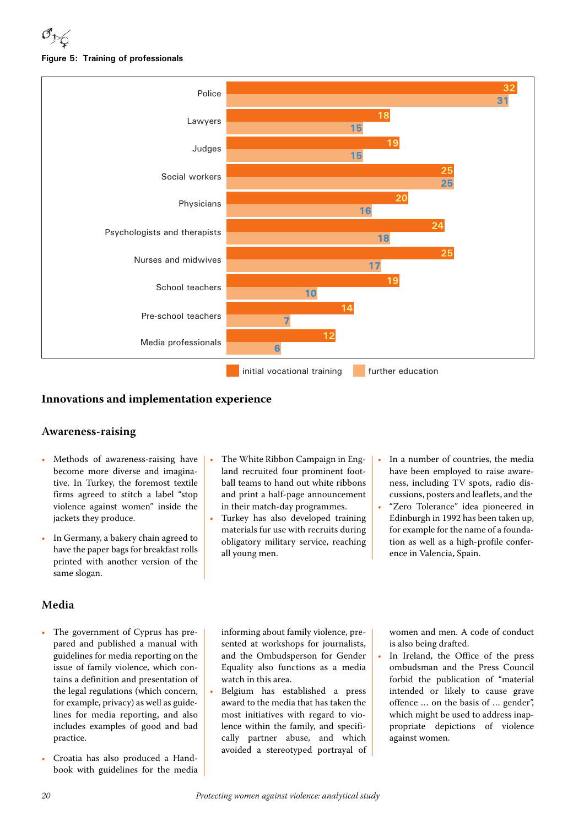



### <span id="page-21-0"></span>**Innovations and implementation experience**

#### **Awareness-raising**

- Methods of awareness-raising have become more diverse and imaginative. In Turkey, the foremost textile firms agreed to stitch a label "stop violence against women" inside the jackets they produce.
- In Germany, a bakery chain agreed to have the paper bags for breakfast rolls printed with another version of the same slogan.

### **Media**

- The government of Cyprus has prepared and published a manual with guidelines for media reporting on the issue of family violence, which contains a definition and presentation of the legal regulations (which concern, for example, privacy) as well as guidelines for media reporting, and also includes examples of good and bad practice.
- Croatia has also produced a Handbook with guidelines for the media
- The White Ribbon Campaign in England recruited four prominent football teams to hand out white ribbons and print a half-page announcement in their match-day programmes.
- Turkey has also developed training materials fur use with recruits during obligatory military service, reaching all young men.
- In a number of countries, the media have been employed to raise awareness, including TV spots, radio discussions, posters and leaflets, and the
- "Zero Tolerance" idea pioneered in Edinburgh in 1992 has been taken up, for example for the name of a foundation as well as a high-profile conference in Valencia, Spain.

informing about family violence, presented at workshops for journalists, and the Ombudsperson for Gender Equality also functions as a media watch in this area.

• Belgium has established a press award to the media that has taken the most initiatives with regard to violence within the family, and specifically partner abuse, and which avoided a stereotyped portrayal of women and men. A code of conduct is also being drafted.

In Ireland, the Office of the press ombudsman and the Press Council forbid the publication of "material intended or likely to cause grave offence … on the basis of … gender", which might be used to address inappropriate depictions of violence against women.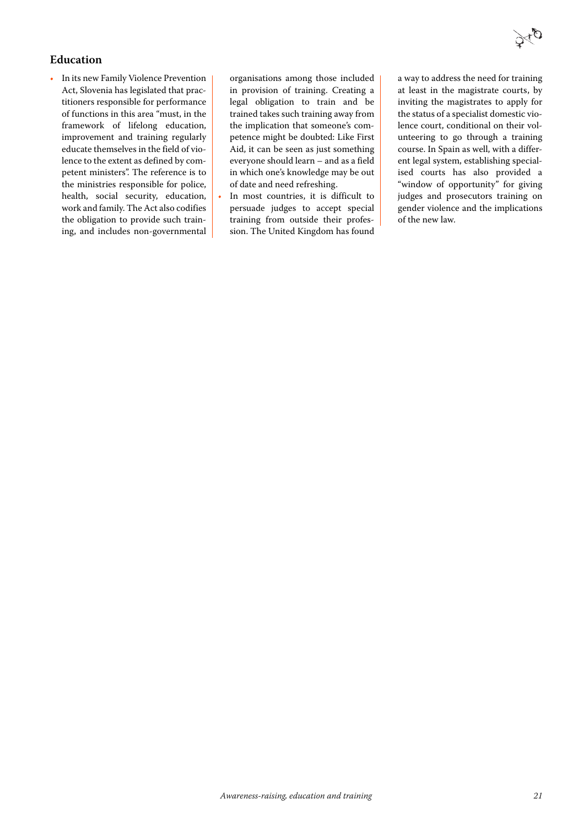### **Education**

• In its new Family Violence Prevention Act, Slovenia has legislated that practitioners responsible for performance of functions in this area "must, in the framework of lifelong education, improvement and training regularly educate themselves in the field of violence to the extent as defined by competent ministers". The reference is to the ministries responsible for police, health, social security, education, work and family. The Act also codifies the obligation to provide such training, and includes non-governmental

organisations among those included in provision of training. Creating a legal obligation to train and be trained takes such training away from the implication that someone's competence might be doubted: Like First Aid, it can be seen as just something everyone should learn – and as a field in which one's knowledge may be out of date and need refreshing.

In most countries, it is difficult to persuade judges to accept special training from outside their profession. The United Kingdom has found a way to address the need for training at least in the magistrate courts, by inviting the magistrates to apply for the status of a specialist domestic violence court, conditional on their volunteering to go through a training course. In Spain as well, with a different legal system, establishing specialised courts has also provided a "window of opportunity" for giving judges and prosecutors training on gender violence and the implications of the new law.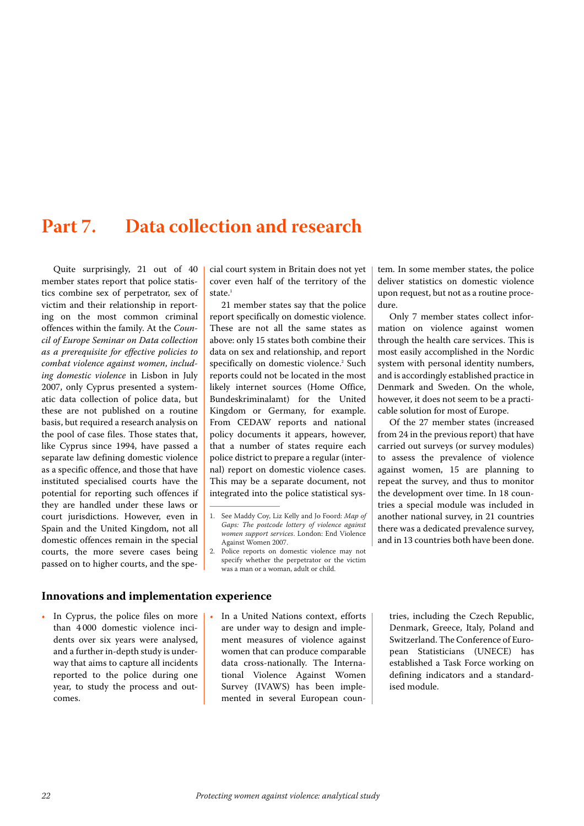### <span id="page-23-0"></span>**Part 7. Data collection and research**

Quite surprisingly, 21 out of 40 member states report that police statistics combine sex of perpetrator, sex of victim and their relationship in reporting on the most common criminal offences within the family. At the Council of Europe Seminar on Data collection as a prerequisite for effective policies to combat violence against women, including domestic violence in Lisbon in July 2007, only Cyprus presented a systematic data collection of police data, but these are not published on a routine basis, but required a research analysis on the pool of case files. Those states that, like Cyprus since 1994, have passed a separate law defining domestic violence as a specific offence, and those that have instituted specialised courts have the potential for reporting such offences if they are handled under these laws or court jurisdictions. However, even in Spain and the United Kingdom, not all domestic offences remain in the special courts, the more severe cases being passed on to higher courts, and the special court system in Britain does not yet cover even half of the territory of the state.<sup>1</sup>

21 member states say that the police report specifically on domestic violence. These are not all the same states as above: only 15 states both combine their data on sex and relationship, and report specifically on domestic violence.<sup>2</sup> Such reports could not be located in the most likely internet sources (Home Office, Bundeskriminalamt) for the United Kingdom or Germany, for example. From CEDAW reports and national policy documents it appears, however, that a number of states require each police district to prepare a regular (internal) report on domestic violence cases. This may be a separate document, not integrated into the police statistical sys-

2. Police reports on domestic violence may not specify whether the perpetrator or the victim was a man or a woman, adult or child.

tem. In some member states, the police deliver statistics on domestic violence upon request, but not as a routine procedure.

Only 7 member states collect information on violence against women through the health care services. This is most easily accomplished in the Nordic system with personal identity numbers, and is accordingly established practice in Denmark and Sweden. On the whole, however, it does not seem to be a practicable solution for most of Europe.

Of the 27 member states (increased from 24 in the previous report) that have carried out surveys (or survey modules) to assess the prevalence of violence against women, 15 are planning to repeat the survey, and thus to monitor the development over time. In 18 countries a special module was included in another national survey, in 21 countries there was a dedicated prevalence survey, and in 13 countries both have been done.

#### <span id="page-23-1"></span>**Innovations and implementation experience**

- In Cyprus, the police files on more than 4 000 domestic violence incidents over six years were analysed, and a further in-depth study is underway that aims to capture all incidents reported to the police during one year, to study the process and outcomes.
- In a United Nations context, efforts are under way to design and implement measures of violence against women that can produce comparable data cross-nationally. The International Violence Against Women Survey (IVAWS) has been implemented in several European coun-

tries, including the Czech Republic, Denmark, Greece, Italy, Poland and Switzerland. The Conference of European Statisticians (UNECE) has established a Task Force working on defining indicators and a standardised module.

<sup>1.</sup> See Maddy Coy, Liz Kelly and Jo Foord: Map of Gaps: The postcode lottery of violence against women support services. London: End Violence Against Women 2007.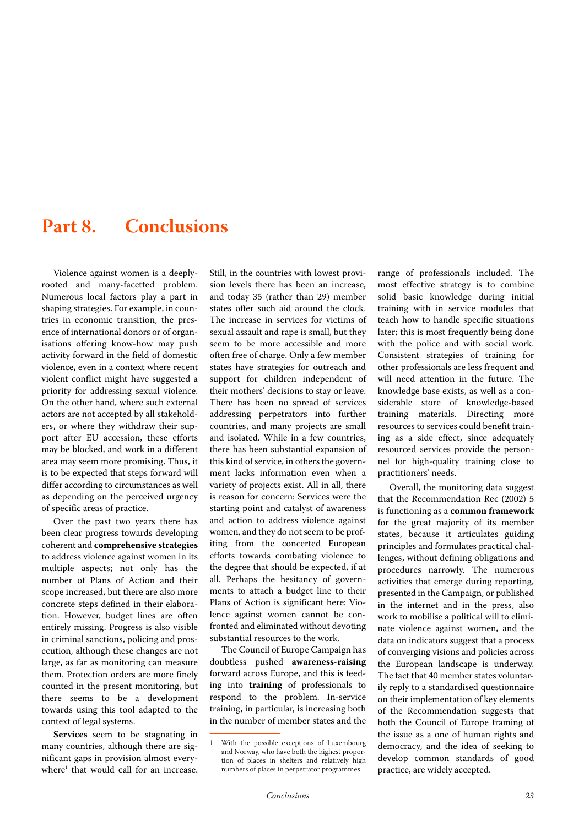## <span id="page-24-0"></span>**Part 8. Conclusions**

Violence against women is a deeplyrooted and many-facetted problem. Numerous local factors play a part in shaping strategies. For example, in countries in economic transition, the presence of international donors or of organisations offering know-how may push activity forward in the field of domestic violence, even in a context where recent violent conflict might have suggested a priority for addressing sexual violence. On the other hand, where such external actors are not accepted by all stakeholders, or where they withdraw their support after EU accession, these efforts may be blocked, and work in a different area may seem more promising. Thus, it is to be expected that steps forward will differ according to circumstances as well as depending on the perceived urgency of specific areas of practice.

Over the past two years there has been clear progress towards developing coherent and **comprehensive strategies** to address violence against women in its multiple aspects; not only has the number of Plans of Action and their scope increased, but there are also more concrete steps defined in their elaboration. However, budget lines are often entirely missing. Progress is also visible in criminal sanctions, policing and prosecution, although these changes are not large, as far as monitoring can measure them. Protection orders are more finely counted in the present monitoring, but there seems to be a development towards using this tool adapted to the context of legal systems.

**Services** seem to be stagnating in many countries, although there are significant gaps in provision almost everywhere<sup>1</sup> that would call for an increase.

Still, in the countries with lowest provision levels there has been an increase, and today 35 (rather than 29) member states offer such aid around the clock. The increase in services for victims of sexual assault and rape is small, but they seem to be more accessible and more often free of charge. Only a few member states have strategies for outreach and support for children independent of their mothers' decisions to stay or leave. There has been no spread of services addressing perpetrators into further countries, and many projects are small and isolated. While in a few countries, there has been substantial expansion of this kind of service, in others the government lacks information even when a variety of projects exist. All in all, there is reason for concern: Services were the starting point and catalyst of awareness and action to address violence against women, and they do not seem to be profiting from the concerted European efforts towards combating violence to the degree that should be expected, if at all. Perhaps the hesitancy of governments to attach a budget line to their Plans of Action is significant here: Violence against women cannot be confronted and eliminated without devoting substantial resources to the work.

The Council of Europe Campaign has doubtless pushed **awareness-raising** forward across Europe, and this is feeding into **training** of professionals to respond to the problem. In-service training, in particular, is increasing both in the number of member states and the range of professionals included. The most effective strategy is to combine solid basic knowledge during initial training with in service modules that teach how to handle specific situations later; this is most frequently being done with the police and with social work. Consistent strategies of training for other professionals are less frequent and will need attention in the future. The knowledge base exists, as well as a considerable store of knowledge-based training materials. Directing more resources to services could benefit training as a side effect, since adequately resourced services provide the personnel for high-quality training close to practitioners' needs.

Overall, the monitoring data suggest that the Recommendation Rec (2002) 5 is functioning as a **common framework** for the great majority of its member states, because it articulates guiding principles and formulates practical challenges, without defining obligations and procedures narrowly. The numerous activities that emerge during reporting, presented in the Campaign, or published in the internet and in the press, also work to mobilise a political will to eliminate violence against women, and the data on indicators suggest that a process of converging visions and policies across the European landscape is underway. The fact that 40 member states voluntarily reply to a standardised questionnaire on their implementation of key elements of the Recommendation suggests that both the Council of Europe framing of the issue as a one of human rights and democracy, and the idea of seeking to develop common standards of good practice, are widely accepted.

<sup>1.</sup> With the possible exceptions of Luxembourg and Norway, who have both the highest proportion of places in shelters and relatively high numbers of places in perpetrator programmes.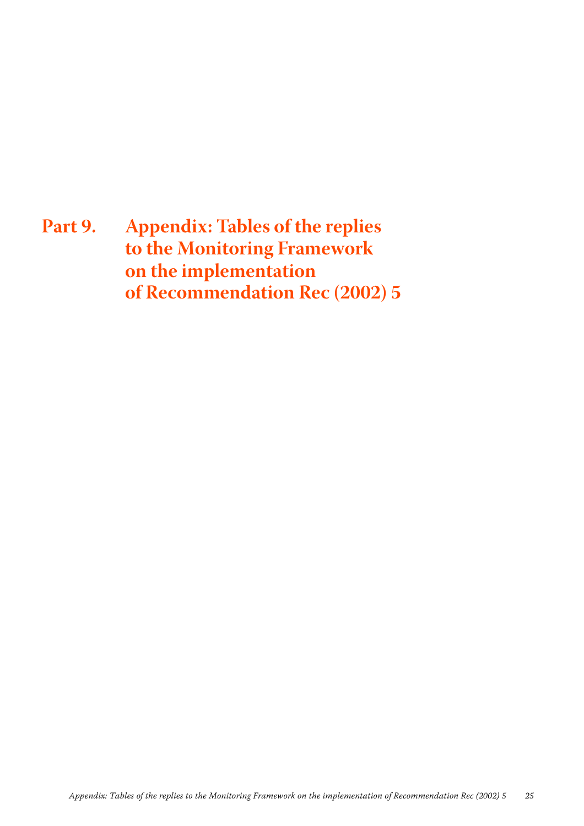<span id="page-26-0"></span>**Part 9. Appendix: Tables of the replies to the Monitoring Framework on the implementation of Recommendation Rec (2002) 5**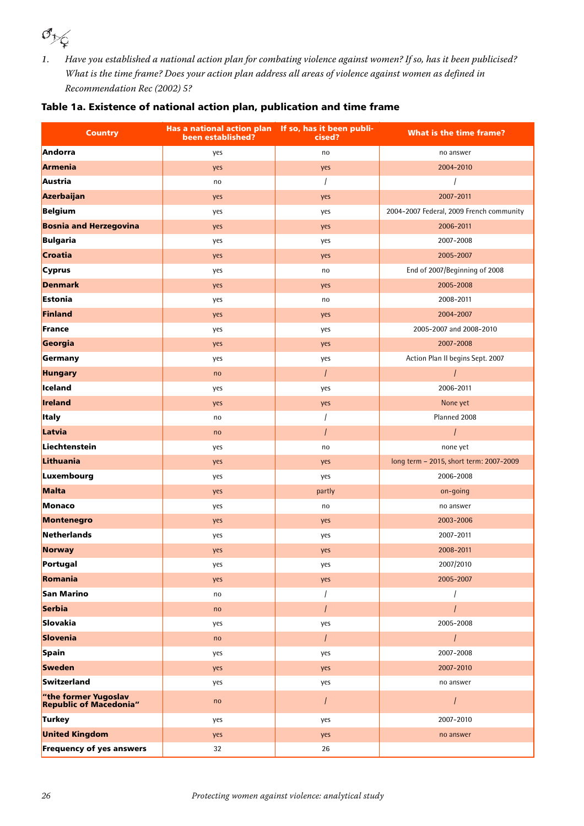*1.* Have you established a national action plan for combating violence against women? If so, has it been publicised? What is the time frame? Does your action plan address all areas of violence against women as defined in Recommendation Rec (2002) 5?

### Table 1a. Existence of national action plan, publication and time frame

| <b>Country</b>                                 | Has a national action plan If so, has it been publi-<br>been established? | cised?         | <b>What is the time frame?</b>           |
|------------------------------------------------|---------------------------------------------------------------------------|----------------|------------------------------------------|
| Andorra                                        | yes                                                                       | no             | no answer                                |
| Armenia                                        | yes                                                                       | yes            | 2004-2010                                |
| Austria                                        | no                                                                        | $\prime$       |                                          |
| Azerbaijan                                     | yes                                                                       | yes            | 2007-2011                                |
| Belgium                                        | yes                                                                       | yes            | 2004-2007 Federal, 2009 French community |
| <b>Bosnia and Herzegovina</b>                  | yes                                                                       | yes            | 2006-2011                                |
| Bulgaria                                       | yes                                                                       | yes            | 2007-2008                                |
| <b>Croatia</b>                                 | yes                                                                       | yes            | 2005-2007                                |
| <b>Cyprus</b>                                  | yes                                                                       | no             | End of 2007/Beginning of 2008            |
| <b>Denmark</b>                                 | yes                                                                       | yes            | 2005-2008                                |
| Estonia                                        | yes                                                                       | no             | 2008-2011                                |
| Finland                                        | yes                                                                       | yes            | 2004-2007                                |
| France                                         | yes                                                                       | yes            | 2005-2007 and 2008-2010                  |
| Georgia                                        | yes                                                                       | yes            | 2007-2008                                |
| Germany                                        | yes                                                                       | yes            | Action Plan II begins Sept. 2007         |
| <b>Hungary</b>                                 | no                                                                        | $\prime$       | $\prime$                                 |
| Iceland                                        | yes                                                                       | yes            | 2006-2011                                |
| <b>Ireland</b>                                 | yes                                                                       | yes            | None yet                                 |
| <b>Italy</b>                                   | no                                                                        | $\sqrt{2}$     | Planned 2008                             |
| Latvia                                         | no                                                                        | $\overline{I}$ | $\overline{I}$                           |
| Liechtenstein                                  | yes                                                                       | no             | none yet                                 |
| Lithuania                                      | yes                                                                       | yes            | long term - 2015, short term: 2007-2009  |
| Luxembourg                                     | yes                                                                       | yes            | 2006-2008                                |
| Malta                                          | yes                                                                       | partly         | on-going                                 |
| Monaco                                         | yes                                                                       | no             | no answer                                |
| <b>Montenegro</b>                              | yes                                                                       | yes            | 2003-2006                                |
| Netherlands                                    | yes                                                                       | yes            | 2007-2011                                |
| <b>Norway</b>                                  | yes                                                                       | yes            | 2008-2011                                |
| Portugal                                       | yes                                                                       | yes            | 2007/2010                                |
| Romania                                        | yes                                                                       | yes            | 2005-2007                                |
| <b>San Marino</b>                              | no                                                                        | $\prime$       |                                          |
| Serbia                                         | no                                                                        | $\prime$       | $\prime$                                 |
| Slovakia                                       | yes                                                                       | yes            | 2005-2008                                |
| Slovenia                                       | no                                                                        | $\overline{I}$ | $\overline{I}$                           |
| Spain                                          | yes                                                                       | yes            | 2007-2008                                |
| <b>Sweden</b>                                  | yes                                                                       | yes            | 2007-2010                                |
| Switzerland                                    | yes                                                                       | yes            | no answer                                |
| "the former Yugoslav<br>Republic of Macedonia" | no                                                                        | $\prime$       | $\prime$                                 |
| Turkey                                         | yes                                                                       | yes            | 2007-2010                                |
| <b>United Kingdom</b>                          | yes                                                                       | yes            | no answer                                |
| <b>Frequency of yes answers</b>                | 32                                                                        | 26             |                                          |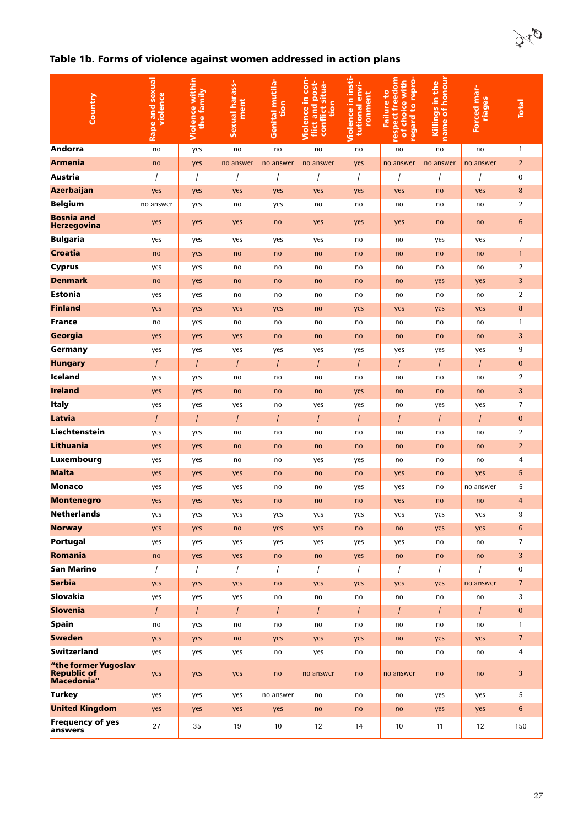### Table 1b. Forms of violence against women addressed in action plans

| Country                                                  | Rape and sexual<br>violence | <b>Violence within</b><br>the family | Sexual harass-<br>ment | <b>Genital mutila-</b><br>tion | Violence in con-<br>flict and post-<br>conflict situa-<br>tion | Violence in insti<br>tutional envi-<br>ronment | respect freedom<br>regard to repro-<br>of choice with<br><b>Failure to</b> | name of honour<br>Killings in the | Forced mar-<br>riages | <b>Total</b>     |
|----------------------------------------------------------|-----------------------------|--------------------------------------|------------------------|--------------------------------|----------------------------------------------------------------|------------------------------------------------|----------------------------------------------------------------------------|-----------------------------------|-----------------------|------------------|
| Andorra                                                  | no                          | yes                                  | no                     | no                             | no                                                             | no                                             | no                                                                         | no                                | no                    | $\mathbf{1}$     |
| Armenia                                                  | no                          | yes                                  | no answer              | no answer                      | no answer                                                      | yes                                            | no answer                                                                  | no answer                         | no answer             | $\overline{2}$   |
| Austria                                                  | $\prime$                    |                                      |                        |                                |                                                                | $\prime$                                       |                                                                            | $\prime$                          |                       | 0                |
| Azerbaijan                                               | yes                         | yes                                  | yes                    | yes                            | yes                                                            | yes                                            | yes                                                                        | no                                | yes                   | $\bf 8$          |
| Belgium                                                  | no answer                   | yes                                  | no                     | yes                            | no                                                             | no                                             | no                                                                         | no                                | no                    | $\overline{2}$   |
| <b>Bosnia and</b><br>Herzegovina                         | yes                         | yes                                  | yes                    | no                             | yes                                                            | yes                                            | yes                                                                        | no                                | no                    | $\boldsymbol{6}$ |
| Bulgaria                                                 | yes                         | yes                                  | yes                    | yes                            | yes                                                            | no                                             | no                                                                         | yes                               | yes                   | $\overline{7}$   |
| Croatia                                                  | no                          | yes                                  | no                     | no                             | no                                                             | no                                             | no                                                                         | no                                | no                    | $\mathbf{1}$     |
| <b>Cyprus</b>                                            | yes                         | yes                                  | no                     | no                             | no                                                             | no                                             | no                                                                         | no                                | no                    | $\overline{2}$   |
| Denmark                                                  | no                          | yes                                  | no                     | no                             | no                                                             | no                                             | no                                                                         | yes                               | yes                   | 3                |
| Estonia                                                  | yes                         | yes                                  | no                     | no                             | no                                                             | no                                             | no                                                                         | no                                | no                    | $\overline{2}$   |
| Finland                                                  | yes                         | yes                                  | yes                    | yes                            | no                                                             | yes                                            | yes                                                                        | yes                               | yes                   | $\bf 8$          |
| France                                                   | no                          | yes                                  | no                     | no                             | no                                                             | no                                             | no                                                                         | no                                | no                    | $\mathbf{1}$     |
| Georgia                                                  | yes                         | yes                                  | yes                    | no                             | no                                                             | no                                             | no                                                                         | no                                | no                    | 3                |
| Germany                                                  | yes                         | yes                                  | yes                    | yes                            | yes                                                            | yes                                            | yes                                                                        | yes                               | yes                   | 9                |
| Hungary                                                  | $\prime$                    | $\overline{1}$                       | $\prime$               | $\sqrt{ }$                     | $\prime$                                                       | $\prime$                                       | $\prime$                                                                   | $\prime$                          | $\prime$              | $\pmb{0}$        |
| Iceland                                                  | yes                         | yes                                  | no                     | no                             | no                                                             | no                                             | no                                                                         | no                                | no                    | $\overline{2}$   |
| Ireland                                                  | yes                         | yes                                  | no                     | no                             | no                                                             | yes                                            | no                                                                         | no                                | no                    | $\mathbf{3}$     |
| <b>Italy</b>                                             | yes                         | yes                                  | yes                    | no                             | yes                                                            | yes                                            | no                                                                         | yes                               | yes                   | $\overline{7}$   |
| Latvia                                                   | $\prime$                    | $\prime$                             | $\prime$               | $\prime$                       | $\prime$                                                       | $\prime$                                       | $\prime$                                                                   | $\prime$                          | $\prime$              | $\pmb{0}$        |
| Liechtenstein                                            | yes                         | yes                                  | no                     | no                             | no                                                             | no                                             | no                                                                         | no                                | no                    | $\overline{2}$   |
| Lithuania                                                | yes                         | yes                                  | no                     | no                             | no                                                             | no                                             | no                                                                         | no                                | no                    | $\overline{2}$   |
| Luxembourg                                               | yes                         | yes                                  | no                     | no                             | yes                                                            | yes                                            | no                                                                         | no                                | no                    | 4                |
| Malta                                                    | yes                         | yes                                  | yes                    | no                             | no                                                             | no                                             | yes                                                                        | no                                | yes                   | 5                |
| Monaco                                                   | yes                         | yes                                  | yes                    | no                             | no                                                             | yes                                            | yes                                                                        | no                                | no answer             | 5                |
| <b>Montenegro</b>                                        | yes                         | yes                                  | yes                    | no                             | no                                                             | no                                             | yes                                                                        | no                                | no                    | $\overline{4}$   |
| Netherlands                                              | yes                         | yes                                  | yes                    | yes                            | yes                                                            | yes                                            | yes                                                                        | yes                               | yes                   | 9                |
| Norway                                                   | yes                         | yes                                  | no                     | yes                            | yes                                                            | no                                             | no                                                                         | yes                               | yes                   | $6\phantom{1}6$  |
| Portugal                                                 | yes                         | yes                                  | yes                    | yes                            | yes                                                            | yes                                            | yes                                                                        | no                                | no                    | $\overline{7}$   |
| Romania                                                  | no                          | yes                                  | yes                    | no                             | no                                                             | yes                                            | no                                                                         | no                                | no                    | 3                |
| San Marino                                               | $\overline{1}$              | $\prime$                             | $\overline{1}$         | $\overline{1}$                 | $\overline{1}$                                                 | $\overline{I}$                                 | $\prime$                                                                   | $\overline{1}$                    | $\prime$              | 0                |
| Serbia                                                   | yes                         | yes                                  | yes                    | no                             | yes                                                            | yes                                            | yes                                                                        | yes                               | no answer             | $\overline{7}$   |
| Slovakia                                                 | yes                         | yes                                  | yes                    | no                             | no                                                             | no                                             | no                                                                         | no                                | no                    | 3                |
| Slovenia                                                 | $\overline{I}$              | $\overline{1}$                       | $\prime$               | $\prime$                       | $\prime$                                                       | $\prime$                                       | $\prime$                                                                   | $\overline{1}$                    | $\prime$              | $\mathbf{0}$     |
| Spain                                                    | no                          | yes                                  | no                     | no                             | no                                                             | no                                             | no                                                                         | no                                | no                    | $\mathbf{1}$     |
| <b>Sweden</b>                                            | yes                         | yes                                  | no                     | yes                            | yes                                                            | yes                                            | no                                                                         | yes                               | yes                   | $7\overline{ }$  |
| Switzerland                                              | yes                         | yes                                  | yes                    | no                             | yes                                                            | no                                             | no                                                                         | no                                | no                    | 4                |
| "the former Yugoslav<br><b>Republic of</b><br>Macedonia" | yes                         | yes                                  | yes                    | no                             | no answer                                                      | no                                             | no answer                                                                  | no                                | no                    | 3                |
| Turkey                                                   | yes                         | yes                                  | yes                    | no answer                      | no                                                             | no                                             | no                                                                         | yes                               | yes                   | 5                |
| <b>United Kingdom</b>                                    | yes                         | yes                                  | yes                    | yes                            | no                                                             | no                                             | no                                                                         | yes                               | yes                   | 6                |
| <b>Frequency of yes</b><br>answers                       | 27                          | 35                                   | 19                     | 10                             | 12                                                             | 14                                             | 10                                                                         | 11                                | 12                    | 150              |

oto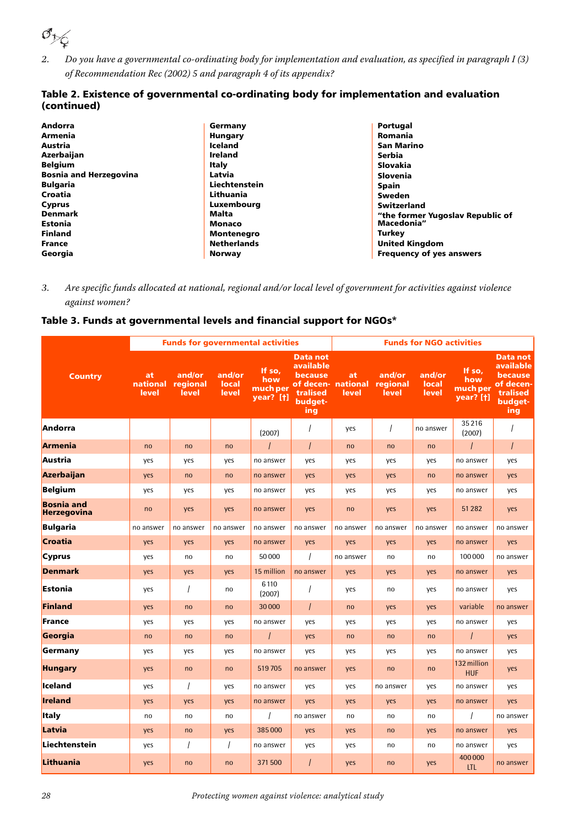

*2.* Do you have a governmental co-ordinating body for implementation and evaluation, as specified in paragraph I (3) of Recommendation Rec (2002) 5 and paragraph 4 of its appendix?

#### Table 2. Existence of governmental co-ordinating body for implementation and evaluation (continued)

| Andorra                       | Germany            | Portugal                         |
|-------------------------------|--------------------|----------------------------------|
| Armenia                       | <b>Hungary</b>     | Romania                          |
| Austria                       | <b>Iceland</b>     | <b>San Marino</b>                |
| Azerbaijan                    | <b>Ireland</b>     | Serbia                           |
| <b>Belgium</b>                | Italy              | Slovakia                         |
| <b>Bosnia and Herzegovina</b> | Latvia             | Slovenia                         |
| <b>Bulgaria</b>               | Liechtenstein      | Spain                            |
| Croatia                       | Lithuania          | Sweden                           |
| <b>Cyprus</b>                 | Luxembourg         | <b>Switzerland</b>               |
| <b>Denmark</b>                | Malta              | "the former Yugoslav Republic of |
| <b>Estonia</b>                | Monaco             | Macedonia"                       |
| <b>Finland</b>                | <b>Montenegro</b>  | Turkey                           |
| <b>France</b>                 | <b>Netherlands</b> | <b>United Kingdom</b>            |
| Georgia                       | Norway             | <b>Frequency of yes answers</b>  |

### *3.* Are specific funds allocated at national, regional and/or local level of government for activities against violence against women?

#### Table 3. Funds at governmental levels and financial support for NGOs\*

|                                  |                         |                             |                          | <b>Funds for governmental activities</b> |                                                                | <b>Funds for NGO activities</b>  |                             |                          |                                               |                                                                                    |
|----------------------------------|-------------------------|-----------------------------|--------------------------|------------------------------------------|----------------------------------------------------------------|----------------------------------|-----------------------------|--------------------------|-----------------------------------------------|------------------------------------------------------------------------------------|
| <b>Country</b>                   | at<br>national<br>level | and/or<br>regional<br>level | and/or<br>local<br>level | If so,<br>how<br>much per<br>year? [t]   | Data not<br>available<br>because<br>tralised<br>budget-<br>ing | at<br>of decen-national<br>level | and/or<br>regional<br>level | and/or<br>local<br>level | If so,<br>how<br>much per<br><b>year?</b> [†] | Data not<br><b>available</b><br>because<br>of decen-<br>tralised<br>budget-<br>ing |
| Andorra                          |                         |                             |                          | (2007)                                   | $\overline{I}$                                                 | yes                              | $\prime$                    | no answer                | 35 216<br>(2007)                              | $\overline{I}$                                                                     |
| Armenia                          | no                      | no                          | no                       | $\prime$                                 | $\prime$                                                       | no                               | no                          | no                       | $\prime$                                      | $\overline{I}$                                                                     |
| Austria                          | yes                     | yes                         | yes                      | no answer                                | yes                                                            | yes                              | yes                         | yes                      | no answer                                     | yes                                                                                |
| Azerbaijan                       | yes                     | no                          | no                       | no answer                                | yes                                                            | yes                              | yes                         | no                       | no answer                                     | yes                                                                                |
| <b>Belgium</b>                   | yes                     | yes                         | yes                      | no answer                                | yes                                                            | yes                              | yes                         | yes                      | no answer                                     | yes                                                                                |
| <b>Bosnia and</b><br>Herzegovina | no                      | yes                         | yes                      | no answer                                | yes                                                            | no                               | yes                         | yes                      | 51 282                                        | yes                                                                                |
| <b>Bulgaria</b>                  | no answer               | no answer                   | no answer                | no answer                                | no answer                                                      | no answer                        | no answer                   | no answer                | no answer                                     | no answer                                                                          |
| Croatia                          | yes                     | yes                         | yes                      | no answer                                | yes                                                            | yes                              | yes                         | yes                      | no answer                                     | yes                                                                                |
| <b>Cyprus</b>                    | yes                     | no                          | no                       | 50000                                    | $\prime$                                                       | no answer                        | no                          | no                       | 100 000                                       | no answer                                                                          |
| <b>Denmark</b>                   | yes                     | yes                         | yes                      | 15 million                               | no answer                                                      | yes                              | yes                         | yes                      | no answer                                     | yes                                                                                |
| Estonia                          | yes                     | $\prime$                    | no                       | 6110<br>(2007)                           |                                                                | yes                              | no                          | yes                      | no answer                                     | yes                                                                                |
| Finland                          | yes                     | no                          | no                       | 30000                                    | $\prime$                                                       | no                               | yes                         | yes                      | variable                                      | no answer                                                                          |
| France                           | yes                     | yes                         | yes                      | no answer                                | yes                                                            | yes                              | yes                         | yes                      | no answer                                     | yes                                                                                |
| Georgia                          | no                      | no                          | no                       | $\prime$                                 | yes                                                            | no                               | no                          | no                       | $\prime$                                      | yes                                                                                |
| Germany                          | yes                     | yes                         | yes                      | no answer                                | yes                                                            | yes                              | yes                         | yes                      | no answer                                     | yes                                                                                |
| <b>Hungary</b>                   | yes                     | no                          | no                       | 519705                                   | no answer                                                      | yes                              | no                          | no                       | 132 million<br><b>HUF</b>                     | yes                                                                                |
| Iceland                          | yes                     | $\prime$                    | yes                      | no answer                                | yes                                                            | yes                              | no answer                   | yes                      | no answer                                     | yes                                                                                |
| <b>Ireland</b>                   | yes                     | yes                         | yes                      | no answer                                | yes                                                            | yes                              | yes                         | yes                      | no answer                                     | yes                                                                                |
| <b>Italy</b>                     | no                      | no                          | no                       |                                          | no answer                                                      | no                               | no                          | no                       |                                               | no answer                                                                          |
| Latvia                           | yes                     | no                          | yes                      | 385000                                   | yes                                                            | yes                              | no                          | yes                      | no answer                                     | yes                                                                                |
| Liechtenstein                    | yes                     | $\overline{1}$              | $\prime$                 | no answer                                | yes                                                            | yes                              | no                          | no                       | no answer                                     | yes                                                                                |
| Lithuania                        | yes                     | no                          | no                       | 371 500                                  |                                                                | yes                              | no                          | yes                      | 400 000<br><b>LTL</b>                         | no answer                                                                          |

28 Protecting women against violence: analytical study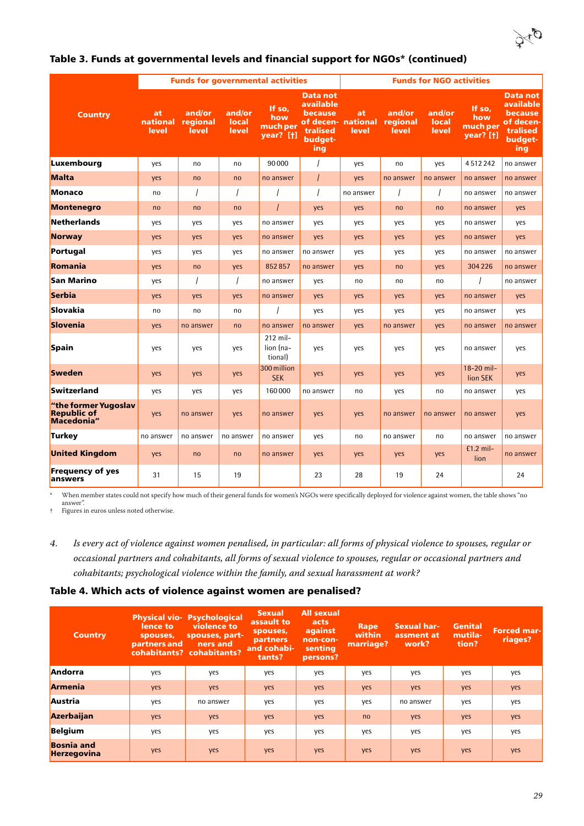

|                                                          |                         |                             |                          | <b>Funds for governmental activities</b> |                                                                       | <b>Funds for NGO activities</b>   |                             |                          |                                               |                                                                                           |
|----------------------------------------------------------|-------------------------|-----------------------------|--------------------------|------------------------------------------|-----------------------------------------------------------------------|-----------------------------------|-----------------------------|--------------------------|-----------------------------------------------|-------------------------------------------------------------------------------------------|
| <b>Country</b>                                           | at<br>national<br>level | and/or<br>regional<br>level | and/or<br>local<br>level | If so,<br>how<br>much per<br>year? [t]   | <b>Data not</b><br>available<br>because<br>tralised<br>budget-<br>ing | at<br>of decen- national<br>level | and/or<br>regional<br>level | and/or<br>local<br>level | If so,<br>how<br>much per<br><b>year?</b> [†] | <b>Data not</b><br><b>available</b><br>because<br>of decen-<br>tralised<br>budget-<br>ing |
| Luxembourg                                               | yes                     | no                          | no                       | 90000                                    |                                                                       | yes                               | no                          | yes                      | 4512242                                       | no answer                                                                                 |
| Malta                                                    | yes                     | no                          | no                       | no answer                                |                                                                       | yes                               | no answer                   | no answer                | no answer                                     | no answer                                                                                 |
| Monaco                                                   | no                      | $\prime$                    | $\prime$                 | $\prime$                                 |                                                                       | no answer                         |                             | $\prime$                 | no answer                                     | no answer                                                                                 |
| <b>Montenegro</b>                                        | no                      | no                          | no                       | $\prime$                                 | yes                                                                   | yes                               | no                          | no                       | no answer                                     | yes                                                                                       |
| Netherlands                                              | yes                     | yes                         | yes                      | no answer                                | yes                                                                   | yes                               | yes                         | yes                      | no answer                                     | yes                                                                                       |
| <b>Norway</b>                                            | yes                     | yes                         | yes                      | no answer                                | yes                                                                   | yes                               | yes                         | yes                      | no answer                                     | yes                                                                                       |
| Portugal                                                 | yes                     | yes                         | yes                      | no answer                                | no answer                                                             | yes                               | yes                         | yes                      | no answer                                     | no answer                                                                                 |
| Romania                                                  | yes                     | no                          | yes                      | 852857                                   | no answer                                                             | yes                               | no                          | yes                      | 304 226                                       | no answer                                                                                 |
| San Marino                                               | yes                     | $\overline{1}$              | $\overline{I}$           | no answer                                | yes                                                                   | no                                | no                          | no                       |                                               | no answer                                                                                 |
| Serbia                                                   | yes                     | yes                         | yes                      | no answer                                | yes                                                                   | yes                               | yes                         | yes                      | no answer                                     | yes                                                                                       |
| Slovakia                                                 | no                      | no                          | no                       |                                          | yes                                                                   | yes                               | yes                         | yes                      | no answer                                     | yes                                                                                       |
| Slovenia                                                 | yes                     | no answer                   | no                       | no answer                                | no answer                                                             | yes                               | no answer                   | yes                      | no answer                                     | no answer                                                                                 |
| Spain                                                    | yes                     | yes                         | yes                      | 212 mil-<br>lion (na-<br>tional)         | yes                                                                   | yes                               | yes                         | yes                      | no answer                                     | yes                                                                                       |
| Sweden                                                   | yes                     | yes                         | yes                      | 300 million<br><b>SEK</b>                | yes                                                                   | yes                               | yes                         | yes                      | 18-20 mil-<br>lion SEK                        | yes                                                                                       |
| Switzerland                                              | yes                     | yes                         | yes                      | 160000                                   | no answer                                                             | no                                | yes                         | no                       | no answer                                     | yes                                                                                       |
| "the former Yugoslav<br><b>Republic of</b><br>Macedonia" | yes                     | no answer                   | yes                      | no answer                                | yes                                                                   | yes                               | no answer                   | no answer                | no answer                                     | yes                                                                                       |
| Turkey                                                   | no answer               | no answer                   | no answer                | no answer                                | yes                                                                   | no                                | no answer                   | no                       | no answer                                     | no answer                                                                                 |
| <b>United Kingdom</b>                                    | yes                     | no                          | no                       | no answer                                | yes                                                                   | yes                               | yes                         | yes                      | $£1.2$ mil-<br>lion                           | no answer                                                                                 |
| <b>Frequency of yes</b><br>answers                       | 31                      | 15                          | 19                       |                                          | 23                                                                    | 28                                | 19                          | 24                       |                                               | 24                                                                                        |

### Table 3. Funds at governmental levels and financial support for NGOs\* (continued)

\* When member states could not specify how much of their general funds for women's NGOs were specifically deployed for violence against women, the table shows "no answer".

<span id="page-30-0"></span>† Figures in euros unless noted otherwise.

#### Table 4. Which acts of violence against women are penalised?

| <b>Country</b>                          | lence to<br>spouses,<br>partners and | <b>Physical vio- Psychological</b><br>violence to<br>spouses, part-<br>ners and<br>cohabitants? cohabitants? | <b>Sexual</b><br>assault to<br>spouses,<br>partners<br>and cohabi-<br>tants? | <b>All sexual</b><br>acts<br>against<br>non-con-<br>senting<br>persons? | Rape<br>within<br>marriage? | <b>Sexual har-</b><br>assment at<br>work? | Genital<br>mutila-<br>tion? | <b>Forced mar-</b><br>riages? |
|-----------------------------------------|--------------------------------------|--------------------------------------------------------------------------------------------------------------|------------------------------------------------------------------------------|-------------------------------------------------------------------------|-----------------------------|-------------------------------------------|-----------------------------|-------------------------------|
| Andorra                                 | yes                                  | yes                                                                                                          | yes                                                                          | yes                                                                     | yes                         | yes                                       | yes                         | yes                           |
| <b>Armenia</b>                          | yes                                  | yes                                                                                                          | yes                                                                          | yes                                                                     | yes                         | yes                                       | yes                         | yes                           |
| Austria                                 | yes                                  | no answer                                                                                                    | yes                                                                          | yes                                                                     | yes                         | no answer                                 | yes                         | yes                           |
| Azerbaijan                              | yes                                  | yes                                                                                                          | yes                                                                          | yes                                                                     | no                          | yes                                       | yes                         | yes                           |
| <b>Belgium</b>                          | yes                                  | yes                                                                                                          | yes                                                                          | yes                                                                     | yes                         | yes                                       | yes                         | yes                           |
| <b>Bosnia</b> and<br><b>Herzegovina</b> | yes                                  | yes                                                                                                          | yes                                                                          | yes                                                                     | yes                         | yes                                       | yes                         | yes                           |

*<sup>4.</sup>* Is every act of violence against women penalised, in particular: all forms of physical violence to spouses, regular or occasional partners and cohabitants, all forms of sexual violence to spouses, regular or occasional partners and cohabitants; psychological violence within the family, and sexual harassment at work?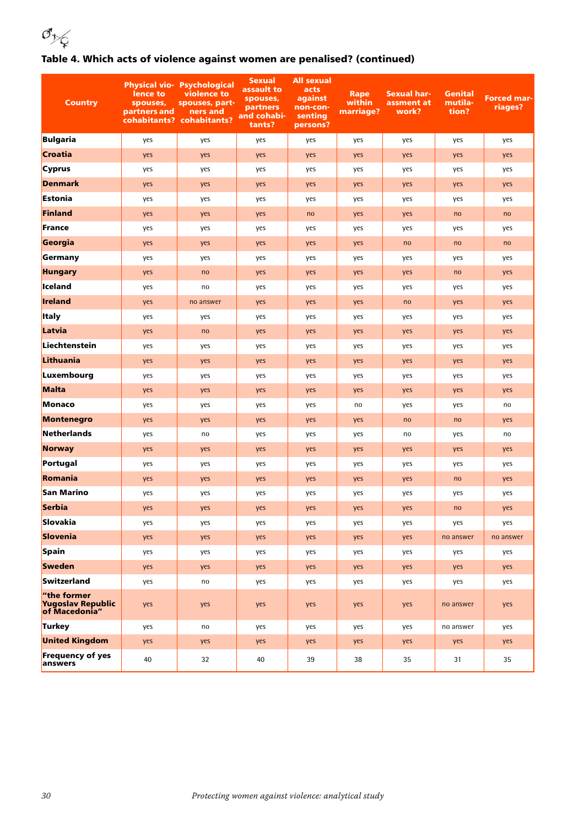## 

### Table 4. Which acts of violence against women are penalised? (continued)

| <b>Country</b>                                    | lence to<br>spouses,<br>partners and | <b>Physical vio- Psychological</b><br>violence to<br>spouses, part-<br>ners and<br>cohabitants? cohabitants? | <b>Sexual</b><br>assault to<br>spouses,<br>partners<br>and cohabi-<br>tants? | <b>All sexual</b><br>acts<br>against<br>non-con-<br>senting<br>persons? | Rape<br>within<br>marriage? | <b>Sexual har-</b><br>assment at<br>work? | Genital<br>mutila-<br>tion? | <b>Forced mar-</b><br>riages? |
|---------------------------------------------------|--------------------------------------|--------------------------------------------------------------------------------------------------------------|------------------------------------------------------------------------------|-------------------------------------------------------------------------|-----------------------------|-------------------------------------------|-----------------------------|-------------------------------|
| Bulgaria                                          | yes                                  | yes                                                                                                          | yes                                                                          | yes                                                                     | yes                         | yes                                       | yes                         | yes                           |
| Croatia                                           | yes                                  | yes                                                                                                          | yes                                                                          | yes                                                                     | yes                         | yes                                       | yes                         | yes                           |
| <b>Cyprus</b>                                     | yes                                  | yes                                                                                                          | yes                                                                          | yes                                                                     | yes                         | yes                                       | yes                         | yes                           |
| Denmark                                           | yes                                  | yes                                                                                                          | yes                                                                          | yes                                                                     | yes                         | yes                                       | yes                         | yes                           |
| Estonia                                           | yes                                  | yes                                                                                                          | yes                                                                          | yes                                                                     | yes                         | yes                                       | yes                         | yes                           |
| Finland                                           | yes                                  | yes                                                                                                          | yes                                                                          | no                                                                      | yes                         | yes                                       | no                          | no                            |
| France                                            | yes                                  | yes                                                                                                          | yes                                                                          | yes                                                                     | yes                         | yes                                       | yes                         | yes                           |
| Georgia                                           | yes                                  | yes                                                                                                          | yes                                                                          | yes                                                                     | yes                         | no                                        | no                          | no                            |
| Germany                                           | yes                                  | yes                                                                                                          | yes                                                                          | yes                                                                     | yes                         | yes                                       | yes                         | yes                           |
| <b>Hungary</b>                                    | yes                                  | no                                                                                                           | yes                                                                          | yes                                                                     | yes                         | yes                                       | no                          | yes                           |
| lceland                                           | yes                                  | no                                                                                                           | yes                                                                          | yes                                                                     | yes                         | yes                                       | yes                         | yes                           |
| Ireland                                           | yes                                  | no answer                                                                                                    | yes                                                                          | yes                                                                     | yes                         | no                                        | yes                         | yes                           |
| <b>Italy</b>                                      | yes                                  | yes                                                                                                          | yes                                                                          | yes                                                                     | yes                         | yes                                       | yes                         | yes                           |
| Latvia                                            | yes                                  | no                                                                                                           | yes                                                                          | yes                                                                     | yes                         | yes                                       | yes                         | yes                           |
| Liechtenstein                                     | yes                                  | yes                                                                                                          | yes                                                                          | yes                                                                     | yes                         | yes                                       | yes                         | yes                           |
| Lithuania                                         | yes                                  | yes                                                                                                          | yes                                                                          | yes                                                                     | yes                         | yes                                       | yes                         | yes                           |
| Luxembourg                                        | yes                                  | yes                                                                                                          | yes                                                                          | yes                                                                     | yes                         | yes                                       | yes                         | yes                           |
| Malta                                             | yes                                  | yes                                                                                                          | yes                                                                          | yes                                                                     | yes                         | yes                                       | yes                         | yes                           |
| Monaco                                            | yes                                  | yes                                                                                                          | yes                                                                          | yes                                                                     | no                          | yes                                       | yes                         | no                            |
| Montenegro                                        | yes                                  | yes                                                                                                          | yes                                                                          | yes                                                                     | yes                         | no                                        | no                          | yes                           |
| Netherlands                                       | yes                                  | no                                                                                                           | yes                                                                          | yes                                                                     | yes                         | no                                        | yes                         | no                            |
| Norway                                            | yes                                  | yes                                                                                                          | yes                                                                          | yes                                                                     | yes                         | yes                                       | yes                         | yes                           |
| Portugal                                          | yes                                  | yes                                                                                                          | yes                                                                          | yes                                                                     | yes                         | yes                                       | yes                         | yes                           |
| Romania                                           | yes                                  | yes                                                                                                          | yes                                                                          | yes                                                                     | yes                         | yes                                       | no                          | yes                           |
| <b>San Marino</b>                                 | yes                                  | yes                                                                                                          | yes                                                                          | yes                                                                     | yes                         | yes                                       | yes                         | yes                           |
| Serbia                                            | yes                                  | yes                                                                                                          | yes                                                                          | yes                                                                     | yes                         | yes                                       | no                          | yes                           |
| Slovakia                                          | yes                                  | yes                                                                                                          | yes                                                                          | yes                                                                     | yes                         | yes                                       | yes                         | yes                           |
| Slovenia                                          | yes                                  | yes                                                                                                          | yes                                                                          | yes                                                                     | yes                         | yes                                       | no answer                   | no answer                     |
| Spain                                             | yes                                  | yes                                                                                                          | yes                                                                          | yes                                                                     | yes                         | yes                                       | yes                         | yes                           |
| <b>Sweden</b>                                     | yes                                  | yes                                                                                                          | yes                                                                          | yes                                                                     | yes                         | yes                                       | yes                         | yes                           |
| Switzerland                                       | yes                                  | no                                                                                                           | yes                                                                          | yes                                                                     | yes                         | yes                                       | yes                         | yes                           |
| "the former<br>Yugoslav Republic<br>of Macedonia" | yes                                  | yes                                                                                                          | yes                                                                          | yes                                                                     | yes                         | yes                                       | no answer                   | yes                           |
| Turkey                                            | yes                                  | no                                                                                                           | yes                                                                          | yes                                                                     | yes                         | yes                                       | no answer                   | yes                           |
| <b>United Kingdom</b>                             | yes                                  | yes                                                                                                          | yes                                                                          | yes                                                                     | yes                         | yes                                       | yes                         | yes                           |
| <b>Frequency of yes</b><br>answers                | 40                                   | 32                                                                                                           | 40                                                                           | 39                                                                      | 38                          | 35                                        | 31                          | 35                            |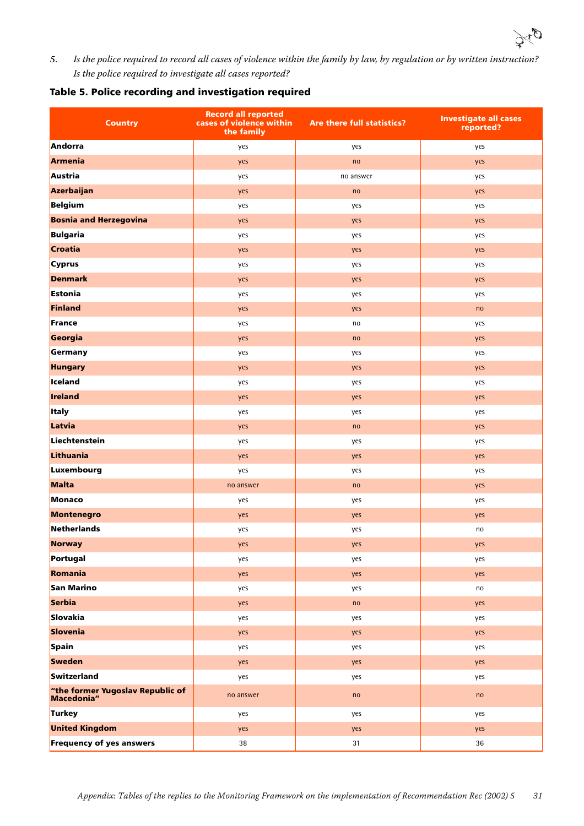

*5.* Is the police required to record all cases of violence within the family by law, by regulation or by written instruction? Is the police required to investigate all cases reported?

#### Table 5. Police recording and investigation required

| <b>Country</b>                                 | <b>Record all reported</b><br>cases of violence within<br>the family | Are there full statistics? | <b>Investigate all cases</b><br>reported? |
|------------------------------------------------|----------------------------------------------------------------------|----------------------------|-------------------------------------------|
| Andorra                                        | yes                                                                  | yes                        | yes                                       |
| Armenia                                        | yes                                                                  | no                         | yes                                       |
| Austria                                        | yes                                                                  | no answer                  | yes                                       |
| Azerbaijan                                     | yes                                                                  | no                         | yes                                       |
| Belgium                                        | yes                                                                  | yes                        | yes                                       |
| <b>Bosnia and Herzegovina</b>                  | yes                                                                  | yes                        | yes                                       |
| Bulgaria                                       | yes                                                                  | yes                        | yes                                       |
| Croatia                                        | yes                                                                  | yes                        | yes                                       |
| <b>Cyprus</b>                                  | yes                                                                  | yes                        | yes                                       |
| <b>Denmark</b>                                 | yes                                                                  | yes                        | yes                                       |
| Estonia                                        | yes                                                                  | yes                        | yes                                       |
| Finland                                        | yes                                                                  | yes                        | no                                        |
| France                                         | yes                                                                  | no                         | yes                                       |
| Georgia                                        | yes                                                                  | no                         | yes                                       |
| Germany                                        | yes                                                                  | yes                        | yes                                       |
| <b>Hungary</b>                                 | yes                                                                  | yes                        | yes                                       |
| <b>Iceland</b>                                 | yes                                                                  | yes                        | yes                                       |
| Ireland                                        | yes                                                                  | yes                        | yes                                       |
| <b>Italy</b>                                   | yes                                                                  | yes                        | yes                                       |
| Latvia                                         | yes                                                                  | no                         | yes                                       |
| Liechtenstein                                  | yes                                                                  | yes                        | yes                                       |
| Lithuania                                      | yes                                                                  | yes                        | yes                                       |
| Luxembourg                                     | yes                                                                  | yes                        | yes                                       |
| Malta                                          | no answer                                                            | no                         | yes                                       |
| Monaco                                         | yes                                                                  | yes                        | yes                                       |
| Montenegro                                     | yes                                                                  | yes                        | yes                                       |
| Netherlands                                    | yes                                                                  | yes                        | no                                        |
| Norway                                         | yes                                                                  | yes                        | yes                                       |
| Portugal                                       | yes                                                                  | yes                        | yes                                       |
| Romania                                        | yes                                                                  | yes                        | yes                                       |
| San Marino                                     | yes                                                                  | yes                        | no                                        |
| Serbia                                         | yes                                                                  | no                         | yes                                       |
| Slovakia                                       | yes                                                                  | yes                        | yes                                       |
| Slovenia                                       | yes                                                                  | yes                        | yes                                       |
| Spain                                          | yes                                                                  | yes                        | yes                                       |
| Sweden                                         | yes                                                                  | yes                        | yes                                       |
| Switzerland                                    | yes                                                                  | yes                        | yes                                       |
| "the former Yugoslav Republic of<br>Macedonia" | no answer                                                            | no                         | no                                        |
| Turkey                                         | yes                                                                  | yes                        | yes                                       |
| <b>United Kingdom</b>                          | yes                                                                  | yes                        | yes                                       |
| <b>Frequency of yes answers</b>                | 38                                                                   | 31                         | 36                                        |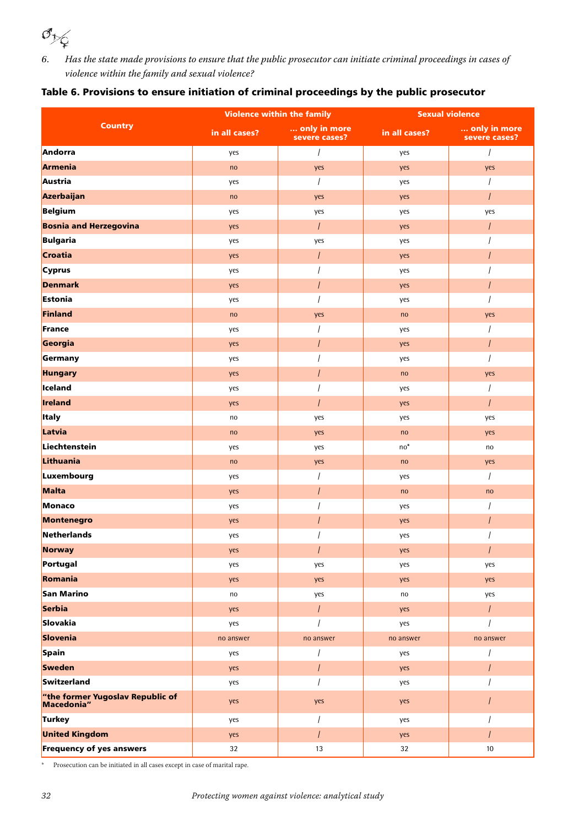

*6.* Has the state made provisions to ensure that the public prosecutor can initiate criminal proceedings in cases of violence within the family and sexual violence?

|                                                |               | <b>Violence within the family</b> | <b>Sexual violence</b> |                               |  |
|------------------------------------------------|---------------|-----------------------------------|------------------------|-------------------------------|--|
| <b>Country</b>                                 | in all cases? | only in more<br>severe cases?     | in all cases?          | only in more<br>severe cases? |  |
| Andorra                                        | yes           | $\overline{I}$                    | yes                    | $\prime$                      |  |
| <b>Armenia</b>                                 | no            | yes                               | yes                    | yes                           |  |
| Austria                                        | yes           | $\overline{1}$                    | yes                    |                               |  |
| Azerbaijan                                     | no            | yes                               | yes                    | $\overline{I}$                |  |
| Belgium                                        | yes           | yes                               | yes                    | yes                           |  |
| <b>Bosnia and Herzegovina</b>                  | yes           | $\overline{I}$                    | yes                    | $\overline{I}$                |  |
| Bulgaria                                       | yes           | yes                               | yes                    |                               |  |
| <b>Croatia</b>                                 | yes           | $\overline{I}$                    | yes                    |                               |  |
| <b>Cyprus</b>                                  | yes           |                                   | yes                    |                               |  |
| <b>Denmark</b>                                 | yes           | $\overline{I}$                    | yes                    |                               |  |
| Estonia                                        | yes           |                                   | yes                    |                               |  |
| Finland                                        | no            | yes                               | no                     | yes                           |  |
| France                                         | yes           |                                   | yes                    |                               |  |
| Georgia                                        | yes           | $\overline{I}$                    | yes                    | $\overline{I}$                |  |
| Germany                                        | yes           |                                   | yes                    |                               |  |
| <b>Hungary</b>                                 | yes           | $\overline{I}$                    | no                     | yes                           |  |
| lceland                                        | yes           |                                   | yes                    |                               |  |
| <b>Ireland</b>                                 | yes           | $\overline{I}$                    | yes                    | $\prime$                      |  |
| <b>Italy</b>                                   | no            | yes                               | yes                    | yes                           |  |
| Latvia                                         | no            | yes                               | no                     | yes                           |  |
| Liechtenstein                                  | yes           | yes                               | $no*$                  | no                            |  |
| Lithuania                                      | no            | yes                               | no                     | yes                           |  |
| Luxembourg                                     | yes           | $\prime$                          | yes                    |                               |  |
| Malta                                          | yes           | $\overline{I}$                    | no                     | no                            |  |
| Monaco                                         | yes           |                                   | yes                    |                               |  |
| Montenegro                                     | yes           |                                   | yes                    |                               |  |
| Netherlands                                    | yes           |                                   | yes                    |                               |  |
| <b>Norway</b>                                  | yes           | $\overline{I}$                    | yes                    | $\overline{I}$                |  |
| Portugal                                       | yes           | yes                               | yes                    | yes                           |  |
| Romania                                        | yes           | yes                               | yes                    | yes                           |  |
| San Marino                                     | no            | yes                               | no                     | yes                           |  |
| Serbia                                         | yes           | $\overline{I}$                    | yes                    | $\overline{I}$                |  |
| Slovakia                                       | yes           |                                   | yes                    |                               |  |
| Slovenia                                       | no answer     | no answer                         | no answer              | no answer                     |  |
| Spain                                          | yes           | $\overline{I}$                    | yes                    |                               |  |
| <b>Sweden</b>                                  | yes           | $\overline{I}$                    | yes                    | $\overline{I}$                |  |
| Switzerland                                    | yes           |                                   | yes                    |                               |  |
| "the former Yugoslav Republic of<br>Macedonia" | yes           | yes                               | yes                    |                               |  |
| Turkey                                         | yes           | $\overline{I}$                    | yes                    |                               |  |
| <b>United Kingdom</b>                          | yes           | $\overline{I}$                    | yes                    | $\prime$                      |  |
| <b>Frequency of yes answers</b>                | 32            | $13\,$                            | 32                     | $10$                          |  |

 $^{\ast}$  Prosecution can be initiated in all cases except in case of marital rape.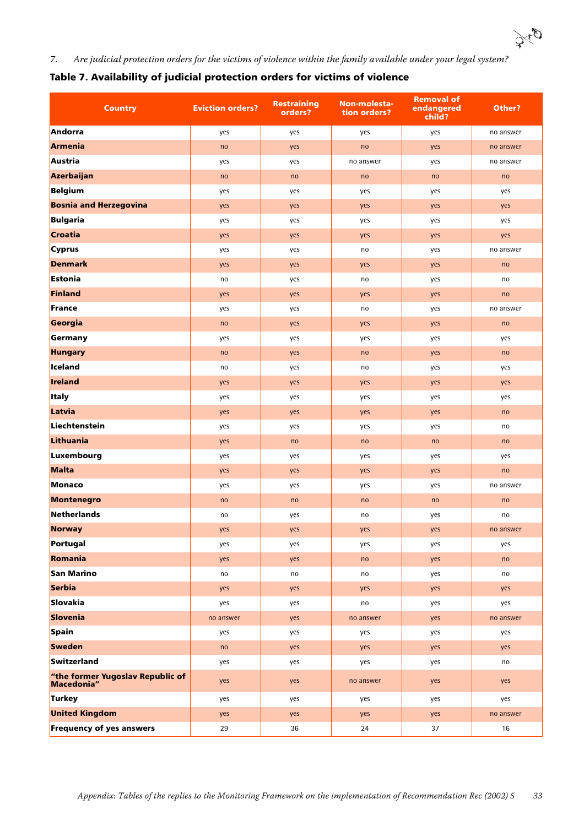

*7.* Are judicial protection orders for the victims of violence within the family available under your legal system?

| Table 7. Availability of judicial protection orders for victims of violence |  |  |  |  |  |
|-----------------------------------------------------------------------------|--|--|--|--|--|
|                                                                             |  |  |  |  |  |

| <b>Country</b>                                 | <b>Eviction orders?</b> | <b>Restraining</b><br>orders? | Non-molesta-<br>tion orders? | <b>Removal of</b><br>endangered<br>child? | Other?    |
|------------------------------------------------|-------------------------|-------------------------------|------------------------------|-------------------------------------------|-----------|
| Andorra                                        | yes                     | yes                           | yes                          | yes                                       | no answer |
| Armenia                                        | no                      | yes                           | no                           | yes                                       | no answer |
| Austria                                        | yes                     | yes                           | no answer                    | yes                                       | no answer |
| Azerbaijan                                     | no                      | no                            | no                           | no                                        | no        |
| Belgium                                        | yes                     | yes                           | yes                          | yes                                       | yes       |
| <b>Bosnia and Herzegovina</b>                  | yes                     | yes                           | yes                          | yes                                       | yes       |
| Bulgaria                                       | yes                     | yes                           | yes                          | yes                                       | yes       |
| Croatia                                        | yes                     | yes                           | yes                          | yes                                       | yes       |
| <b>Cyprus</b>                                  | yes                     | yes                           | no                           | yes                                       | no answer |
| <b>Denmark</b>                                 | yes                     | yes                           | yes                          | yes                                       | no        |
| Estonia                                        | no                      | yes                           | no                           | yes                                       | no        |
| Finland                                        | yes                     | yes                           | yes                          | yes                                       | no        |
| France                                         | yes                     | yes                           | no                           | yes                                       | no answer |
| Georgia                                        | no                      | yes                           | yes                          | yes                                       | no        |
| Germany                                        | yes                     | yes                           | yes                          | yes                                       | yes       |
| <b>Hungary</b>                                 | no                      | yes                           | no                           | yes                                       | no        |
| Iceland                                        | no                      | yes                           | no                           | yes                                       | yes       |
| Ireland                                        | yes                     | yes                           | yes                          | yes                                       | yes       |
| <b>Italy</b>                                   | yes                     | yes                           | yes                          | yes                                       | yes       |
| Latvia                                         | yes                     | yes                           | yes                          | yes                                       | no        |
| Liechtenstein                                  | yes                     | yes                           | yes                          | yes                                       | no        |
| Lithuania                                      | yes                     | no                            | no                           | no                                        | no        |
| Luxembourg                                     | yes                     | yes                           | yes                          | yes                                       | yes       |
| Malta                                          | yes                     | yes                           | yes                          | yes                                       | no        |
| Monaco                                         | yes                     | yes                           | yes                          | yes                                       | no answer |
| Montenegro                                     | no                      | no                            | no                           | no                                        | no        |
| <b>Netherlands</b>                             | no                      | yes                           | no                           | yes                                       | no        |
| <b>Norway</b>                                  | yes                     | yes                           | yes                          | yes                                       | no answer |
| Portugal                                       | yes                     | yes                           | yes                          | yes                                       | yes       |
| Romania                                        | yes                     | yes                           | no                           | yes                                       | no        |
| San Marino                                     | no                      | no                            | no                           | yes                                       | no        |
| Serbia                                         | yes                     | yes                           | yes                          | yes                                       | yes       |
| Slovakia                                       | yes                     | yes                           | no                           | yes                                       | yes       |
| Slovenia                                       | no answer               | yes                           | no answer                    | yes                                       | no answer |
| Spain                                          | yes                     | yes                           | yes                          | yes                                       | yes       |
| <b>Sweden</b>                                  | no                      | yes                           | yes                          | yes                                       | yes       |
| Switzerland                                    | yes                     | yes                           | yes                          | yes                                       | no        |
| "the former Yugoslav Republic of<br>Macedonia" | yes                     | yes                           | no answer                    | yes                                       | yes       |
| Turkey                                         | yes                     | yes                           | yes                          | yes                                       | yes       |
| <b>United Kingdom</b>                          | yes                     | yes                           | yes                          | yes                                       | no answer |
| <b>Frequency of yes answers</b>                | 29                      | 36                            | 24                           | 37                                        | 16        |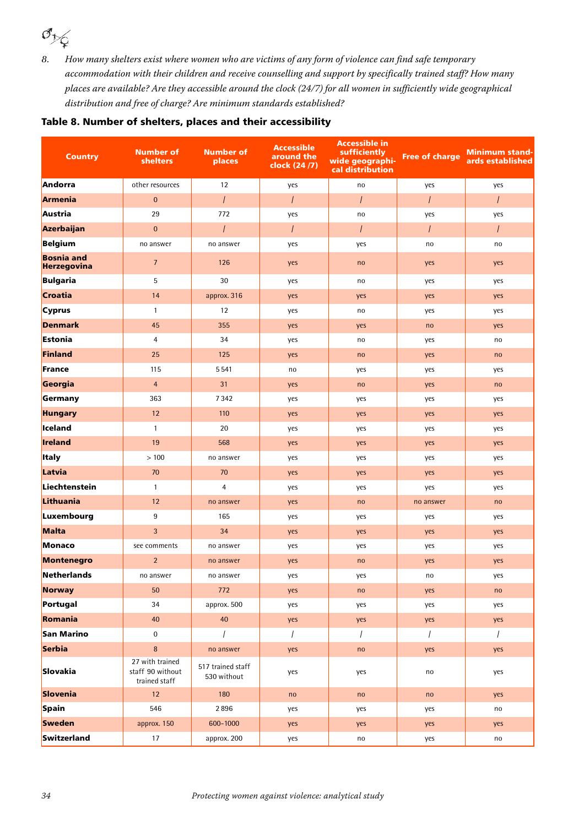*8.* How many shelters exist where women who are victims of any form of violence can find safe temporary accommodation with their children and receive counselling and support by specifically trained staff? How many places are available? Are they accessible around the clock (24/7) for all women in sufficiently wide geographical distribution and free of charge? Are minimum standards established?

#### Table 8. Number of shelters, places and their accessibility

| <b>Country</b>                          | <b>Number of</b><br>shelters                         | <b>Number of</b><br>places       | <b>Accessible</b><br>around the<br>clock (24/7) | <b>Accessible in</b><br>sufficiently<br>wide geographi-<br>cal distribution | <b>Free of charge</b> | <b>Minimum stand-</b><br>ards established |
|-----------------------------------------|------------------------------------------------------|----------------------------------|-------------------------------------------------|-----------------------------------------------------------------------------|-----------------------|-------------------------------------------|
| Andorra                                 | other resources                                      | 12                               | yes                                             | no                                                                          | yes                   | yes                                       |
| <b>Armenia</b>                          | $\mathbf{0}$                                         | $\prime$                         | $\overline{I}$                                  | $\prime$                                                                    | $\prime$              | $\prime$                                  |
| Austria                                 | 29                                                   | 772                              | yes                                             | no                                                                          | yes                   | yes                                       |
| Azerbaijan                              | $\mathbf{0}$                                         | $\prime$                         | $\overline{I}$                                  | $\prime$                                                                    | $\overline{I}$        | $\overline{I}$                            |
| Belgium                                 | no answer                                            | no answer                        | yes                                             | yes                                                                         | no                    | no                                        |
| <b>Bosnia and</b><br><b>Herzegovina</b> | $\overline{7}$                                       | 126                              | yes                                             | no                                                                          | yes                   | yes                                       |
| <b>Bulgaria</b>                         | 5                                                    | 30                               | yes                                             | no                                                                          | yes                   | yes                                       |
| <b>Croatia</b>                          | 14                                                   | approx. 316                      | yes                                             | yes                                                                         | yes                   | yes                                       |
| <b>Cyprus</b>                           | $\mathbf{1}$                                         | 12                               | yes                                             | no                                                                          | yes                   | yes                                       |
| <b>Denmark</b>                          | 45                                                   | 355                              | yes                                             | yes                                                                         | no                    | yes                                       |
| Estonia                                 | $\overline{4}$                                       | 34                               | yes                                             | no                                                                          | yes                   | no                                        |
| Finland                                 | 25                                                   | 125                              | yes                                             | no                                                                          | yes                   | no                                        |
| France                                  | 115                                                  | 5541                             | no                                              | yes                                                                         | yes                   | yes                                       |
| Georgia                                 | $\overline{4}$                                       | 31                               | yes                                             | no                                                                          | yes                   | no                                        |
| Germany                                 | 363                                                  | 7342                             | yes                                             | yes                                                                         | yes                   | yes                                       |
| <b>Hungary</b>                          | 12                                                   | 110                              | yes                                             | yes                                                                         | yes                   | yes                                       |
| Iceland                                 | $\mathbf{1}$                                         | 20                               | yes                                             | yes                                                                         | yes                   | yes                                       |
| Ireland                                 | 19                                                   | 568                              | yes                                             | yes                                                                         | yes                   | yes                                       |
| <b>Italy</b>                            | >100                                                 | no answer                        | yes                                             | yes                                                                         | yes                   | yes                                       |
| Latvia                                  | 70                                                   | 70                               | yes                                             | yes                                                                         | yes                   | yes                                       |
| Liechtenstein                           | $\mathbf{1}$                                         | $\overline{4}$                   | yes                                             | yes                                                                         | yes                   | yes                                       |
| Lithuania                               | 12                                                   | no answer                        | yes                                             | no                                                                          | no answer             | no                                        |
| Luxembourg                              | 9                                                    | 165                              | yes                                             | yes                                                                         | yes                   | yes                                       |
| Malta                                   | $\overline{3}$                                       | 34                               | yes                                             | yes                                                                         | yes                   | yes                                       |
| Monaco                                  | see comments                                         | no answer                        | yes                                             | yes                                                                         | yes                   | yes                                       |
| <b>Montenegro</b>                       | $\overline{2}$                                       | no answer                        | yes                                             | no                                                                          | yes                   | yes                                       |
| Netherlands                             | no answer                                            | no answer                        | yes                                             | yes                                                                         | no                    | yes                                       |
| <b>Norway</b>                           | 50                                                   | 772                              | yes                                             | no                                                                          | yes                   | no                                        |
| Portugal                                | 34                                                   | approx. 500                      | yes                                             | yes                                                                         | yes                   | yes                                       |
| Romania                                 | 40                                                   | 40                               | yes                                             | yes                                                                         | yes                   | yes                                       |
| San Marino                              | $\boldsymbol{0}$                                     | $\prime$                         | $\overline{I}$                                  | $\overline{1}$                                                              | $\overline{I}$        | $\sqrt{ }$                                |
| Serbia                                  | $\bf 8$                                              | no answer                        | yes                                             | no                                                                          | yes                   | yes                                       |
| Slovakia                                | 27 with trained<br>staff 90 without<br>trained staff | 517 trained staff<br>530 without | yes                                             | yes                                                                         | no                    | yes                                       |
| Slovenia                                | 12                                                   | 180                              | no                                              | no                                                                          | no                    | yes                                       |
| Spain                                   | 546                                                  | 2896                             | yes                                             | yes                                                                         | yes                   | no                                        |
| Sweden                                  | approx. 150                                          | 600-1000                         | yes                                             | yes                                                                         | yes                   | yes                                       |
| Switzerland                             | $17\,$                                               | approx. 200                      | yes                                             | no                                                                          | yes                   | no                                        |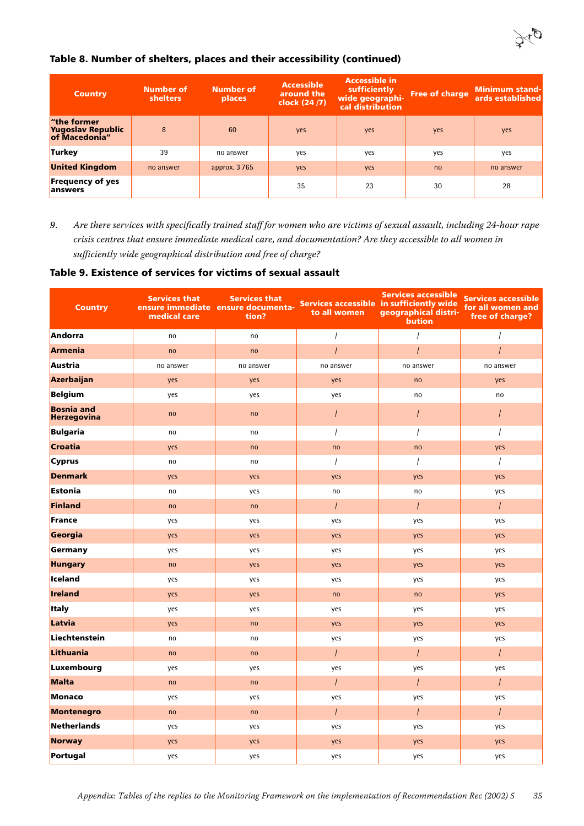

### Table 8. Number of shelters, places and their accessibility (continued)

| <b>Country</b>                                    | Number of<br><b>shelters</b> | <b>Number of</b><br><b>places</b> | <b>Accessible</b><br>around the<br>clock (24/7) | <b>Accessible in</b><br>sufficiently<br>wide geographi-<br>cal distribution | <b>Free of charge</b> | <b>Minimum stand-</b><br>ards established |
|---------------------------------------------------|------------------------------|-----------------------------------|-------------------------------------------------|-----------------------------------------------------------------------------|-----------------------|-------------------------------------------|
| "the former<br>Yugoslav Republic<br>of Macedonia" | 8                            | 60                                | yes                                             | yes                                                                         | yes                   | yes                                       |
| <b>Turkey</b>                                     | 39                           | no answer                         | yes                                             | yes                                                                         | yes                   | yes                                       |
| <b>United Kingdom</b>                             | no answer                    | approx. 3 765                     | yes                                             | yes                                                                         | n <sub>0</sub>        | no answer                                 |
| <b>Frequency of yes</b><br>lanswers               |                              |                                   | 35                                              | 23                                                                          | 30                    | 28                                        |

*9.* Are there services with specifically trained staff for women who are victims of sexual assault, including 24-hour rape crisis centres that ensure immediate medical care, and documentation? Are they accessible to all women in sufficiently wide geographical distribution and free of charge?

#### Table 9. Existence of services for victims of sexual assault

| <b>Country</b>                          | <b>Services that</b><br>medical care | <b>Services that</b><br>ensure immediate ensure documenta-<br>tion? | Services accessible in sufficiently wide<br>to all women | <b>Services accessible</b><br>geographical distri-<br><b>bution</b> | <b>Services accessible</b><br>for all women and<br>free of charge? |
|-----------------------------------------|--------------------------------------|---------------------------------------------------------------------|----------------------------------------------------------|---------------------------------------------------------------------|--------------------------------------------------------------------|
| Andorra                                 | no                                   | no                                                                  | $\overline{I}$                                           |                                                                     | $\overline{I}$                                                     |
| Armenia                                 | no                                   | no                                                                  | $\overline{I}$                                           |                                                                     |                                                                    |
| Austria                                 | no answer                            | no answer                                                           | no answer                                                | no answer                                                           | no answer                                                          |
| Azerbaijan                              | yes                                  | yes                                                                 | yes                                                      | no                                                                  | yes                                                                |
| <b>Belgium</b>                          | yes                                  | yes                                                                 | yes                                                      | no                                                                  | no                                                                 |
| <b>Bosnia and</b><br><b>Herzegovina</b> | no                                   | no                                                                  | $\overline{I}$                                           |                                                                     | $\overline{I}$                                                     |
| <b>Bulgaria</b>                         | no                                   | no                                                                  | $\overline{1}$                                           |                                                                     | $\overline{I}$                                                     |
| Croatia                                 | yes                                  | no                                                                  | no                                                       | no                                                                  | yes                                                                |
| <b>Cyprus</b>                           | no                                   | no                                                                  | $\overline{I}$                                           |                                                                     | $\overline{I}$                                                     |
| <b>Denmark</b>                          | yes                                  | yes                                                                 | yes                                                      | yes                                                                 | yes                                                                |
| Estonia                                 | no                                   | yes                                                                 | no                                                       | no                                                                  | yes                                                                |
| Finland                                 | no                                   | no                                                                  | $\prime$                                                 | $\overline{I}$                                                      | $\overline{I}$                                                     |
| France                                  | yes                                  | yes                                                                 | yes                                                      | yes                                                                 | yes                                                                |
| Georgia                                 | yes                                  | yes                                                                 | yes                                                      | yes                                                                 | yes                                                                |
| Germany                                 | yes                                  | yes                                                                 | yes                                                      | yes                                                                 | yes                                                                |
| <b>Hungary</b>                          | no                                   | yes                                                                 | yes                                                      | yes                                                                 | yes                                                                |
| lceland                                 | yes                                  | yes                                                                 | yes                                                      | yes                                                                 | yes                                                                |
| Ireland                                 | yes                                  | yes                                                                 | no                                                       | no                                                                  | yes                                                                |
| <b>Italy</b>                            | yes                                  | yes                                                                 | yes                                                      | yes                                                                 | yes                                                                |
| Latvia                                  | yes                                  | no                                                                  | yes                                                      | yes                                                                 | yes                                                                |
| Liechtenstein                           | no                                   | no                                                                  | yes                                                      | yes                                                                 | yes                                                                |
| Lithuania                               | no                                   | no                                                                  | $\prime$                                                 | $\prime$                                                            | $\prime$                                                           |
| Luxembourg                              | yes                                  | yes                                                                 | yes                                                      | yes                                                                 | yes                                                                |
| Malta                                   | no                                   | no                                                                  | $\overline{I}$                                           |                                                                     | $\overline{I}$                                                     |
| Monaco                                  | yes                                  | yes                                                                 | yes                                                      | yes                                                                 | yes                                                                |
| Montenegro                              | no                                   | no                                                                  | $\prime$                                                 | $\prime$                                                            | $\overline{I}$                                                     |
| Netherlands                             | yes                                  | yes                                                                 | yes                                                      | yes                                                                 | yes                                                                |
| <b>Norway</b>                           | yes                                  | yes                                                                 | yes                                                      | yes                                                                 | yes                                                                |
| Portugal                                | yes                                  | yes                                                                 | yes                                                      | yes                                                                 | yes                                                                |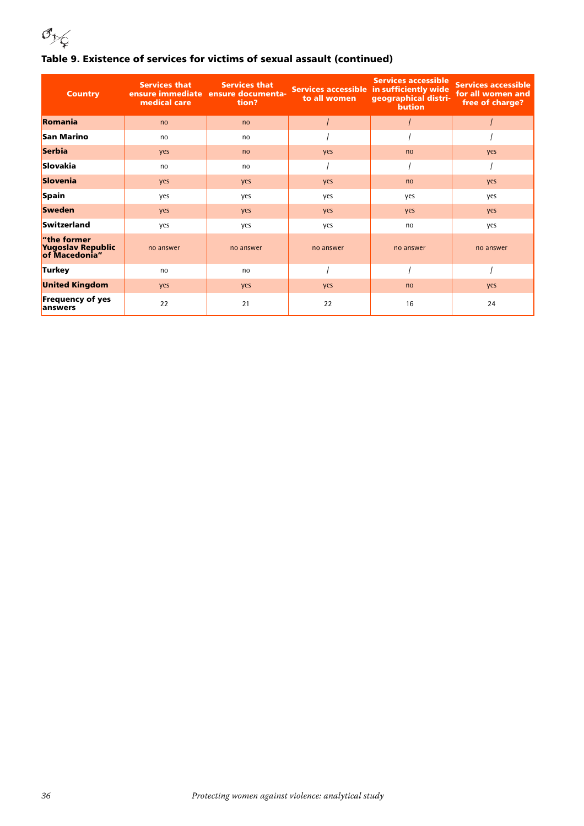

### Table 9. Existence of services for victims of sexual assault (continued)

| <b>Country</b>                                    | <b>Services that</b><br>medical care | <b>Services that</b><br>ensure immediate ensure documenta-<br>tion? | to all women | <b>Services accessible</b><br>Services accessible in sufficiently wide<br>geographical distri-<br><b>bution</b> | <b>Services accessible</b><br>for all women and<br>free of charge? |
|---------------------------------------------------|--------------------------------------|---------------------------------------------------------------------|--------------|-----------------------------------------------------------------------------------------------------------------|--------------------------------------------------------------------|
| Romania                                           | no                                   | no                                                                  |              |                                                                                                                 |                                                                    |
| San Marino                                        | no                                   | no                                                                  |              |                                                                                                                 |                                                                    |
| Serbia                                            | yes                                  | no                                                                  | yes          | no                                                                                                              | yes                                                                |
| Slovakia                                          | no                                   | no                                                                  |              |                                                                                                                 |                                                                    |
| Slovenia                                          | yes                                  | yes                                                                 | yes          | no                                                                                                              | yes                                                                |
| Spain                                             | yes                                  | yes                                                                 | yes          | yes                                                                                                             | yes                                                                |
| <b>Sweden</b>                                     | yes                                  | yes                                                                 | yes          | yes                                                                                                             | yes                                                                |
| Switzerland                                       | yes                                  | yes                                                                 | yes          | no                                                                                                              | yes                                                                |
| "the former<br>Yugoslav Republic<br>of Macedonia" | no answer                            | no answer                                                           | no answer    | no answer                                                                                                       | no answer                                                          |
| Turkey                                            | no                                   | no                                                                  |              |                                                                                                                 |                                                                    |
| <b>United Kingdom</b>                             | yes                                  | yes                                                                 | yes          | no                                                                                                              | yes                                                                |
| <b>Frequency of yes</b><br>answers                | 22                                   | 21                                                                  | 22           | 16                                                                                                              | 24                                                                 |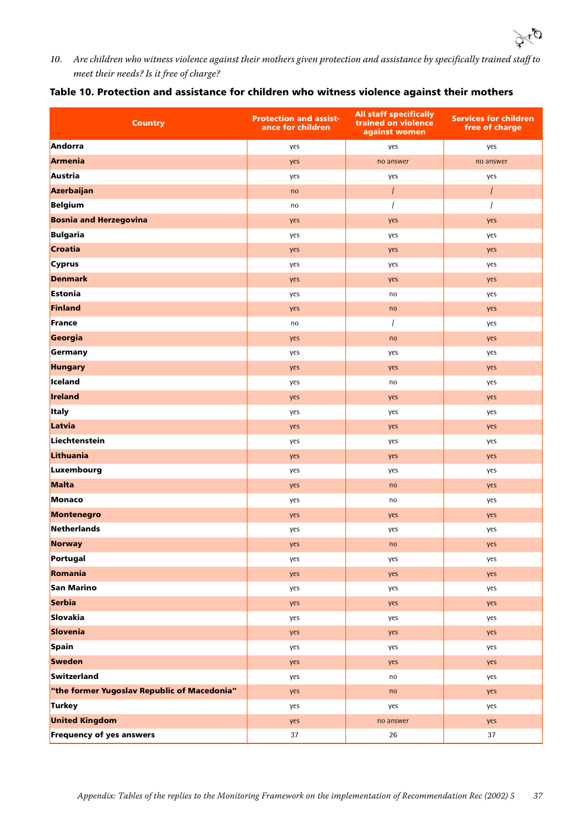

*10.* Are children who witness violence against their mothers given protection and assistance by specifically trained staff to meet their needs? Is it free of charge?

| Table 10. Protection and assistance for children who witness violence against their mothers |  |  |  |
|---------------------------------------------------------------------------------------------|--|--|--|
|                                                                                             |  |  |  |

| <b>Country</b>                              | <b>Protection and assist-</b><br>ance for children | <b>All staff specifically</b><br>trained on violence<br>against women | <b>Services for children</b><br>free of charge |
|---------------------------------------------|----------------------------------------------------|-----------------------------------------------------------------------|------------------------------------------------|
| Andorra                                     | yes                                                | yes                                                                   | yes                                            |
| Armenia                                     | yes                                                | no answer                                                             | no answer                                      |
| Austria                                     | yes                                                | yes                                                                   | yes                                            |
| Azerbaijan                                  | no                                                 | $\overline{I}$                                                        | $\overline{I}$                                 |
| Belgium                                     | no                                                 |                                                                       |                                                |
| <b>Bosnia and Herzegovina</b>               | yes                                                | yes                                                                   | yes                                            |
| Bulgaria                                    | yes                                                | yes                                                                   | yes                                            |
| <b>Croatia</b>                              | yes                                                | yes                                                                   | yes                                            |
| Cyprus                                      | yes                                                | yes                                                                   | yes                                            |
| <b>Denmark</b>                              | yes                                                | yes                                                                   | yes                                            |
| Estonia                                     | yes                                                | no                                                                    | yes                                            |
| Finland                                     | yes                                                | no                                                                    | yes                                            |
| France                                      | no                                                 | $\prime$                                                              | yes                                            |
| Georgia                                     | yes                                                | no                                                                    | yes                                            |
| Germany                                     | yes                                                | yes                                                                   | yes                                            |
| <b>Hungary</b>                              | yes                                                | yes                                                                   | yes                                            |
| Iceland                                     | yes                                                | no                                                                    | yes                                            |
| Ireland                                     | yes                                                | yes                                                                   | yes                                            |
| <b>Italy</b>                                | yes                                                | yes                                                                   | yes                                            |
| Latvia                                      | yes                                                | yes                                                                   | yes                                            |
| Liechtenstein                               | yes                                                | yes                                                                   | yes                                            |
| Lithuania                                   | yes                                                | yes                                                                   | yes                                            |
| Luxembourg                                  | yes                                                | yes                                                                   | yes                                            |
| Malta                                       | yes                                                | no                                                                    | yes                                            |
| Monaco                                      | yes                                                | no                                                                    | yes                                            |
| Montenegro                                  | yes                                                | yes                                                                   | yes                                            |
| Netherlands                                 | yes                                                | yes                                                                   | yes                                            |
| Norway                                      | yes                                                | $\mathsf{no}$                                                         | yes                                            |
| Portugal                                    | yes                                                | yes                                                                   | yes                                            |
| Romania                                     | yes                                                | yes                                                                   | yes                                            |
| San Marino                                  | yes                                                | yes                                                                   | yes                                            |
| Serbia                                      | yes                                                | yes                                                                   | yes                                            |
| Slovakia                                    | yes                                                | yes                                                                   | yes                                            |
| Slovenia                                    | yes                                                | yes                                                                   | yes                                            |
| Spain                                       | yes                                                | yes                                                                   | yes                                            |
| Sweden                                      | yes                                                | yes                                                                   | yes                                            |
| Switzerland                                 | yes                                                | no                                                                    | yes                                            |
| "the former Yugoslav Republic of Macedonia" | yes                                                | no                                                                    | yes                                            |
| Turkey                                      | yes                                                | yes                                                                   | yes                                            |
| <b>United Kingdom</b>                       | yes                                                | no answer                                                             | yes                                            |
| <b>Frequency of yes answers</b>             | 37                                                 | 26                                                                    | 37                                             |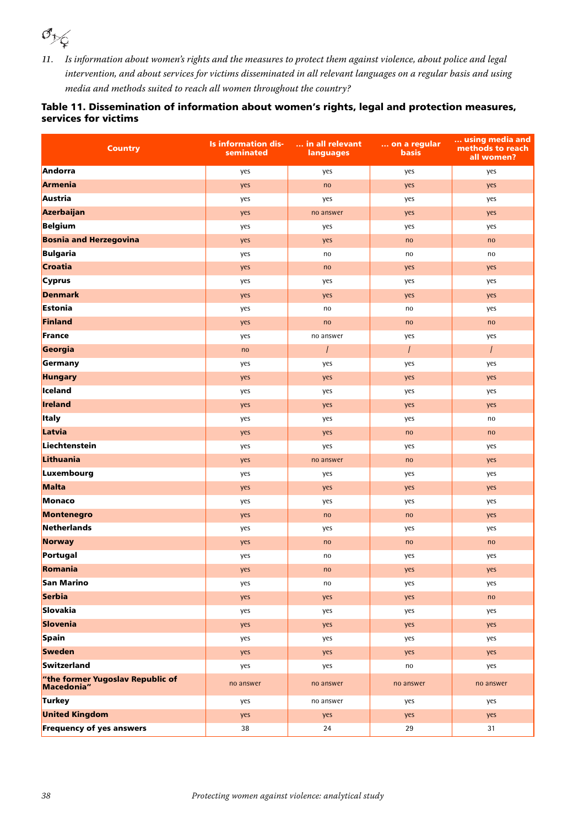*11.* Is information about women's rights and the measures to protect them against violence, about police and legal intervention, and about services for victims disseminated in all relevant languages on a regular basis and using media and methods suited to reach all women throughout the country?

#### Table 11. Dissemination of information about women's rights, legal and protection measures, services for victims

| <b>Country</b>                                 | <b>Is information dis-</b><br>seminated | in all relevant<br>languages | on a regular<br><b>basis</b> | using media and<br>methods to reach<br>all women? |
|------------------------------------------------|-----------------------------------------|------------------------------|------------------------------|---------------------------------------------------|
| Andorra                                        | yes                                     | yes                          | yes                          | yes                                               |
| Armenia                                        | yes                                     | no                           | yes                          | yes                                               |
| Austria                                        | yes                                     | yes                          | yes                          | yes                                               |
| Azerbaijan                                     | yes                                     | no answer                    | yes                          | yes                                               |
| Belgium                                        | yes                                     | yes                          | yes                          | yes                                               |
| <b>Bosnia and Herzegovina</b>                  | yes                                     | yes                          | no                           | no                                                |
| Bulgaria                                       | yes                                     | no                           | no                           | no                                                |
| Croatia                                        | yes                                     | no                           | yes                          | yes                                               |
| Cyprus                                         | yes                                     | yes                          | yes                          | yes                                               |
| <b>Denmark</b>                                 | yes                                     | yes                          | yes                          | yes                                               |
| Estonia                                        | yes                                     | no                           | no                           | yes                                               |
| Finland                                        | yes                                     | no                           | no                           | no                                                |
| France                                         | yes                                     | no answer                    | yes                          | yes                                               |
| Georgia                                        | no                                      | $\prime$                     | $\prime$                     | $\prime$                                          |
| Germany                                        | yes                                     | yes                          | yes                          | yes                                               |
| <b>Hungary</b>                                 | yes                                     | yes                          | yes                          | yes                                               |
| lceland                                        | yes                                     | yes                          | yes                          | yes                                               |
| Ireland                                        | yes                                     | yes                          | yes                          | yes                                               |
| <b>Italy</b>                                   | yes                                     | yes                          | yes                          | no                                                |
| Latvia                                         | yes                                     | yes                          | no                           | no                                                |
| Liechtenstein                                  | yes                                     | yes                          | yes                          | yes                                               |
| Lithuania                                      | yes                                     | no answer                    | no                           | yes                                               |
| Luxembourg                                     | yes                                     | yes                          | yes                          | yes                                               |
| Malta                                          | yes                                     | yes                          | yes                          | yes                                               |
| Monaco                                         | yes                                     | yes                          | yes                          | yes                                               |
| Montenegro                                     | yes                                     | no                           | no                           | yes                                               |
| <b>Netherlands</b>                             | yes                                     | yes                          | yes                          | yes                                               |
| Norway                                         | yes                                     | no                           | no                           | no                                                |
| Portugal                                       | yes                                     | no                           | yes                          | yes                                               |
| Romania                                        | yes                                     | no                           | yes                          | yes                                               |
| <b>San Marino</b>                              | yes                                     | no                           | yes                          | yes                                               |
| Serbia                                         | yes                                     | yes                          | yes                          | no                                                |
| Slovakia                                       | yes                                     | yes                          | yes                          | yes                                               |
| Slovenia                                       | yes                                     | yes                          | yes                          | yes                                               |
| Spain                                          | yes                                     | yes                          | yes                          | yes                                               |
| <b>Sweden</b>                                  | yes                                     | yes                          | yes                          | yes                                               |
| Switzerland                                    | yes                                     | yes                          | no                           | yes                                               |
| "the former Yugoslav Republic of<br>Macedonia" | no answer                               | no answer                    | no answer                    | no answer                                         |
| Turkey                                         | yes                                     | no answer                    | yes                          | yes                                               |
| <b>United Kingdom</b>                          | yes                                     | yes                          | yes                          | yes                                               |
| <b>Frequency of yes answers</b>                | 38                                      | 24                           | 29                           | 31                                                |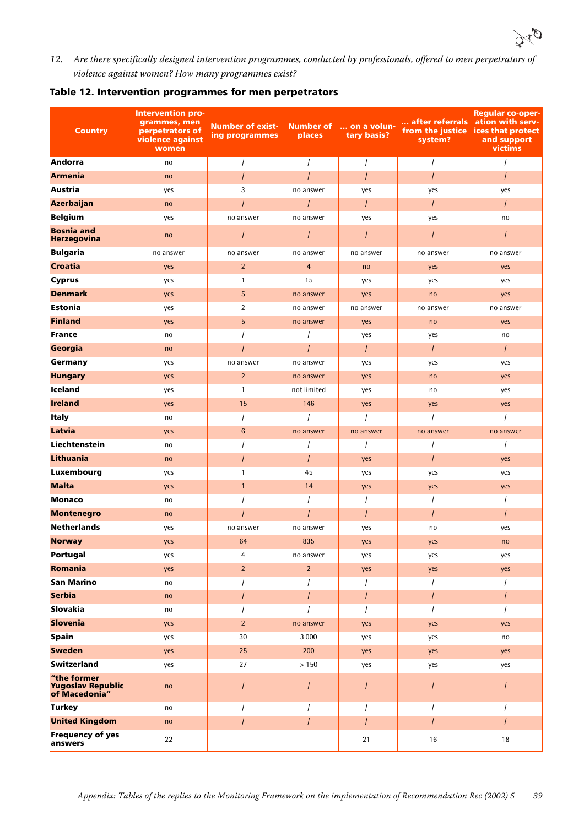

*12.* Are there specifically designed intervention programmes, conducted by professionals, offered to men perpetrators of violence against women? How many programmes exist?

| Table 12. Intervention programmes for men perpetrators |  |  |
|--------------------------------------------------------|--|--|
|--------------------------------------------------------|--|--|

| <b>Country</b>                                    | <b>Intervention pro-</b><br>grammes, men<br>perpetrators of<br>violence against<br>women | <b>Number of exist-</b><br>ing programmes | <b>Number of</b><br>places | on a volun-<br>tary basis? | after referrals ation with serv-<br>from the justice<br>system? | <b>Regular co-oper-</b><br>ices that protect<br>and support<br>victims |
|---------------------------------------------------|------------------------------------------------------------------------------------------|-------------------------------------------|----------------------------|----------------------------|-----------------------------------------------------------------|------------------------------------------------------------------------|
| Andorra                                           | no                                                                                       | $\prime$                                  | $\prime$                   | $\prime$                   | $\prime$                                                        | $\prime$                                                               |
| <b>Armenia</b>                                    | no                                                                                       | $\overline{I}$                            | $\overline{I}$             | $\prime$                   | $\overline{I}$                                                  | $\overline{I}$                                                         |
| Austria                                           | yes                                                                                      | 3                                         | no answer                  | yes                        | yes                                                             | yes                                                                    |
| Azerbaijan                                        | no                                                                                       |                                           |                            | $\prime$                   | I                                                               | $\prime$                                                               |
| <b>Belgium</b>                                    | yes                                                                                      | no answer                                 | no answer                  | yes                        | yes                                                             | no                                                                     |
| <b>Bosnia and</b><br>Herzegovina                  | no                                                                                       |                                           | $\overline{I}$             |                            |                                                                 |                                                                        |
| <b>Bulgaria</b>                                   | no answer                                                                                | no answer                                 | no answer                  | no answer                  | no answer                                                       | no answer                                                              |
| Croatia                                           | yes                                                                                      | $\overline{2}$                            | $\overline{4}$             | no                         | yes                                                             | yes                                                                    |
| <b>Cyprus</b>                                     | yes                                                                                      | $\mathbf{1}$                              | 15                         | yes                        | yes                                                             | yes                                                                    |
| <b>Denmark</b>                                    | yes                                                                                      | 5                                         | no answer                  | yes                        | no                                                              | yes                                                                    |
| Estonia                                           | yes                                                                                      | $\overline{2}$                            | no answer                  | no answer                  | no answer                                                       | no answer                                                              |
| Finland                                           | yes                                                                                      | 5                                         | no answer                  | yes                        | no                                                              | yes                                                                    |
| France                                            | no                                                                                       |                                           |                            | yes                        | yes                                                             | no                                                                     |
| Georgia                                           | no                                                                                       |                                           | $\overline{I}$             | $\prime$                   | $\overline{I}$                                                  | $\prime$                                                               |
| Germany                                           | yes                                                                                      | no answer                                 | no answer                  | yes                        | yes                                                             | yes                                                                    |
| <b>Hungary</b>                                    | yes                                                                                      | $\overline{2}$                            | no answer                  | yes                        | no                                                              | yes                                                                    |
| Iceland                                           | yes                                                                                      | $\mathbf{1}$                              | not limited                | yes                        | no                                                              | yes                                                                    |
| Ireland                                           | yes                                                                                      | 15                                        | 146                        | yes                        | yes                                                             | yes                                                                    |
| <b>Italy</b>                                      | no                                                                                       |                                           |                            |                            |                                                                 |                                                                        |
| Latvia                                            | yes                                                                                      | $\,6\,$                                   | no answer                  | no answer                  | no answer                                                       | no answer                                                              |
| Liechtenstein                                     | no                                                                                       |                                           | I                          | $\prime$                   |                                                                 | $\prime$                                                               |
| Lithuania                                         | no                                                                                       |                                           | $\overline{I}$             | yes                        | I                                                               | yes                                                                    |
| Luxembourg                                        | yes                                                                                      | 1                                         | 45                         | yes                        | yes                                                             | yes                                                                    |
| Malta                                             | yes                                                                                      | $\mathbf{1}$                              | 14                         | yes                        | yes                                                             | yes                                                                    |
| Monaco                                            | no                                                                                       |                                           | $\overline{I}$             |                            |                                                                 |                                                                        |
| Montenegro                                        | no                                                                                       |                                           |                            | I                          |                                                                 |                                                                        |
| <b>Netherlands</b>                                | yes                                                                                      | no answer                                 | no answer                  | yes                        | no                                                              | yes                                                                    |
| Norway                                            | yes                                                                                      | 64                                        | 835                        | yes                        | yes                                                             | no                                                                     |
| Portugal                                          | yes                                                                                      | 4                                         | no answer                  | yes                        | yes                                                             | yes                                                                    |
| Romania                                           | yes                                                                                      | $\overline{2}$                            | $\overline{2}$             | yes                        | yes                                                             | yes                                                                    |
| San Marino                                        | no                                                                                       |                                           |                            |                            |                                                                 |                                                                        |
| Serbia                                            | no                                                                                       |                                           | $\overline{I}$             | I                          | I                                                               |                                                                        |
| Slovakia                                          | no                                                                                       |                                           | $\prime$                   | $\prime$                   | I                                                               | $\prime$                                                               |
| Slovenia                                          | yes                                                                                      | $\overline{2}$                            | no answer                  | yes                        | yes                                                             | yes                                                                    |
| Spain                                             | yes                                                                                      | 30                                        | 3 0 0 0                    | yes                        | yes                                                             | no                                                                     |
| <b>Sweden</b>                                     | yes                                                                                      | 25                                        | 200                        | yes                        | yes                                                             | yes                                                                    |
| Switzerland                                       | yes                                                                                      | 27                                        | > 150                      | yes                        | yes                                                             | yes                                                                    |
| "the former<br>Yugoslav Republic<br>of Macedonia" | no                                                                                       |                                           |                            | I                          |                                                                 |                                                                        |
| Turkey                                            | no                                                                                       |                                           |                            | $\prime$                   | I                                                               |                                                                        |
| <b>United Kingdom</b>                             | no                                                                                       | $\prime$                                  | $\overline{I}$             | I                          | T                                                               | $\prime$                                                               |
| <b>Frequency of yes</b><br>answers                | 22                                                                                       |                                           |                            | 21                         | 16                                                              | $18\,$                                                                 |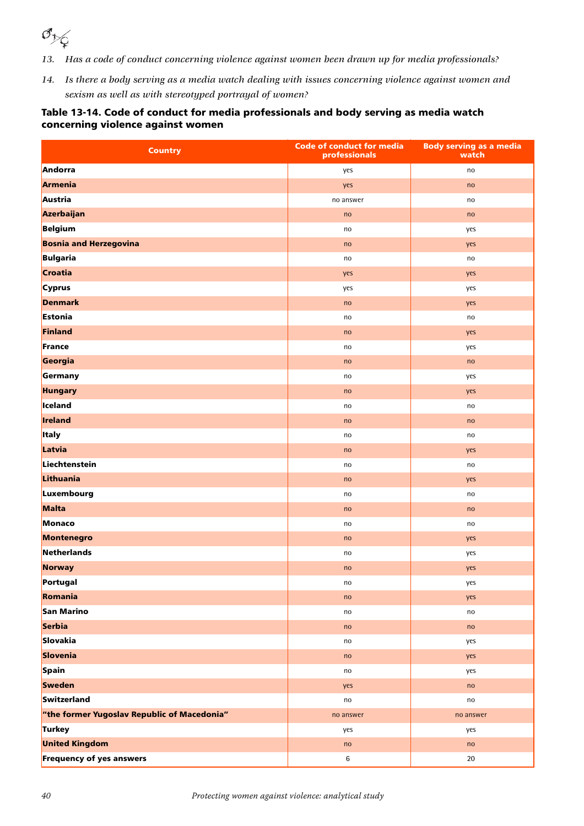

- *13. Has a code of conduct concerning violence against women been drawn up for media professionals?*
- *14. Is there a body serving as a media watch dealing with issues concerning violence against women and sexism as well as with stereotyped portrayal of women?*

#### Table 13-14. Code of conduct for media professionals and body serving as media watch concerning violence against women

| <b>Country</b>                              | Code of conduct for media<br>professionals | <b>Body serving as a media</b><br>watch |
|---------------------------------------------|--------------------------------------------|-----------------------------------------|
| Andorra                                     | yes                                        | no                                      |
| Armenia                                     | yes                                        | no                                      |
| Austria                                     | no answer                                  | no                                      |
| Azerbaijan                                  | no                                         | no                                      |
| Belgium                                     | no                                         | yes                                     |
| <b>Bosnia and Herzegovina</b>               | no                                         | yes                                     |
| Bulgaria                                    | no                                         | no                                      |
| <b>Croatia</b>                              | yes                                        | yes                                     |
| Cyprus                                      | yes                                        | yes                                     |
| <b>Denmark</b>                              | no                                         | yes                                     |
| Estonia                                     | no                                         | no                                      |
| Finland                                     | no                                         | yes                                     |
| France                                      | no                                         | yes                                     |
| Georgia                                     | no                                         | no                                      |
| Germany                                     | no                                         | yes                                     |
| <b>Hungary</b>                              | no                                         | yes                                     |
| Iceland                                     | no                                         | no                                      |
| Ireland                                     | no                                         | no                                      |
| <b>Italy</b>                                | no                                         | no                                      |
| Latvia                                      | no                                         | yes                                     |
| Liechtenstein                               | no                                         | no                                      |
| Lithuania                                   | no                                         | yes                                     |
| Luxembourg                                  | no                                         | no                                      |
| Malta                                       | no                                         | no                                      |
| Monaco                                      | no                                         | no                                      |
| Montenegro                                  | no                                         | yes                                     |
| Netherlands                                 | no                                         | yes                                     |
| <b>Norway</b>                               | no                                         | yes                                     |
| Portugal                                    | no                                         | yes                                     |
| Romania                                     | no                                         | yes                                     |
| San Marino                                  | no                                         | $\mathsf{no}$                           |
| Serbia                                      | no                                         | no                                      |
| Slovakia                                    | no                                         | yes                                     |
| Slovenia                                    | no                                         | yes                                     |
| Spain                                       | no                                         | yes                                     |
| <b>Sweden</b>                               | yes                                        | no                                      |
| Switzerland                                 | no                                         | no                                      |
| "the former Yugoslav Republic of Macedonia" | no answer                                  | no answer                               |
| Turkey                                      | yes                                        | yes                                     |
| <b>United Kingdom</b>                       | no                                         | no                                      |
| <b>Frequency of yes answers</b>             | $\,6\,$                                    | $20\,$                                  |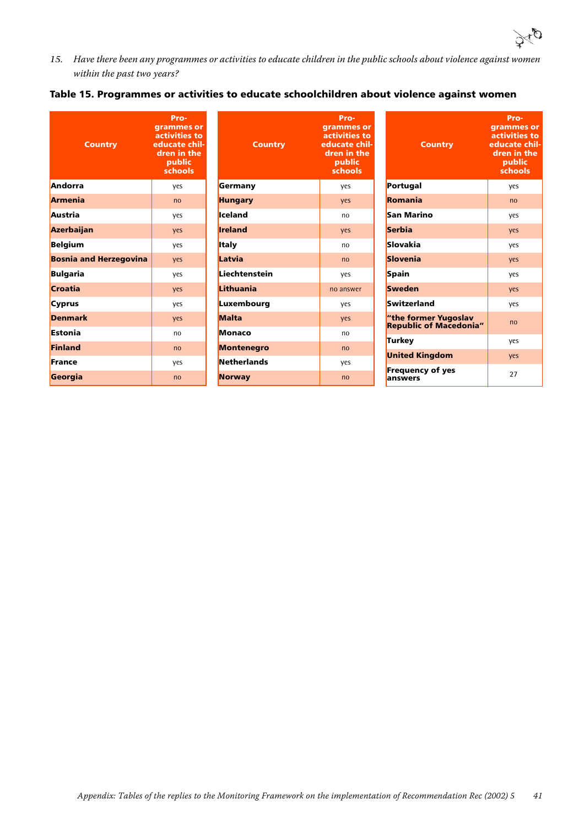

*15.* Have there been any programmes or activities to educate children in the public schools about violence against women within the past two years?

no answer

Programmes or activities to educate children in the public schools

#### Table 15. Programmes or activities to educate schoolchildren about violence against women

| <b>Country</b>                | Pro-<br>grammes or<br>activities to<br>educate chil-<br>dren in the<br>public<br>schools |                    | <b>Country</b> | Prc<br>gramm<br>activiti<br>educat<br>dren in<br>pub<br>scho |
|-------------------------------|------------------------------------------------------------------------------------------|--------------------|----------------|--------------------------------------------------------------|
| Andorra                       | yes                                                                                      | Germany            |                | yes                                                          |
| <b>Armenia</b>                | no                                                                                       | <b>Hungary</b>     |                | yes                                                          |
| Austria                       | yes                                                                                      | Iceland            |                | no                                                           |
| Azerbaijan                    | yes                                                                                      | <b>Ireland</b>     |                | yes                                                          |
| <b>Belgium</b>                | yes                                                                                      | <b>Italy</b>       |                | no                                                           |
| <b>Bosnia and Herzegovina</b> | yes                                                                                      | Latvia             |                | no                                                           |
| <b>Bulgaria</b>               | yes                                                                                      | Liechtenstein      |                | yes                                                          |
| <b>Croatia</b>                | yes                                                                                      | Lithuania          |                | no ans                                                       |
| <b>Cyprus</b>                 | yes                                                                                      | Luxembourg         |                | yes                                                          |
| <b>Denmark</b>                | yes                                                                                      | <b>Malta</b>       |                | yes                                                          |
| <b>Estonia</b>                | no                                                                                       | <b>Monaco</b>      |                | no                                                           |
| <b>Finland</b>                | no                                                                                       | <b>Montenegro</b>  |                | no                                                           |
| France                        | yes                                                                                      | <b>Netherlands</b> |                | yes                                                          |
| Georgia                       | no                                                                                       | <b>Norway</b>      |                | no                                                           |

| <b>Country</b>                                        | Pro-<br>grammes or<br>activities to<br>educate chil-<br>dren in the<br>public<br>schools |
|-------------------------------------------------------|------------------------------------------------------------------------------------------|
| Portugal                                              | yes                                                                                      |
| <b>Romania</b>                                        | n <sub>0</sub>                                                                           |
| San Marino                                            | yes                                                                                      |
| <b>Serbia</b>                                         | yes                                                                                      |
| Slovakia                                              | yes                                                                                      |
| <b>Slovenia</b>                                       | ves                                                                                      |
| Spain                                                 | ves                                                                                      |
| <b>Sweden</b>                                         | yes                                                                                      |
| Switzerland                                           | yes                                                                                      |
| "the former Yugoslav<br><b>Republic of Macedonia"</b> | n <sub>0</sub>                                                                           |
| <b>Turkey</b>                                         | yes                                                                                      |
| <b>United Kingdom</b>                                 | yes                                                                                      |
| <b>Frequency of yes</b><br>answers                    | 27                                                                                       |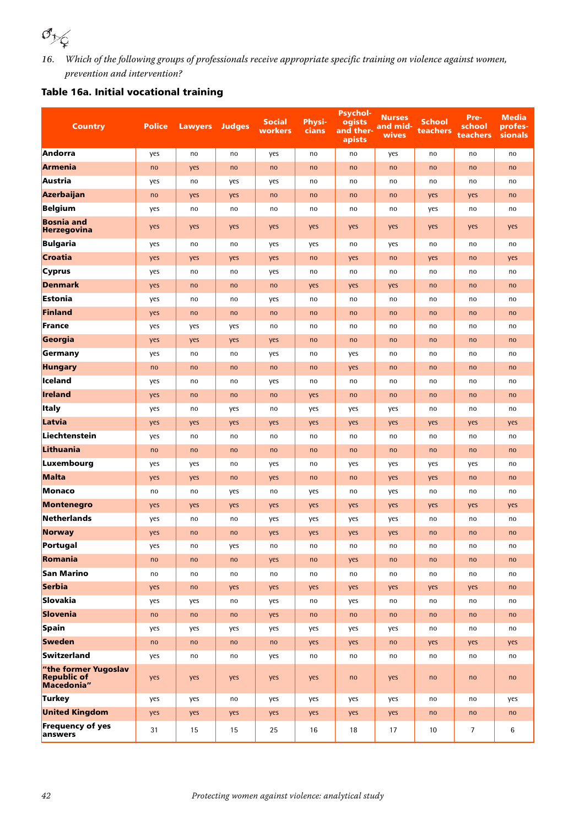

*16.* Which of the following groups of professionals receive appropriate specific training on violence against women, prevention and intervention?

### Table 16a. Initial vocational training

| <b>Country</b>                          | <b>Police</b> | <b>Lawyers</b> | <b>Judges</b> | <b>Social</b><br>workers | <b>Physi-</b><br>cians | <b>Psychol-</b><br>ogists<br>and ther-<br>apists | <b>Nurses</b><br>and mid-<br>wives | <b>School</b><br>teachers | Pre-<br>school<br><b>teachers</b> | <b>Media</b><br>profes-<br>sionals |
|-----------------------------------------|---------------|----------------|---------------|--------------------------|------------------------|--------------------------------------------------|------------------------------------|---------------------------|-----------------------------------|------------------------------------|
| <b>Andorra</b>                          | yes           | no             | no            | yes                      | no                     | no                                               | yes                                | no                        | no                                | no                                 |
| <b>Armenia</b>                          | no            | yes            | no            | no                       | no                     | no                                               | no                                 | no                        | no                                | no                                 |
| Austria                                 | yes           | no             | yes           | yes                      | no                     | no                                               | no                                 | no                        | no                                | no                                 |
| Azerbaijan                              | no            | yes            | yes           | no                       | no                     | no                                               | no                                 | yes                       | yes                               | no                                 |
| Belgium                                 | yes           | no             | no            | no                       | no                     | no                                               | no                                 | yes                       | no                                | no                                 |
| <b>Bosnia and</b><br><b>Herzegovina</b> | yes           | yes            | yes           | yes                      | yes                    | yes                                              | yes                                | yes                       | yes                               | yes                                |
| Bulgaria                                | yes           | no             | no            | yes                      | yes                    | no                                               | yes                                | no                        | no                                | no                                 |
| Croatia                                 | yes           | yes            | yes           | yes                      | no                     | yes                                              | no                                 | yes                       | no                                | yes                                |
| <b>Cyprus</b>                           | yes           | no             | no            | yes                      | no                     | no                                               | no                                 | no                        | no                                | no                                 |
| Denmark                                 | yes           | no             | no            | no                       | yes                    | yes                                              | yes                                | no                        | no                                | no                                 |
| Estonia                                 | yes           | no             | no            | yes                      | no                     | no                                               | no                                 | no                        | no                                | no                                 |
| Finland                                 | yes           | no             | no            | no                       | no                     | no                                               | no                                 | no                        | no                                | no                                 |
| France                                  | yes           | yes            | yes           | no                       | no                     | no                                               | no                                 | no                        | no                                | no                                 |
| Georgia                                 | yes           | yes            | yes           | yes                      | no                     | no                                               | no                                 | no                        | no                                | no                                 |
| Germany                                 | yes           | no             | no            | yes                      | no                     | yes                                              | no                                 | no                        | no                                | no                                 |
| <b>Hungary</b>                          | no            | no             | no            | no                       | no                     | yes                                              | no                                 | no                        | no                                | no                                 |
| lceland                                 | yes           | no             | no            | yes                      | no                     | no                                               | no                                 | no                        | no                                | no                                 |
| <b>Ireland</b>                          | yes           | no             | no            | no                       | yes                    | no                                               | no                                 | no                        | no                                | no                                 |
| <b>Italy</b>                            | yes           | no             | yes           | no                       | yes                    | yes                                              | yes                                | no                        | no                                | no                                 |
| Latvia                                  | yes           | yes            | yes           | yes                      | yes                    | yes                                              | yes                                | yes                       | yes                               | yes                                |
| Liechtenstein                           | yes           | no             | no            | no                       | no                     | no                                               | no                                 | no                        | no                                | no                                 |
| Lithuania                               | no            | no             | no            | no                       | no                     | no                                               | no                                 | no                        | no                                | no                                 |
| Luxembourg                              | yes           | yes            | no            | yes                      | no                     | yes                                              | yes                                | yes                       | yes                               | no                                 |
| Malta                                   | yes           | yes            | no            | yes                      | no                     | no                                               | yes                                | yes                       | no                                | no                                 |
| Monaco                                  | no            | no             | yes           | no                       | yes                    | no                                               | yes                                | no                        | no                                | no                                 |
| Montenegro                              | yes           | yes            | yes           | yes                      | yes                    | yes                                              | yes                                | yes                       | yes                               | yes                                |
| Netherlands                             | yes           | no             | no            | yes                      | yes                    | yes                                              | yes                                | no                        | no                                | no                                 |
| <b>Norway</b>                           | yes           | no             | no            | yes                      | yes                    | yes                                              | yes                                | no                        | no                                | no                                 |
| Portugal                                | yes           | no             | yes           | no                       | no                     | no                                               | no                                 | no                        | no                                | no                                 |
| Romania                                 | no            | no             | no            | yes                      | no                     | yes                                              | no                                 | no                        | no                                | no                                 |
| San Marino                              | no            | no             | no            | no                       | no                     | no                                               | no                                 | no                        | no                                | no                                 |
| Serbia                                  | yes           | no             | yes           | yes                      | yes                    | yes                                              | yes                                | yes                       | yes                               | no                                 |
| Slovakia                                | yes           | yes            | no            | yes                      | no                     | yes                                              | no                                 | no                        | no                                | no                                 |
| Slovenia                                | no            | no             | no            | yes                      | no                     | no                                               | no                                 | no                        | no                                | no                                 |
| Spain                                   | yes           | yes            | yes           | yes                      | yes                    | yes                                              | yes                                | no                        | no                                | no                                 |
| <b>Sweden</b>                           | no            | no             | no            | no                       | yes                    | yes                                              | no                                 | yes                       | yes                               | yes                                |
| Switzerland                             | yes           | no             | no            | yes                      | no                     | no                                               | no                                 | no                        | no                                | no                                 |
| "the former Yugoslav<br>Republic of     | yes           | yes            | yes           | yes                      | yes                    | no                                               | yes                                | no                        | no                                | no                                 |
| Turkey                                  | yes           | yes            | no            | yes                      | yes                    | yes                                              | yes                                | no                        | no                                | yes                                |
| <b>United Kingdom</b>                   | yes           | yes            | yes           | yes                      | yes                    | yes                                              | yes                                | no                        | no                                | no                                 |
| <b>Frequency of yes</b><br>answers      | 31            | 15             | 15            | 25                       | 16                     | 18                                               | 17                                 | 10                        | $\overline{7}$                    | 6                                  |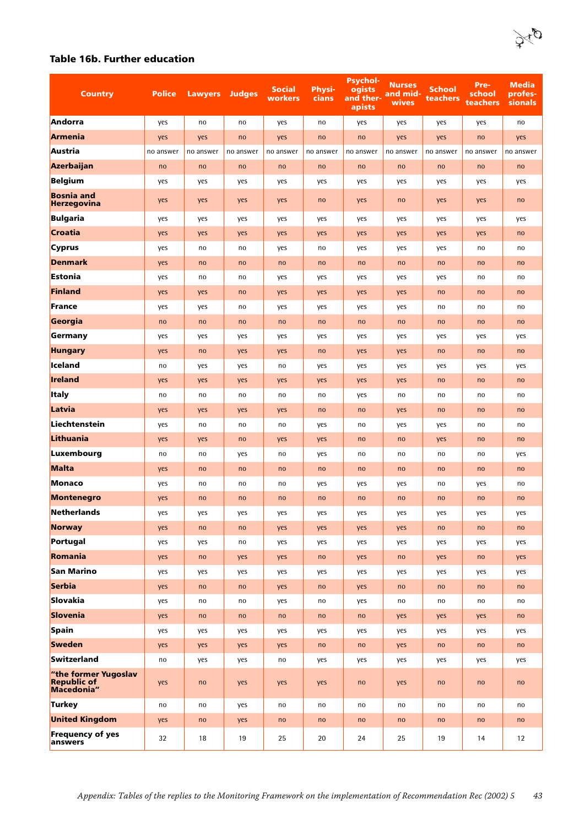

#### Table 16b. Further education

| <b>Country</b>                                           | <b>Police</b> | <b>Lawyers</b> | <b>Judges</b> | <b>Social</b><br>workers | <b>Physi-</b><br>cians | <b>Psychol-</b><br>ogists<br>and ther-<br>apists | <b>Nurses</b><br>and mid-<br>wives | School<br>teachers | Pre-<br>school<br>teachers | Media<br>profes-<br><b>sionals</b> |
|----------------------------------------------------------|---------------|----------------|---------------|--------------------------|------------------------|--------------------------------------------------|------------------------------------|--------------------|----------------------------|------------------------------------|
| Andorra                                                  | yes           | no             | no            | yes                      | no                     | yes                                              | yes                                | yes                | yes                        | no                                 |
| Armenia                                                  | yes           | yes            | no            | yes                      | no                     | no                                               | yes                                | yes                | no                         | yes                                |
| Austria                                                  | no answer     | no answer      | no answer     | no answer                | no answer              | no answer                                        | no answer                          | no answer          | no answer                  | no answer                          |
| Azerbaijan                                               | no            | no             | no            | no                       | no                     | no                                               | no                                 | no                 | no                         | no                                 |
| Belgium                                                  | yes           | yes            | yes           | yes                      | yes                    | yes                                              | yes                                | yes                | yes                        | yes                                |
| <b>Bosnia and</b><br><b>Herzegovina</b>                  | yes           | yes            | yes           | yes                      | no                     | yes                                              | no                                 | yes                | yes                        | no                                 |
| Bulgaria                                                 | yes           | yes            | yes           | yes                      | yes                    | yes                                              | yes                                | yes                | yes                        | yes                                |
| Croatia                                                  | yes           | yes            | yes           | yes                      | yes                    | yes                                              | yes                                | yes                | yes                        | no                                 |
| <b>Cyprus</b>                                            | yes           | no             | no            | yes                      | no                     | yes                                              | yes                                | yes                | no                         | no                                 |
| <b>Denmark</b>                                           | yes           | no             | no            | no                       | no                     | no                                               | no                                 | no                 | no                         | no                                 |
| Estonia                                                  | yes           | no             | no            | yes                      | yes                    | yes                                              | yes                                | yes                | no                         | no                                 |
| Finland                                                  | yes           | yes            | no            | yes                      | yes                    | yes                                              | yes                                | no                 | no                         | no                                 |
| France                                                   | yes           | yes            | no            | yes                      | yes                    | yes                                              | yes                                | no                 | no                         | no                                 |
| Georgia                                                  | no            | no             | no            | no                       | no                     | no                                               | no                                 | no                 | no                         | no                                 |
| Germany                                                  | yes           | yes            | yes           | yes                      | yes                    | yes                                              | yes                                | yes                | yes                        | yes                                |
| <b>Hungary</b>                                           | yes           | no             | yes           | yes                      | no                     | yes                                              | yes                                | no                 | no                         | no                                 |
| Iceland                                                  | no            | yes            | yes           | no                       | yes                    | yes                                              | yes                                | yes                | yes                        | yes                                |
| Ireland                                                  | yes           | yes            | yes           | yes                      | yes                    | yes                                              | yes                                | no                 | no                         | no                                 |
| <b>Italy</b>                                             | no            | no             | no            | no                       | no                     | yes                                              | no                                 | no                 | no                         | no                                 |
| Latvia                                                   | yes           | yes            | yes           | yes                      | no                     | no                                               | yes                                | no                 | no                         | no                                 |
| Liechtenstein                                            | yes           | no             | no            | no                       | yes                    | no                                               | yes                                | yes                | no                         | no                                 |
| Lithuania                                                | yes           | yes            | no            | yes                      | yes                    | no                                               | no                                 | yes                | no                         | no                                 |
| Luxembourg                                               | no            | no             | yes           | no                       | yes                    | no                                               | no                                 | no                 | no                         | yes                                |
| Malta                                                    | yes           | no             | no            | no                       | no                     | no                                               | no                                 | no                 | no                         | no                                 |
| Monaco                                                   | yes           | no             | no            | no                       | yes                    | yes                                              | yes                                | no                 | yes                        | no                                 |
| Montenegro                                               | yes           | no             | no            | no                       | no                     | no                                               | no                                 | no                 | no                         | no                                 |
| Netherlands                                              | yes           | yes            | yes           | yes                      | yes                    | yes                                              | yes                                | yes                | yes                        | yes                                |
| <b>Norway</b>                                            | yes           | no             | no            | yes                      | yes                    | yes                                              | yes                                | no                 | no                         | no                                 |
| Portugal                                                 | yes           | yes            | no            | yes                      | yes                    | yes                                              | yes                                | yes                | yes                        | yes                                |
| Romania                                                  | yes           | no             | yes           | yes                      | no                     | yes                                              | no                                 | yes                | no                         | yes                                |
| San Marino                                               | yes           | yes            | yes           | yes                      | yes                    | yes                                              | yes                                | yes                | yes                        | yes                                |
| Serbia                                                   | yes           | no             | no            | yes                      | no                     | yes                                              | no                                 | no                 | no                         | no                                 |
| Slovakia                                                 | yes           | no             | no            | yes                      | no                     | yes                                              | no                                 | no                 | no                         | no                                 |
| Slovenia                                                 | yes           | no             | no            | no                       | no                     | no                                               | yes                                | yes                | yes                        | no                                 |
| Spain                                                    | yes           | yes            | yes           | yes                      | yes                    | yes                                              | yes                                | yes                | yes                        | yes                                |
| <b>Sweden</b>                                            | yes           | yes            | yes           | yes                      | no                     | no                                               | yes                                | no                 | no                         | no                                 |
| Switzerland                                              | no            | yes            | yes           | no                       | yes                    | yes                                              | yes                                | yes                | yes                        | yes                                |
| "the former Yugoslav<br><b>Republic of</b><br>Macedonia" | yes           | no             | yes           | yes                      | yes                    | no                                               | yes                                | no                 | no                         | no                                 |
| Turkey                                                   | no            | no             | yes           | no                       | no                     | no                                               | no                                 | no                 | no                         | no                                 |
| <b>United Kingdom</b>                                    | yes           | no             | yes           | no                       | no                     | no                                               | no                                 | no                 | no                         | no                                 |
| <b>Frequency of yes</b><br>answers                       | 32            | 18             | 19            | 25                       | 20                     | 24                                               | 25                                 | 19                 | 14                         | 12                                 |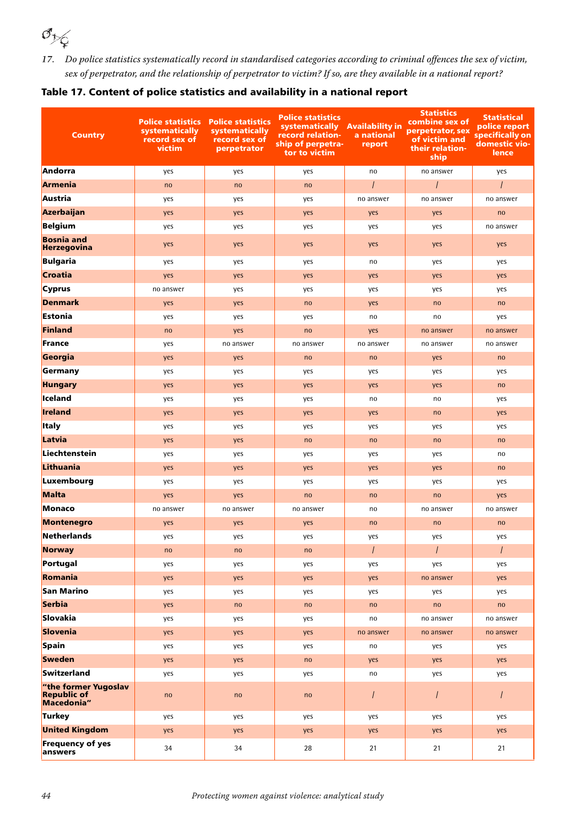

*17.* Do police statistics systematically record in standardised categories according to criminal offences the sex of victim, sex of perpetrator, and the relationship of perpetrator to victim? If so, are they available in a national report?

|  |  |  | Table 17. Content of police statistics and availability in a national report |  |  |  |
|--|--|--|------------------------------------------------------------------------------|--|--|--|
|  |  |  |                                                                              |  |  |  |

| <b>Country</b>                                           | systematically<br>record sex of<br>victim | <b>Police statistics Police statistics</b><br>systematically<br>record sex of<br>perpetrator | <b>Police statistics</b><br>systematically Availability in<br>record relation-<br>ship of perpetra-<br>tor to victim | a national<br>report | <b>Statistics</b><br>combine sex of<br>perpetrator, sex<br>of victim and<br>their relation-<br>ship | <b>Statistical</b><br>police report<br>specifically on<br>domestic vio-<br>lence |
|----------------------------------------------------------|-------------------------------------------|----------------------------------------------------------------------------------------------|----------------------------------------------------------------------------------------------------------------------|----------------------|-----------------------------------------------------------------------------------------------------|----------------------------------------------------------------------------------|
| Andorra                                                  | yes                                       | yes                                                                                          | yes                                                                                                                  | no                   | no answer                                                                                           | yes                                                                              |
| Armenia                                                  | no                                        | no                                                                                           | no                                                                                                                   | $\prime$             | $\overline{I}$                                                                                      | $\prime$                                                                         |
| Austria                                                  | yes                                       | yes                                                                                          | yes                                                                                                                  | no answer            | no answer                                                                                           | no answer                                                                        |
| Azerbaijan                                               | yes                                       | yes                                                                                          | yes                                                                                                                  | yes                  | yes                                                                                                 | no                                                                               |
| Belgium                                                  | yes                                       | yes                                                                                          | yes                                                                                                                  | yes                  | yes                                                                                                 | no answer                                                                        |
| <b>Bosnia and</b><br>Herzegovina                         | yes                                       | yes                                                                                          | yes                                                                                                                  | yes                  | yes                                                                                                 | yes                                                                              |
| Bulgaria                                                 | yes                                       | yes                                                                                          | yes                                                                                                                  | no                   | yes                                                                                                 | yes                                                                              |
| Croatia                                                  | yes                                       | yes                                                                                          | yes                                                                                                                  | yes                  | yes                                                                                                 | yes                                                                              |
| Cyprus                                                   | no answer                                 | yes                                                                                          | yes                                                                                                                  | yes                  | yes                                                                                                 | yes                                                                              |
| Denmark                                                  | yes                                       | yes                                                                                          | no                                                                                                                   | yes                  | no                                                                                                  | no                                                                               |
| Estonia                                                  | yes                                       | yes                                                                                          | yes                                                                                                                  | no                   | no                                                                                                  | yes                                                                              |
| Finland                                                  | no                                        | yes                                                                                          | no                                                                                                                   | yes                  | no answer                                                                                           | no answer                                                                        |
| France                                                   | yes                                       | no answer                                                                                    | no answer                                                                                                            | no answer            | no answer                                                                                           | no answer                                                                        |
| Georgia                                                  | yes                                       | yes                                                                                          | no                                                                                                                   | no                   | yes                                                                                                 | no                                                                               |
| Germany                                                  | yes                                       | yes                                                                                          | yes                                                                                                                  | yes                  | yes                                                                                                 | yes                                                                              |
| <b>Hungary</b>                                           | yes                                       | yes                                                                                          | yes                                                                                                                  | yes                  | yes                                                                                                 | no                                                                               |
| lceland                                                  | yes                                       | yes                                                                                          | yes                                                                                                                  | no                   | no                                                                                                  | yes                                                                              |
| <b>Ireland</b>                                           | yes                                       | yes                                                                                          | yes                                                                                                                  | yes                  | no                                                                                                  | yes                                                                              |
| <b>Italy</b>                                             | yes                                       | yes                                                                                          | yes                                                                                                                  | yes                  | yes                                                                                                 | yes                                                                              |
| Latvia                                                   | yes                                       | yes                                                                                          | no                                                                                                                   | no                   | no                                                                                                  | no                                                                               |
| Liechtenstein                                            | yes                                       | yes                                                                                          | yes                                                                                                                  | yes                  | yes                                                                                                 | no                                                                               |
| Lithuania                                                | yes                                       | yes                                                                                          | yes                                                                                                                  | yes                  | yes                                                                                                 | no                                                                               |
| Luxembourg                                               | yes                                       | yes                                                                                          | yes                                                                                                                  | yes                  | yes                                                                                                 | yes                                                                              |
| Malta                                                    | yes                                       | yes                                                                                          | no                                                                                                                   | no                   | no                                                                                                  | yes                                                                              |
| Monaco                                                   | no answer                                 | no answer                                                                                    | no answer                                                                                                            | no                   | no answer                                                                                           | no answer                                                                        |
| Montenegro                                               | yes                                       | yes                                                                                          | yes                                                                                                                  | no                   | no                                                                                                  | no                                                                               |
| Netherlands                                              | yes                                       | yes                                                                                          | yes                                                                                                                  | yes                  | yes                                                                                                 | yes                                                                              |
| <b>Norway</b>                                            | no                                        | no                                                                                           | no                                                                                                                   | $\prime$             | $\overline{I}$                                                                                      | $\prime$                                                                         |
| Portugal                                                 | yes                                       | yes                                                                                          | yes                                                                                                                  | yes                  | yes                                                                                                 | yes                                                                              |
| Romania                                                  | yes                                       | yes                                                                                          | yes                                                                                                                  | yes                  | no answer                                                                                           | yes                                                                              |
| San Marino                                               | yes                                       | yes                                                                                          | yes                                                                                                                  | yes                  | yes                                                                                                 | yes                                                                              |
| Serbia                                                   | yes                                       | no                                                                                           | no                                                                                                                   | no                   | no                                                                                                  | no                                                                               |
| Slovakia                                                 | yes                                       | yes                                                                                          | yes                                                                                                                  | no                   | no answer                                                                                           | no answer                                                                        |
| Slovenia                                                 | yes                                       | yes                                                                                          | yes                                                                                                                  | no answer            | no answer                                                                                           | no answer                                                                        |
| Spain                                                    | yes                                       | yes                                                                                          | yes                                                                                                                  | no                   | yes                                                                                                 | yes                                                                              |
| Sweden                                                   | yes                                       | yes                                                                                          | no                                                                                                                   | yes                  | yes                                                                                                 | yes                                                                              |
| Switzerland                                              | yes                                       | yes                                                                                          | yes                                                                                                                  | no                   | yes                                                                                                 | yes                                                                              |
| "the former Yugoslav<br><b>Republic of</b><br>Macedonia" | no                                        | no                                                                                           | no                                                                                                                   | $\overline{I}$       | $\overline{I}$                                                                                      | $\overline{I}$                                                                   |
| Turkey                                                   | yes                                       | yes                                                                                          | yes                                                                                                                  | yes                  | yes                                                                                                 | yes                                                                              |
| <b>United Kingdom</b>                                    | yes                                       | yes                                                                                          | yes                                                                                                                  | yes                  | yes                                                                                                 | yes                                                                              |
| <b>Frequency of yes</b><br>answers                       | 34                                        | 34                                                                                           | 28                                                                                                                   | 21                   | 21                                                                                                  | 21                                                                               |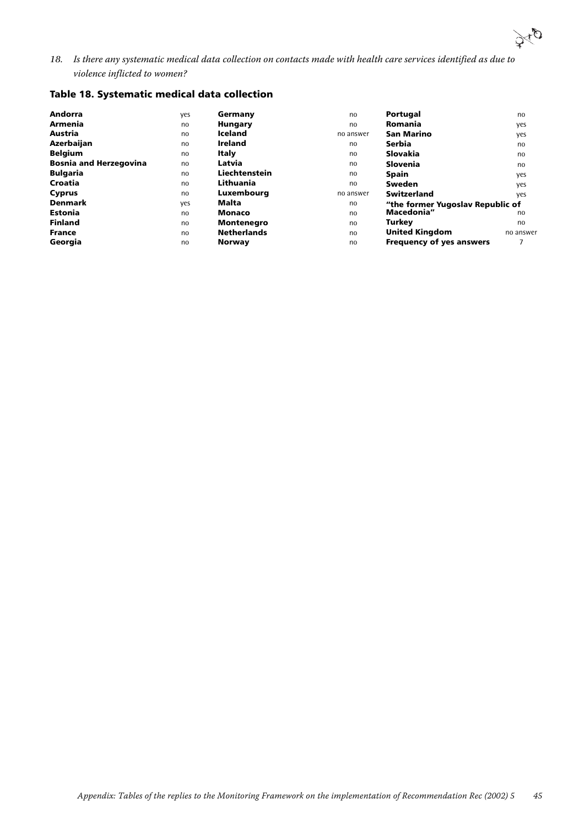

*18.* Is there any systematic medical data collection on contacts made with health care services identified as due to violence inflicted to women?

#### Table 18. Systematic medical data collection

| Andorra                       | yes | Germany            | no        | Portugal                         | no        |
|-------------------------------|-----|--------------------|-----------|----------------------------------|-----------|
| <b>Armenia</b>                | no  | <b>Hungary</b>     | no        | Romania                          | yes       |
| Austria                       | no  | <b>Iceland</b>     | no answer | <b>San Marino</b>                | yes       |
| Azerbaijan                    | no  | <b>Ireland</b>     | no        | Serbia                           | no        |
| <b>Belgium</b>                | no  | Italy              | no        | Slovakia                         | no        |
| <b>Bosnia and Herzegovina</b> | no  | Latvia             | no        | <b>Slovenia</b>                  | no        |
| <b>Bulgaria</b>               | no  | Liechtenstein      | no        | <b>Spain</b>                     | yes       |
| Croatia                       | no  | Lithuania          | no        | <b>Sweden</b>                    | yes       |
| <b>Cyprus</b>                 | no  | Luxembourg         | no answer | <b>Switzerland</b>               | yes       |
| <b>Denmark</b>                | yes | Malta              | no        | "the former Yugoslav Republic of |           |
| <b>Estonia</b>                | no  | Monaco             | no        | Macedonia"                       | no        |
| <b>Finland</b>                | no  | <b>Montenegro</b>  | no        | Turkev                           | no        |
| <b>France</b>                 | no  | <b>Netherlands</b> | no        | <b>United Kingdom</b>            | no answer |
| Georgia                       | no  | Norway             | no        | <b>Frequency of yes answers</b>  |           |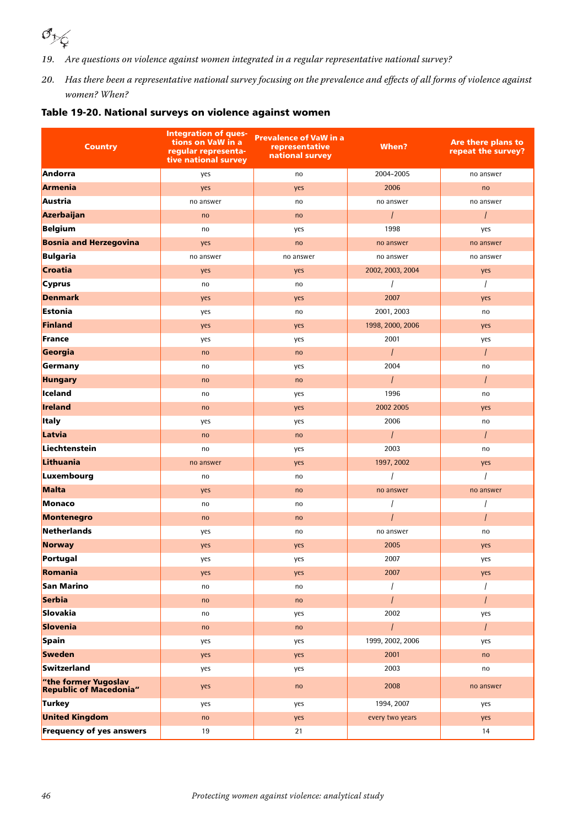

- *19.* Are questions on violence against women integrated in a regular representative national survey?
- *20.* Has there been a representative national survey focusing on the prevalence and effects of all forms of violence against women? When?

|  |  | Table 19-20. National surveys on violence against women |
|--|--|---------------------------------------------------------|
|  |  |                                                         |

| <b>Country</b>                                        | <b>Integration of ques-</b><br>tions on VaW in a<br>regular representa-<br>tive national survey | <b>Prevalence of VaW in a</b><br>representative<br>national survey | When?            | Are there plans to<br>repeat the survey? |
|-------------------------------------------------------|-------------------------------------------------------------------------------------------------|--------------------------------------------------------------------|------------------|------------------------------------------|
| Andorra                                               | yes                                                                                             | no                                                                 | 2004-2005        | no answer                                |
| <b>Armenia</b>                                        | yes                                                                                             | yes                                                                | 2006             | no                                       |
| Austria                                               | no answer                                                                                       | no                                                                 | no answer        | no answer                                |
| Azerbaijan                                            | no                                                                                              | no                                                                 | $\overline{I}$   | $\prime$                                 |
| Belgium                                               | no                                                                                              | yes                                                                | 1998             | yes                                      |
| <b>Bosnia and Herzegovina</b>                         | yes                                                                                             | no                                                                 | no answer        | no answer                                |
| Bulgaria                                              | no answer                                                                                       | no answer                                                          | no answer        | no answer                                |
| <b>Croatia</b>                                        | yes                                                                                             | yes                                                                | 2002, 2003, 2004 | yes                                      |
| <b>Cyprus</b>                                         | no                                                                                              | no                                                                 |                  |                                          |
| <b>Denmark</b>                                        | yes                                                                                             | yes                                                                | 2007             | yes                                      |
| Estonia                                               | yes                                                                                             | no                                                                 | 2001, 2003       | no                                       |
| Finland                                               | yes                                                                                             | yes                                                                | 1998, 2000, 2006 | yes                                      |
| <b>France</b>                                         | yes                                                                                             | yes                                                                | 2001             | yes                                      |
| Georgia                                               | no                                                                                              | no                                                                 | $\overline{I}$   | $\prime$                                 |
| Germany                                               | no                                                                                              | yes                                                                | 2004             | no                                       |
| <b>Hungary</b>                                        | no                                                                                              | no                                                                 | $\prime$         | $\prime$                                 |
| Iceland                                               | no                                                                                              | yes                                                                | 1996             | no                                       |
| Ireland                                               | no                                                                                              | yes                                                                | 2002 2005        | yes                                      |
| <b>Italy</b>                                          | yes                                                                                             | yes                                                                | 2006             | no                                       |
| Latvia                                                | no                                                                                              | no                                                                 | $\prime$         | $\prime$                                 |
| Liechtenstein                                         | no                                                                                              | yes                                                                | 2003             | no                                       |
| Lithuania                                             | no answer                                                                                       | yes                                                                | 1997, 2002       | yes                                      |
| Luxembourg                                            | no                                                                                              | no                                                                 |                  |                                          |
| Malta                                                 | yes                                                                                             | no                                                                 | no answer        | no answer                                |
| Monaco                                                | no                                                                                              | no                                                                 |                  |                                          |
| <b>Montenegro</b>                                     | no                                                                                              | no                                                                 |                  | $\overline{I}$                           |
| Netherlands                                           | yes                                                                                             | no                                                                 | no answer        | no                                       |
| Norway                                                | yes                                                                                             | yes                                                                | 2005             | yes                                      |
| Portugal                                              | yes                                                                                             | yes                                                                | 2007             | yes                                      |
| Romania                                               | yes                                                                                             | yes                                                                | 2007             | yes                                      |
| San Marino                                            | no                                                                                              | no                                                                 |                  |                                          |
| Serbia                                                | no                                                                                              | no                                                                 |                  |                                          |
| Slovakia                                              | no                                                                                              | yes                                                                | 2002             | yes                                      |
| Slovenia                                              | no                                                                                              | no                                                                 | $\prime$         | $\prime$                                 |
| Spain                                                 | yes                                                                                             | yes                                                                | 1999, 2002, 2006 | yes                                      |
| <b>Sweden</b>                                         | yes                                                                                             | yes                                                                | 2001             | no                                       |
| Switzerland                                           | yes                                                                                             | yes                                                                | 2003             | no                                       |
| "the former Yugoslav<br><b>Republic of Macedonia"</b> | yes                                                                                             | no                                                                 | 2008             | no answer                                |
| Turkey                                                | yes                                                                                             | yes                                                                | 1994, 2007       | yes                                      |
| <b>United Kingdom</b>                                 | no                                                                                              | yes                                                                | every two years  | yes                                      |
| <b>Frequency of yes answers</b>                       | 19                                                                                              | 21                                                                 |                  | 14                                       |